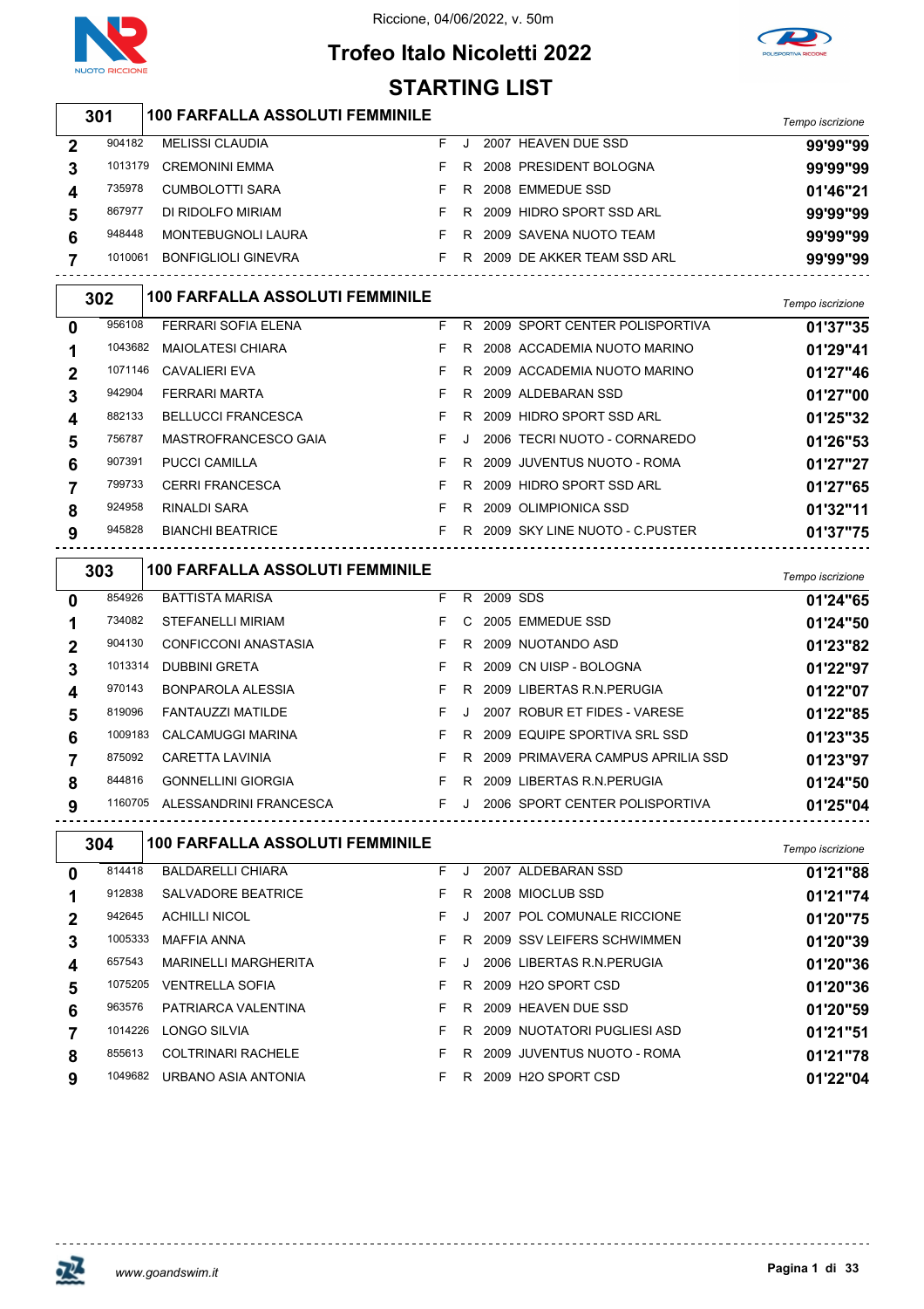



### **Trofeo Italo Nicoletti 2022 STARTING LIST**

|                  | 301     | <b>100 FARFALLA ASSOLUTI FEMMINILE</b> |    |    |          |                                    |                  |
|------------------|---------|----------------------------------------|----|----|----------|------------------------------------|------------------|
|                  |         |                                        |    |    |          |                                    | Tempo iscrizione |
| $\boldsymbol{2}$ | 904182  | <b>MELISSI CLAUDIA</b>                 | F. | J  |          | 2007 HEAVEN DUE SSD                | 99'99"99         |
| 3                | 1013179 | <b>CREMONINI EMMA</b>                  | F  |    |          | R 2008 PRESIDENT BOLOGNA           | 99'99"99         |
| 4                | 735978  | CUMBOLOTTI SARA                        | F. | R  |          | 2008 EMMEDUE SSD                   | 01'46"21         |
| 5                | 867977  | DI RIDOLFO MIRIAM                      | F. | R  |          | 2009 HIDRO SPORT SSD ARL           | 99'99"99         |
| 6                | 948448  | MONTEBUGNOLI LAURA                     | F. |    |          | R 2009 SAVENA NUOTO TEAM           | 99'99"99         |
| 7                | 1010061 | <b>BONFIGLIOLI GINEVRA</b>             | F. |    |          | R 2009 DE AKKER TEAM SSD ARL       | 99'99"99         |
|                  | 302     | <b>100 FARFALLA ASSOLUTI FEMMINILE</b> |    |    |          |                                    | Tempo iscrizione |
| 0                | 956108  | <b>FERRARI SOFIA ELENA</b>             | F. |    |          | R 2009 SPORT CENTER POLISPORTIVA   | 01'37"35         |
| 1                | 1043682 | MAIOLATESI CHIARA                      | F. |    |          | R 2008 ACCADEMIA NUOTO MARINO      | 01'29"41         |
| 2                | 1071146 | <b>CAVALIERI EVA</b>                   | F. | R  |          | 2009 ACCADEMIA NUOTO MARINO        | 01'27"46         |
| 3                | 942904  | FERRARI MARTA                          | F. | R  |          | 2009 ALDEBARAN SSD                 | 01'27"00         |
| 4                | 882133  | <b>BELLUCCI FRANCESCA</b>              | F  | R  |          | 2009 HIDRO SPORT SSD ARL           | 01'25"32         |
| 5                | 756787  | MASTROFRANCESCO GAIA                   | F  | J  |          | 2006 TECRI NUOTO - CORNAREDO       | 01'26"53         |
| 6                | 907391  | PUCCI CAMILLA                          | F. | R  |          | 2009 JUVENTUS NUOTO - ROMA         | 01'27"27         |
| 7                | 799733  | <b>CERRI FRANCESCA</b>                 | F  | R  |          | 2009 HIDRO SPORT SSD ARL           | 01'27"65         |
| 8                | 924958  | RINALDI SARA                           | F. |    |          | R 2009 OLIMPIONICA SSD             | 01'32"11         |
| 9                | 945828  | <b>BIANCHI BEATRICE</b>                | F. |    |          | R 2009 SKY LINE NUOTO - C.PUSTER   | 01'37"75         |
|                  |         |                                        |    |    |          |                                    |                  |
|                  | 303     | <b>100 FARFALLA ASSOLUTI FEMMINILE</b> |    |    |          |                                    | Tempo iscrizione |
| 0                | 854926  | <b>BATTISTA MARISA</b>                 | F. | R. | 2009 SDS |                                    | 01'24"65         |
| 1                | 734082  | STEFANELLI MIRIAM                      | F. | C  |          | 2005 EMMEDUE SSD                   | 01'24"50         |
| 2                | 904130  | CONFICCONI ANASTASIA                   | F. | R  |          | 2009 NUOTANDO ASD                  | 01'23"82         |
| 3                | 1013314 | <b>DUBBINI GRETA</b>                   | F. | R  |          | 2009 CN UISP - BOLOGNA             | 01'22"97         |
| 4                | 970143  | <b>BONPAROLA ALESSIA</b>               | F  | R  |          | 2009 LIBERTAS R.N. PERUGIA         | 01'22"07         |
| 5                | 819096  | FANTAUZZI MATILDE                      | F. | J  |          | 2007 ROBUR ET FIDES - VARESE       | 01'22"85         |
| 6                | 1009183 | CALCAMUGGI MARINA                      | F. | R. |          | 2009 EQUIPE SPORTIVA SRL SSD       | 01'23"35         |
| 7                | 875092  | CARETTA LAVINIA                        | F  | R  |          | 2009 PRIMAVERA CAMPUS APRILIA SSD  | 01'23"97         |
| 8                | 844816  | <b>GONNELLINI GIORGIA</b>              | F. |    |          | R 2009 LIBERTAS R.N. PERUGIA       | 01'24"50         |
| 9                |         | 1160705 ALESSANDRINI FRANCESCA         |    |    |          | F J 2006 SPORT CENTER POLISPORTIVA | 01'25"04         |
|                  | 304     | <b>100 FARFALLA ASSOLUTI FEMMINILE</b> |    |    |          |                                    | Tempo iscrizione |
| 0                | 814418  | <b>BALDARELLI CHIARA</b>               | F  | J  |          | 2007 ALDEBARAN SSD                 | 01'21"88         |
| 1                | 912838  | <b>SALVADORE BEATRICE</b>              | F. |    |          | R 2008 MIOCLUB SSD                 | 01'21"74         |
| 2                | 942645  | <b>ACHILLI NICOL</b>                   | F. | J. |          | 2007 POL COMUNALE RICCIONE         | 01'20"75         |
| 3                | 1005333 | <b>MAFFIA ANNA</b>                     | F. |    |          | R 2009 SSV LEIFERS SCHWIMMEN       | 01'20"39         |
| 4                | 657543  | MARINELLI MARGHERITA                   | F  | J  |          | 2006 LIBERTAS R.N. PERUGIA         | 01'20"36         |
| 5                | 1075205 | <b>VENTRELLA SOFIA</b>                 | F. | R  |          | 2009 H2O SPORT CSD                 | 01'20"36         |
| 6                | 963576  | PATRIARCA VALENTINA                    | F. |    |          | R 2009 HEAVEN DUE SSD              | 01'20"59         |
| 7                | 1014226 | LONGO SILVIA                           | F. |    |          | R 2009 NUOTATORI PUGLIESI ASD      | 01'21"51         |
| 8                | 855613  | <b>COLTRINARI RACHELE</b>              | F  |    |          | R 2009 JUVENTUS NUOTO - ROMA       | 01'21"78         |
| 9                | 1049682 | URBANO ASIA ANTONIA                    | F. |    |          | R 2009 H2O SPORT CSD               | 01'22"04         |

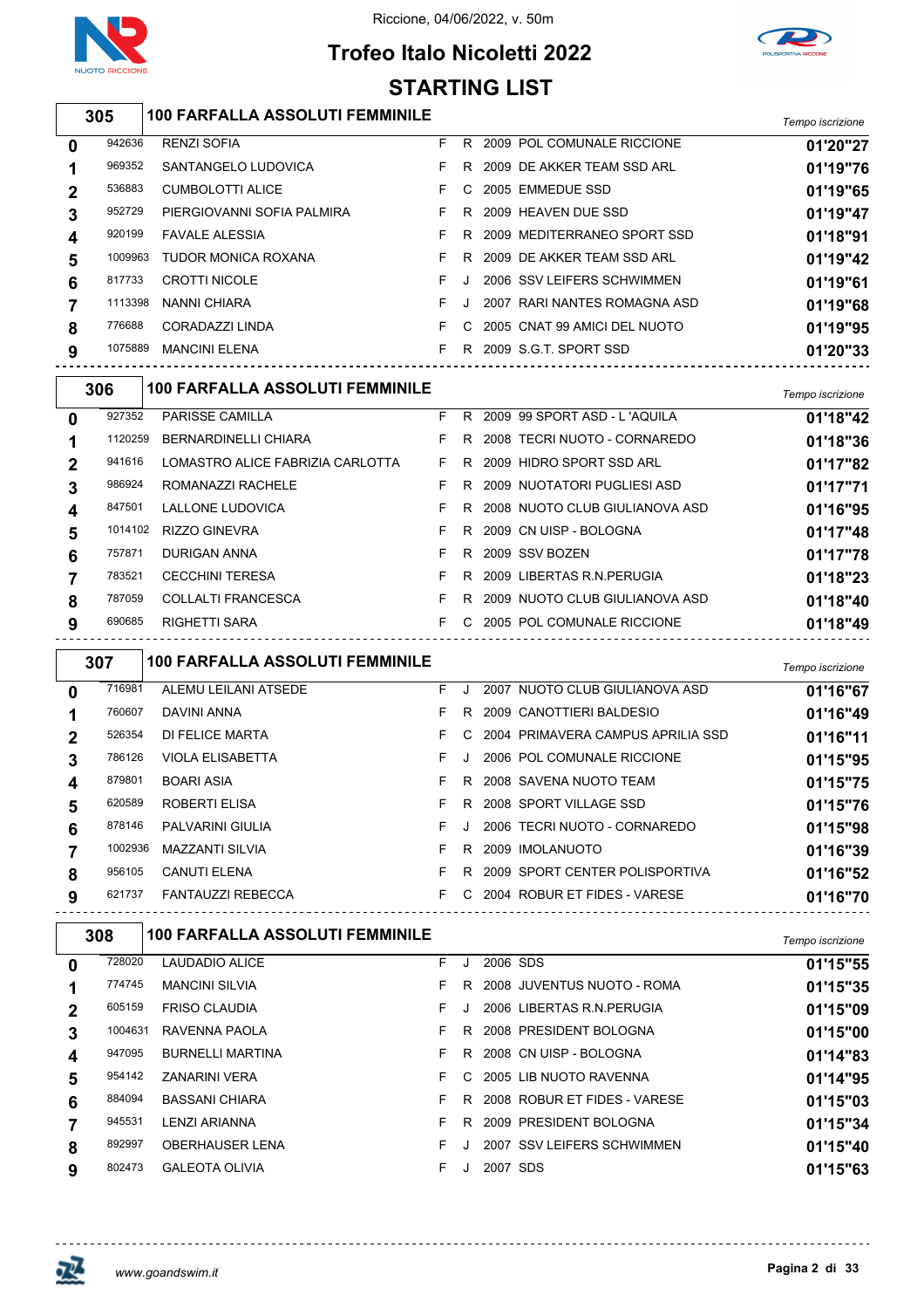

Riccione, 04/06/2022, v. 50m



### **Trofeo Italo Nicoletti 2022 STARTING LIST**

|                                               | STARTING LIST |                                        |    |    |                                |                  |  |  |  |  |  |  |
|-----------------------------------------------|---------------|----------------------------------------|----|----|--------------------------------|------------------|--|--|--|--|--|--|
|                                               | 305           | <b>100 FARFALLA ASSOLUTI FEMMINILE</b> |    |    |                                | Tempo iscrizione |  |  |  |  |  |  |
| 0                                             | 942636        | <b>RENZI SOFIA</b>                     | F. |    | R 2009 POL COMUNALE RICCIONE   | 01'20"27         |  |  |  |  |  |  |
| 1                                             | 969352        | SANTANGELO LUDOVICA                    | F. | R. | 2009 DE AKKER TEAM SSD ARL     | 01'19"76         |  |  |  |  |  |  |
| $\mathbf{2}$                                  | 536883        | <b>CUMBOLOTTI ALICE</b>                | F. | C. | 2005 EMMEDUE SSD               | 01'19"65         |  |  |  |  |  |  |
| 3                                             | 952729        | PIERGIOVANNI SOFIA PALMIRA             | F  | R. | 2009 HEAVEN DUE SSD            | 01'19"47         |  |  |  |  |  |  |
| 4                                             | 920199        | <b>FAVALE ALESSIA</b>                  | F  | R. | 2009 MEDITERRANEO SPORT SSD    | 01'18"91         |  |  |  |  |  |  |
| 5                                             | 1009963       | <b>TUDOR MONICA ROXANA</b>             | F. | R. | 2009 DE AKKER TEAM SSD ARL     | 01'19"42         |  |  |  |  |  |  |
| 6                                             | 817733        | <b>CROTTI NICOLE</b>                   | F  |    | 2006 SSV LEIFERS SCHWIMMEN     | 01'19"61         |  |  |  |  |  |  |
| 7                                             | 1113398       | NANNI CHIARA                           | F  |    | 2007 RARI NANTES ROMAGNA ASD   | 01'19"68         |  |  |  |  |  |  |
| 8                                             | 776688        | CORADAZZI LINDA                        | F. | C. | 2005 CNAT 99 AMICI DEL NUOTO   | 01'19"95         |  |  |  |  |  |  |
| 9                                             | 1075889       | <b>MANCINI ELENA</b>                   | F. |    | R 2009 S.G.T. SPORT SSD        | 01'20"33         |  |  |  |  |  |  |
| <b>100 FARFALLA ASSOLUTI FEMMINILE</b><br>306 |               |                                        |    |    |                                |                  |  |  |  |  |  |  |
| $\mathbf{0}$                                  | 927352        | <b>PARISSE CAMILLA</b>                 | F. |    | R 2009 99 SPORT ASD - L'AQUILA | 01'18"42         |  |  |  |  |  |  |
| 1                                             | 1120259       | <b>BERNARDINELLI CHIARA</b>            | F  | R. | 2008 TECRI NUOTO - CORNAREDO   | 01'18"36         |  |  |  |  |  |  |

| 6<br>8      | 757871<br>783521<br>787059<br>690685 | DURIGAN ANNA<br><b>CECCHINI TERESA</b><br><b>COLLALTI FRANCESCA</b><br><b>RIGHETTI SARA</b> | F.<br>F.<br>F. | R<br>R.<br>R. | 2009 SSV BOZEN<br>2009 LIBERTAS R.N. PERUGIA<br>2009 NUOTO CLUB GIULIANOVA ASD<br>F C 2005 POL COMUNALE RICCIONE | 01'17"78<br>01'18"23<br>01'18"40 |
|-------------|--------------------------------------|---------------------------------------------------------------------------------------------|----------------|---------------|------------------------------------------------------------------------------------------------------------------|----------------------------------|
|             | 847501<br>1014102                    | <b>LALLONE LUDOVICA</b><br><b>RIZZO GINEVRA</b>                                             | F.<br>F.       | R.            | R 2008 NUOTO CLUB GIULIANOVA ASD<br>2009 CN UISP - BOLOGNA                                                       | 01'16"95<br>01'17"48             |
|             | 986924                               | ROMANAZZI RACHELE                                                                           | F.             |               | R 2009 NUOTATORI PUGLIESI ASD                                                                                    | 01'17"71                         |
| $\mathbf 2$ | 941616                               | LOMASTRO ALICE FABRIZIA CARLOTTA                                                            | F.             | R.            | 2009 HIDRO SPORT SSD ARL                                                                                         | 01'17"82                         |
|             |                                      | 1120259 BERNARDINELLI CHIARA                                                                |                |               | R 2008 TECRI NUOTO - CORNAREDO                                                                                   | 01'18"36                         |

|   | 307     | <b>100 FARFALLA ASSOLUTI FEMMINILE</b> |    |              |                                   | Tempo iscrizione |
|---|---------|----------------------------------------|----|--------------|-----------------------------------|------------------|
| 0 | 716981  | ALEMU LEILANI ATSEDE                   | F. | $\cdot$      | 2007 NUOTO CLUB GIULIANOVA ASD    | 01'16"67         |
| 1 | 760607  | DAVINI ANNA                            | F. | R            | 2009 CANOTTIERI BALDESIO          | 01'16"49         |
| 2 | 526354  | DI FELICE MARTA                        | F. | $\mathbf{C}$ | 2004 PRIMAVERA CAMPUS APRILIA SSD | 01'16"11         |
| 3 | 786126  | <b>VIOLA ELISABETTA</b>                | F. | J            | 2006 POL COMUNALE RICCIONE        | 01'15"95         |
| 4 | 879801  | <b>BOARI ASIA</b>                      | F. | R            | 2008 SAVENA NUOTO TEAM            | 01'15"75         |
| 5 | 620589  | ROBERTI ELISA                          | F. | R.           | 2008 SPORT VILLAGE SSD            | 01'15"76         |
| 6 | 878146  | <b>PALVARINI GIULIA</b>                | F. | J.           | 2006 TECRI NUOTO - CORNAREDO      | 01'15"98         |
|   | 1002936 | <b>MAZZANTI SILVIA</b>                 | F. | R.           | 2009 IMOLANUOTO                   | 01'16"39         |
| 8 | 956105  | <b>CANUTI ELENA</b>                    | F. | R.           | 2009 SPORT CENTER POLISPORTIVA    | 01'16"52         |
| 9 | 621737  | <b>FANTAUZZI REBECCA</b>               | F. | C.           | 2004 ROBUR ET FIDES - VARESE      | 01'16"70         |
|   |         |                                        |    |              |                                   |                  |

| 308 |         | <b>100 FARFALLA ASSOLUTI FEMMINILE</b> |    |    |          |                              | Tempo iscrizione |
|-----|---------|----------------------------------------|----|----|----------|------------------------------|------------------|
| 0   | 728020  | LAUDADIO ALICE                         | F. |    | 2006 SDS |                              | 01'15"55         |
|     | 774745  | <b>MANCINI SILVIA</b>                  | F  | R  |          | 2008 JUVENTUS NUOTO - ROMA   | 01'15"35         |
| 2   | 605159  | <b>FRISO CLAUDIA</b>                   | F. |    |          | 2006 LIBERTAS R.N. PERUGIA   | 01'15"09         |
| 3   | 1004631 | RAVENNA PAOLA                          | F. | R. |          | 2008 PRESIDENT BOLOGNA       | 01'15"00         |
| 4   | 947095  | <b>BURNELLI MARTINA</b>                | F. | R. |          | 2008 CN UISP - BOLOGNA       | 01'14"83         |
| 5   | 954142  | <b>ZANARINI VERA</b>                   | F. | C. |          | 2005 LIB NUOTO RAVENNA       | 01'14"95         |
| 6   | 884094  | <b>BASSANI CHIARA</b>                  | F. | R. |          | 2008 ROBUR ET FIDES - VARESE | 01'15"03         |
|     | 945531  | LENZI ARIANNA                          | F. | R  |          | 2009 PRESIDENT BOLOGNA       | 01'15"34         |
| 8   | 892997  | <b>OBERHAUSER LENA</b>                 | F  |    |          | 2007 SSV LEIFERS SCHWIMMEN   | 01'15"40         |
| 9   | 802473  | <b>GALEOTA OLIVIA</b>                  | F  |    | 2007 SDS |                              | 01'15"63         |

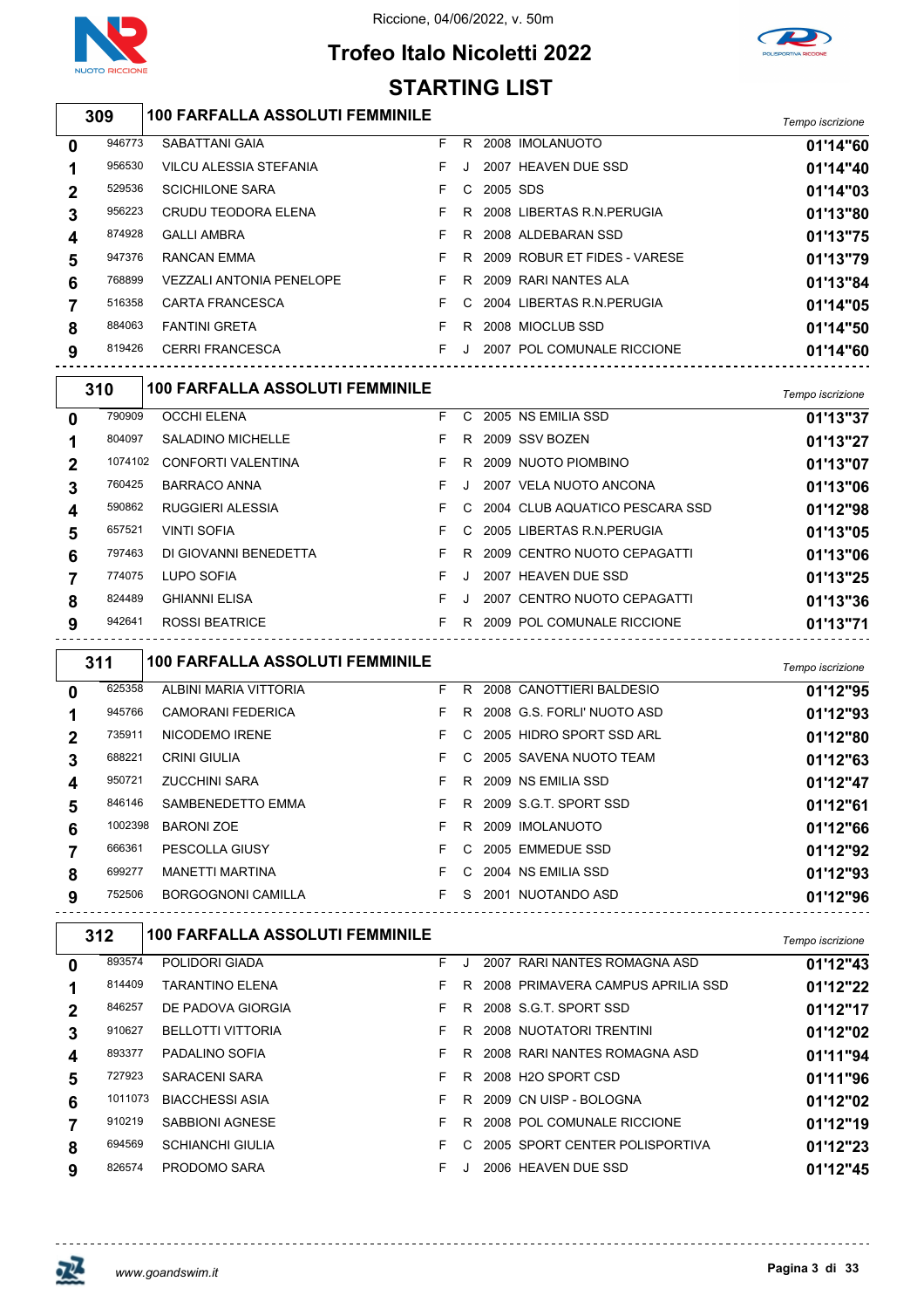

 $\sqrt{2}$ 

Riccione, 04/06/2022, v. 50m



### **Trofeo Italo Nicoletti 2022 STARTING LIST**

| 309    | 100 FARFALLA ASSOLUTI FEMMINILE |     |              |                              | Tempo iscrizione |
|--------|---------------------------------|-----|--------------|------------------------------|------------------|
| 946773 | SABATTANI GAIA                  |     |              | R 2008 IMOLANUOTO            | 01'14"60         |
| 956530 | VILCU ALESSIA STEFANIA          | FJ. |              | 2007 HEAVEN DUE SSD          | 01'14"40         |
| 529536 | <b>SCICHILONE SARA</b>          |     | F C 2005 SDS |                              | 01'14"03         |
| 956223 | CRUDU TEODORA ELENA             |     |              | R 2008 LIBERTAS R.N. PERUGIA | 01'13"80         |

| 529536 | <b>SCICHILONE SARA</b>          |  | C 2005 SDS |                                  | 01'14"03 |
|--------|---------------------------------|--|------------|----------------------------------|----------|
| 956223 | CRUDU TEODORA ELENA             |  |            | R 2008 LIBERTAS R.N.PERUGIA      | 01'13"80 |
| 874928 | <b>GALLI AMBRA</b>              |  |            | R 2008 ALDEBARAN SSD             | 01'13"75 |
| 947376 | RANCAN EMMA                     |  |            | F R 2009 ROBUR ET FIDES - VARESE | 01'13"79 |
| 768899 | <b>VEZZALI ANTONIA PENELOPE</b> |  |            | F R 2009 RARI NANTES ALA         | 01'13"84 |
| 516358 | CARTA FRANCESCA                 |  |            | F C 2004 LIBERTAS R.N. PERUGIA   | 01'14"05 |
| 884063 | <b>FANTINI GRETA</b>            |  |            | F R 2008 MIOCLUB SSD             | 01'14"50 |
| 819426 | <b>CERRI FRANCESCA</b>          |  |            | 2007 POL COMUNALE RICCIONE       | 01'14"60 |

|              | 310     | <b>100 FARFALLA ASSOLUTI FEMMINILE</b> |    |              |                                  | Tempo iscrizione |
|--------------|---------|----------------------------------------|----|--------------|----------------------------------|------------------|
| 0            | 790909  | <b>OCCHI ELENA</b>                     | F. | C.           | 2005 NS EMILIA SSD               | 01'13"37         |
| 1            | 804097  | <b>SALADINO MICHELLE</b>               | F. | R.           | 2009 SSV BOZEN                   | 01'13"27         |
| $\mathbf{2}$ | 1074102 | CONFORTI VALENTINA                     | F. | R.           | 2009 NUOTO PIOMBINO              | 01'13"07         |
| 3            | 760425  | <b>BARRACO ANNA</b>                    | F. | $\cdot$      | 2007 VELA NUOTO ANCONA           | 01'13"06         |
| 4            | 590862  | RUGGIERI ALESSIA                       | F. |              | C 2004 CLUB AQUATICO PESCARA SSD | 01'12"98         |
| 5            | 657521  | <b>VINTI SOFIA</b>                     | F. | $\mathbf{C}$ | 2005 LIBERTAS R.N.PERUGIA        | 01'13"05         |
| 6            | 797463  | DI GIOVANNI BENEDETTA                  | F. | R            | 2009 CENTRO NUOTO CEPAGATTI      | 01'13"06         |
|              | 774075  | LUPO SOFIA                             | F  | J.           | 2007 HEAVEN DUE SSD              | 01'13"25         |
| 8            | 824489  | <b>GHIANNI ELISA</b>                   | F. | J            | 2007 CENTRO NUOTO CEPAGATTI      | 01'13"36         |
| 9            | 942641  | <b>ROSSI BEATRICE</b>                  | F. | R.           | 2009 POL COMUNALE RICCIONE       | 01'13"71         |
|              |         |                                        |    |              |                                  |                  |

|                | 311     | <b>100 FARFALLA ASSOLUTI FEMMINILE</b> |    |    |                              | Tempo iscrizione |
|----------------|---------|----------------------------------------|----|----|------------------------------|------------------|
| 0              | 625358  | ALBINI MARIA VITTORIA                  | F. | R. | 2008 CANOTTIERI BALDESIO     | 01'12"95         |
|                | 945766  | <b>CAMORANI FEDERICA</b>               | F. |    | R 2008 G.S. FORLI' NUOTO ASD | 01'12"93         |
| $\overline{2}$ | 735911  | NICODEMO IRENE                         | F. | C. | 2005 HIDRO SPORT SSD ARL     | 01'12"80         |
| 3              | 688221  | <b>CRINI GIULIA</b>                    | F. |    | C 2005 SAVENA NUOTO TEAM     | 01'12"63         |
| 4              | 950721  | <b>ZUCCHINI SARA</b>                   | F. |    | R 2009 NS EMILIA SSD         | 01'12"47         |
| 5              | 846146  | SAMBENEDETTO EMMA                      |    |    | F R 2009 S.G.T. SPORT SSD    | 01'12"61         |
| 6              | 1002398 | <b>BARONI ZOE</b>                      | F. | R. | 2009 IMOLANUOTO              | 01'12"66         |
|                | 666361  | PESCOLLA GIUSY                         | F. |    | C 2005 EMMEDUE SSD           | 01'12"92         |
| 8              | 699277  | <b>MANETTI MARTINA</b>                 | F. | C. | 2004 NS EMILIA SSD           | 01'12"93         |
| 9              | 752506  | <b>BORGOGNONI CAMILLA</b>              | F. | S. | 2001 NUOTANDO ASD            | 01'12"96         |

|              | 312     | <b>100 FARFALLA ASSOLUTI FEMMINILE</b> |    |    |                                   | Tempo iscrizione |
|--------------|---------|----------------------------------------|----|----|-----------------------------------|------------------|
| 0            | 893574  | POLIDORI GIADA                         | F. |    | 2007 RARI NANTES ROMAGNA ASD      | 01'12"43         |
|              | 814409  | <b>TARANTINO ELENA</b>                 | F. | R. | 2008 PRIMAVERA CAMPUS APRILIA SSD | 01'12"22         |
| $\mathbf{2}$ | 846257  | DE PADOVA GIORGIA                      | F. | R. | 2008 S.G.T. SPORT SSD             | 01'12"17         |
|              | 910627  | <b>BELLOTTI VITTORIA</b>               | F. | R. | 2008 NUOTATORI TRENTINI           | 01'12"02         |
| 4            | 893377  | PADALINO SOFIA                         | F. | R  | 2008 RARI NANTES ROMAGNA ASD      | 01'11"94         |
| 5            | 727923  | SARACENI SARA                          | F. | R. | 2008 H2O SPORT CSD                | 01'11"96         |
| 6            | 1011073 | <b>BIACCHESSI ASIA</b>                 | F. | R. | 2009 CN UISP - BOLOGNA            | 01'12"02         |
|              | 910219  | SABBIONI AGNESE                        | F. | R. | 2008 POL COMUNALE RICCIONE        | 01'12"19         |
| 8            | 694569  | <b>SCHIANCHI GIULIA</b>                | F. | C. | 2005 SPORT CENTER POLISPORTIVA    | 01'12"23         |
| 9            | 826574  | PRODOMO SARA                           | F. |    | 2006 HEAVEN DUE SSD               | 01'12"45         |

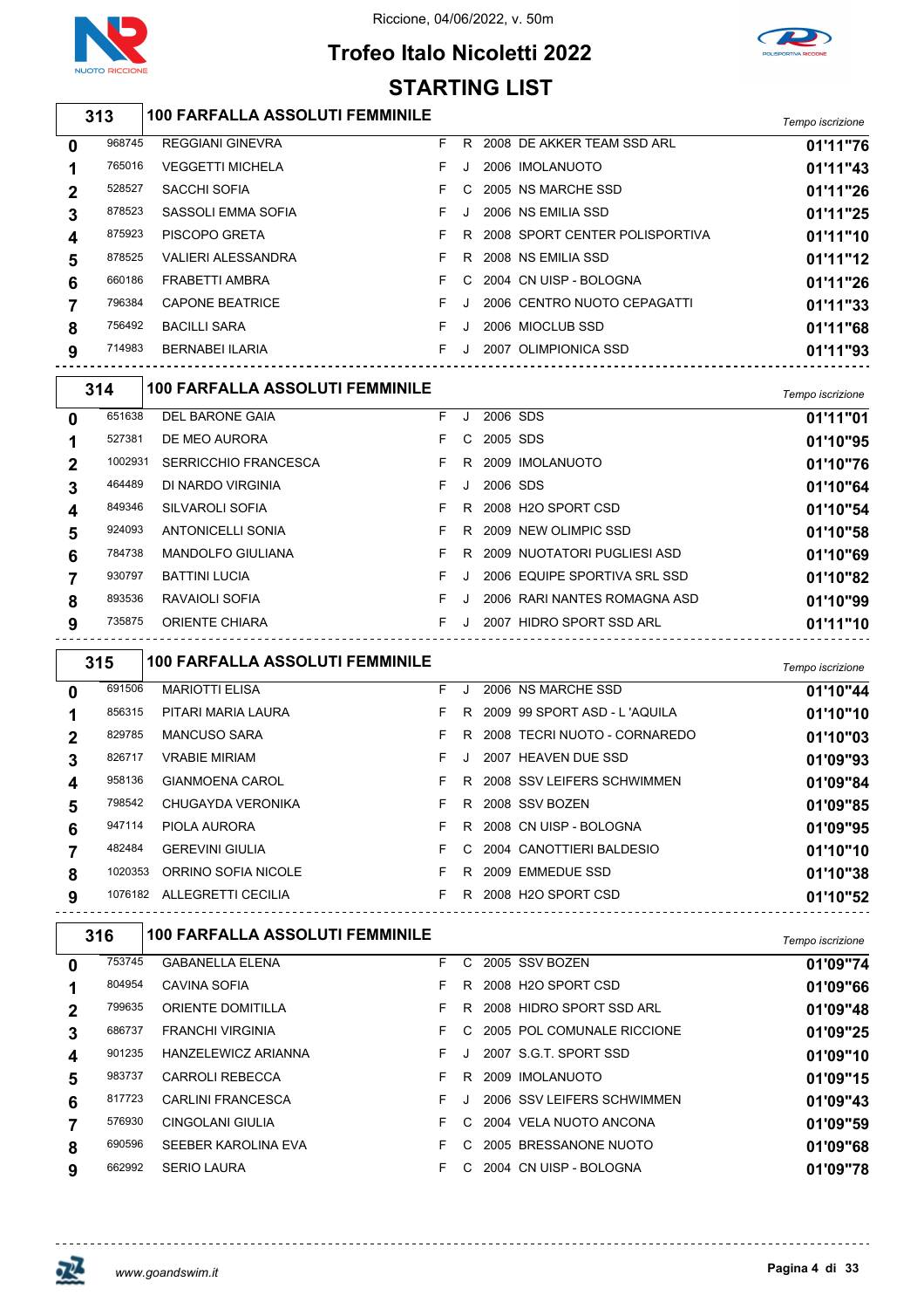



### **Trofeo Italo Nicoletti 2022 STARTING LIST**

|   |         |                                        | 3 I ARTINY LIST |    |    |                                  |                  |
|---|---------|----------------------------------------|-----------------|----|----|----------------------------------|------------------|
|   | 313     | <b>100 FARFALLA ASSOLUTI FEMMINILE</b> |                 |    |    |                                  | Tempo iscrizione |
| 0 | 968745  | <b>REGGIANI GINEVRA</b>                | F               |    |    | R 2008 DE AKKER TEAM SSD ARL     | 01'11"76         |
| 1 | 765016  | <b>VEGGETTI MICHELA</b>                | F               | J  |    | 2006 IMOLANUOTO                  | 01'11"43         |
| 2 | 528527  | SACCHI SOFIA                           | F               | C  |    | 2005 NS MARCHE SSD               | 01'11"26         |
| 3 | 878523  | SASSOLI EMMA SOFIA                     | F               | Π. |    | 2006 NS EMILIA SSD               | 01'11"25         |
| 4 | 875923  | PISCOPO GRETA                          | F               |    |    | R 2008 SPORT CENTER POLISPORTIVA | 01'11"10         |
| 5 | 878525  | <b>VALIERI ALESSANDRA</b>              | F               |    |    | R 2008 NS EMILIA SSD             | 01'11"12         |
| 6 | 660186  | <b>FRABETTI AMBRA</b>                  | F               | C  |    | 2004 CN UISP - BOLOGNA           | 01'11"26         |
| 7 | 796384  | <b>CAPONE BEATRICE</b>                 | F               | J  |    | 2006 CENTRO NUOTO CEPAGATTI      | 01'11"33         |
| 8 | 756492  | <b>BACILLI SARA</b>                    | F               | J  |    | 2006 MIOCLUB SSD                 | 01'11"68         |
| 9 | 714983  | <b>BERNABEI ILARIA</b>                 | F.              | J  |    | 2007 OLIMPIONICA SSD             | 01'11"93         |
|   | 314     | <b>100 FARFALLA ASSOLUTI FEMMINILE</b> |                 |    |    |                                  | Tempo iscrizione |
| 0 | 651638  | DEL BARONE GAIA                        | F.              |    | J. | 2006 SDS                         | 01'11"01         |
| 1 | 527381  | DE MEO AURORA                          | F               |    | C. | 2005 SDS                         | 01'10"95         |
| 2 | 1002931 | <b>SERRICCHIO FRANCESCA</b>            | F               |    |    | R 2009 IMOLANUOTO                | 01'10"76         |
| 3 | 464489  | DI NARDO VIRGINIA                      | F               | J  |    | 2006 SDS                         | 01'10"64         |
| 4 | 849346  | SILVAROLI SOFIA                        | F               |    |    | R 2008 H2O SPORT CSD             | 01'10"54         |
| 5 | 924093  | <b>ANTONICELLI SONIA</b>               | F               |    |    | R 2009 NEW OLIMPIC SSD           | 01'10"58         |
| 6 | 784738  | MANDOLFO GIULIANA                      | F               |    | R  | 2009 NUOTATORI PUGLIESI ASD      | 01'10"69         |
| 7 | 930797  | <b>BATTINI LUCIA</b>                   | F               | J  |    | 2006 EQUIPE SPORTIVA SRL SSD     | 01'10"82         |
| 8 | 893536  | RAVAIOLI SOFIA                         | F.              | J  |    | 2006 RARI NANTES ROMAGNA ASD     | 01'10"99         |
| 9 | 735875  | ORIENTE CHIARA                         | F.              |    | J  | 2007 HIDRO SPORT SSD ARL         | 01'11"10         |
|   | 315     | <b>100 FARFALLA ASSOLUTI FEMMINILE</b> |                 |    |    |                                  | Tempo iscrizione |
| 0 | 691506  | <b>MARIOTTI ELISA</b>                  | F               | J  |    | 2006 NS MARCHE SSD               | 01'10"44         |
| 1 | 856315  | PITARI MARIA LAURA                     | F               |    |    | R 2009 99 SPORT ASD - L'AQUILA   | 01'10"10         |
| 2 | 829785  | <b>MANCUSO SARA</b>                    | F               |    |    | R 2008 TECRI NUOTO - CORNAREDO   | 01'10"03         |
| 3 | 826717  | <b>VRABIE MIRIAM</b>                   | F               |    | J. | 2007 HEAVEN DUE SSD              | 01'09"93         |
| 4 | 958136  | <b>GIANMOENA CAROL</b>                 | F.              |    |    | R 2008 SSV LEIFERS SCHWIMMEN     | 01'09"84         |
| 5 | 798542  | CHUGAYDA VERONIKA                      | F.              |    |    | R 2008 SSV BOZEN                 | 01'09"85         |
| 6 | 947114  | PIOLA AURORA                           | F.              |    |    | R 2008 CN UISP - BOLOGNA         | 01'09"95         |
| 7 | 482484  | <b>GEREVINI GIULIA</b>                 | F.              |    |    | C 2004 CANOTTIERI BALDESIO       | 01'10"10         |
| 8 |         | 1020353 ORRINO SOFIA NICOLE            |                 |    |    | F R 2009 EMMEDUE SSD             | 01'10"38         |
| 9 |         | 1076182 ALLEGRETTI CECILIA             |                 |    |    | F R 2008 H2O SPORT CSD           | 01'10"52         |
|   | 316     | <b>100 FARFALLA ASSOLUTI FEMMINILE</b> |                 |    |    | ----------------------------     | Tempo iscrizione |
| 0 | 753745  | <b>GABANELLA ELENA</b>                 | F.              |    |    | C 2005 SSV BOZEN                 | 01'09"74         |
| 1 | 804954  | CAVINA SOFIA                           | F.              |    |    | R 2008 H2O SPORT CSD             | 01'09"66         |
| 2 | 799635  | ORIENTE DOMITILLA                      | F.              |    |    | R 2008 HIDRO SPORT SSD ARL       | 01'09"48         |
| 3 | 686737  | FRANCHI VIRGINIA                       | F.              |    |    | C 2005 POL COMUNALE RICCIONE     | 01'09"25         |
| 4 | 901235  | HANZELEWICZ ARIANNA                    | F.              |    | J  | 2007 S.G.T. SPORT SSD            | 01'09"10         |
| 5 | 983737  | CARROLI REBECCA                        | F.              |    |    | R 2009 IMOLANUOTO                | 01'09"15         |
| 6 | 817723  | CARLINI FRANCESCA                      | F               |    | J  | 2006 SSV LEIFERS SCHWIMMEN       | 01'09"43         |
| 7 | 576930  | CINGOLANI GIULIA                       | F.              |    |    | C 2004 VELA NUOTO ANCONA         | 01'09"59         |
| 8 | 690596  | SEEBER KAROLINA EVA                    |                 |    |    | F C 2005 BRESSANONE NUOTO        | 01'09"68         |
|   |         |                                        |                 |    |    |                                  |                  |

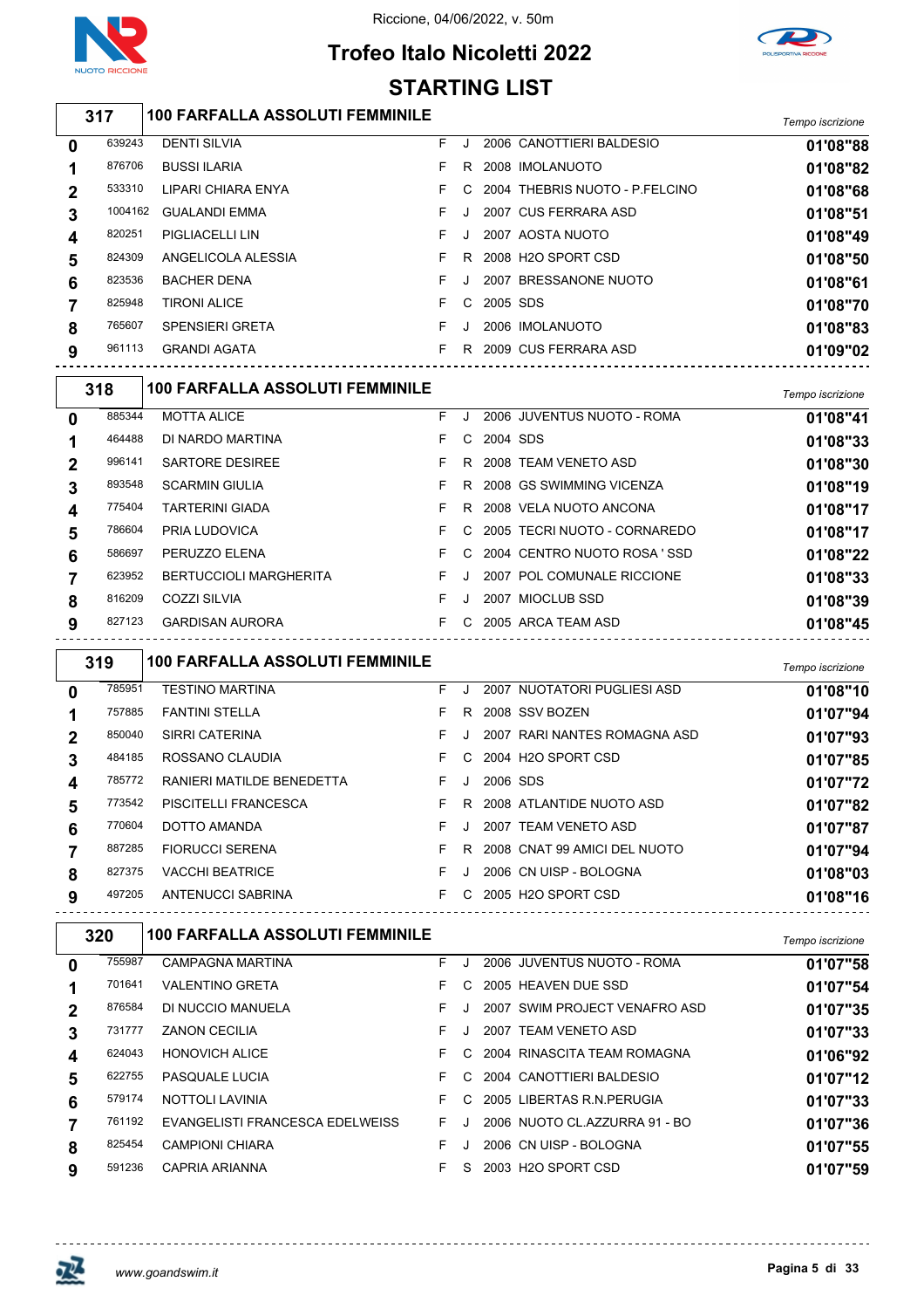



### **Trofeo Italo Nicoletti 2022 STARTING LIST**

# *Tempo iscrizione* **100 FARFALLA ASSOLUTI FEMMINILE**

| 0           | 639243  | <b>DENTI SILVIA</b>    | J       |            | 2006 CANOTTIERI BALDESIO         | 01'08"88 |
|-------------|---------|------------------------|---------|------------|----------------------------------|----------|
|             | 876706  | <b>BUSSI ILARIA</b>    | R       |            | 2008 IMOLANUOTO                  | 01'08"82 |
| $\mathbf 2$ | 533310  | LIPARI CHIARA ENYA     |         |            | C 2004 THEBRIS NUOTO - P.FELCINO | 01'08"68 |
| 3           | 1004162 | <b>GUALANDI EMMA</b>   | $\cdot$ |            | 2007 CUS FERRARA ASD             | 01'08"51 |
| 4           | 820251  | <b>PIGLIACELLI LIN</b> | J       |            | 2007 AOSTA NUOTO                 | 01'08"49 |
| 5           | 824309  | ANGELICOLA ALESSIA     | R.      |            | 2008 H2O SPORT CSD               | 01'08"50 |
| 6           | 823536  | <b>BACHER DENA</b>     | $\cdot$ |            | 2007 BRESSANONE NUOTO            | 01'08"61 |
|             | 825948  | <b>TIRONI ALICE</b>    |         | C 2005 SDS |                                  | 01'08"70 |
| 8           | 765607  | <b>SPENSIERI GRETA</b> | $\cdot$ |            | 2006 IMOLANUOTO                  | 01'08"83 |
| 9           | 961113  | <b>GRANDI AGATA</b>    |         |            | R 2009 CUS FERRARA ASD           | 01'09"02 |
|             |         |                        |         |            |                                  |          |

|              | 318    | <b>100 FARFALLA ASSOLUTI FEMMINILE</b> |    |              |                                | Tempo iscrizione |
|--------------|--------|----------------------------------------|----|--------------|--------------------------------|------------------|
| $\mathbf{0}$ | 885344 | <b>MOTTA ALICE</b>                     | F. | $\mathbf{J}$ | 2006 JUVENTUS NUOTO - ROMA     | 01'08"41         |
| 1            | 464488 | DI NARDO MARTINA                       | F. |              | C 2004 SDS                     | 01'08"33         |
| $\mathbf{2}$ | 996141 | SARTORE DESIREE                        | F. |              | R 2008 TEAM VENETO ASD         | 01'08"30         |
| 3            | 893548 | <b>SCARMIN GIULIA</b>                  | F. | R.           | 2008 GS SWIMMING VICENZA       | 01'08"19         |
| 4            | 775404 | <b>TARTERINI GIADA</b>                 | F. |              | R 2008 VELA NUOTO ANCONA       | 01'08"17         |
| 5            | 786604 | <b>PRIA LUDOVICA</b>                   | F. |              | C 2005 TECRI NUOTO - CORNAREDO | 01'08"17         |
| 6            | 586697 | PERUZZO ELENA                          | F. |              | C 2004 CENTRO NUOTO ROSA 'SSD  | 01'08"22         |
|              | 623952 | <b>BERTUCCIOLI MARGHERITA</b>          | F. | J            | 2007 POL COMUNALE RICCIONE     | 01'08"33         |
| 8            | 816209 | COZZI SILVIA                           | F. | $\cdot$      | 2007 MIOCLUB SSD               | 01'08"39         |
| 9            | 827123 | <b>GARDISAN AURORA</b>                 | F. |              | C 2005 ARCA TEAM ASD           | 01'08"45         |

|              | 319    | <b>100 FARFALLA ASSOLUTI FEMMINILE</b> |    |         |          |                              | Tempo iscrizione |
|--------------|--------|----------------------------------------|----|---------|----------|------------------------------|------------------|
| $\mathbf{0}$ | 785951 | <b>TESTINO MARTINA</b>                 | F. | $\cdot$ |          | 2007 NUOTATORI PUGLIESI ASD  | 01'08"10         |
|              | 757885 | <b>FANTINI STELLA</b>                  | F. | R.      |          | 2008 SSV BOZEN               | 01'07"94         |
| $\mathbf{2}$ | 850040 | SIRRI CATERINA                         | F. |         |          | 2007 RARI NANTES ROMAGNA ASD | 01'07"93         |
| 3            | 484185 | ROSSANO CLAUDIA                        | F. |         |          | C 2004 H2O SPORT CSD         | 01'07"85         |
| 4            | 785772 | RANIERI MATILDE BENEDETTA              | F. |         | 2006 SDS |                              | 01'07"72         |
| 5            | 773542 | <b>PISCITELLI FRANCESCA</b>            | F. | R       |          | 2008 ATLANTIDE NUOTO ASD     | 01'07"82         |
| 6            | 770604 | DOTTO AMANDA                           | F. | $\cdot$ |          | 2007 TEAM VENETO ASD         | 01'07"87         |
|              | 887285 | <b>FIORUCCI SERENA</b>                 | F. | R.      |          | 2008 CNAT 99 AMICI DEL NUOTO | 01'07"94         |
| 8            | 827375 | <b>VACCHI BEATRICE</b>                 | F. | $\cdot$ |          | 2006 CN UISP - BOLOGNA       | 01'08"03         |
| 9            | 497205 | ANTENUCCI SABRINA                      | F. |         |          | C 2005 H2O SPORT CSD         | 01'08"16         |
|              |        |                                        |    |         |          |                              |                  |

|              | 320    | <b>100 FARFALLA ASSOLUTI FEMMINILE</b> |    |    |                               | Tempo iscrizione |
|--------------|--------|----------------------------------------|----|----|-------------------------------|------------------|
| $\mathbf{0}$ | 755987 | <b>CAMPAGNA MARTINA</b>                | F. |    | 2006 JUVENTUS NUOTO - ROMA    | 01'07"58         |
|              | 701641 | <b>VALENTINO GRETA</b>                 | F. | C. | 2005 HEAVEN DUE SSD           | 01'07"54         |
| $\mathbf 2$  | 876584 | DI NUCCIO MANUELA                      | F. |    | 2007 SWIM PROJECT VENAFRO ASD | 01'07"35         |
| 3            | 731777 | <b>ZANON CECILIA</b>                   | F. |    | 2007 TEAM VENETO ASD          | 01'07"33         |
| 4            | 624043 | <b>HONOVICH ALICE</b>                  | F. | C. | 2004 RINASCITA TEAM ROMAGNA   | 01'06"92         |
| 5            | 622755 | <b>PASQUALE LUCIA</b>                  | F. | C. | 2004 CANOTTIERI BALDESIO      | 01'07"12         |
| 6            | 579174 | <b>NOTTOLI LAVINIA</b>                 | F. | C. | 2005 LIBERTAS R.N. PERUGIA    | 01'07"33         |
|              | 761192 | EVANGELISTI FRANCESCA EDELWEISS        | F. |    | 2006 NUOTO CL.AZZURRA 91 - BO | 01'07"36         |
| 8            | 825454 | <b>CAMPIONI CHIARA</b>                 | F. |    | 2006 CN UISP - BOLOGNA        | 01'07"55         |
| 9            | 591236 | CAPRIA ARIANNA                         | F. | S. | 2003 H2O SPORT CSD            | 01'07"59         |

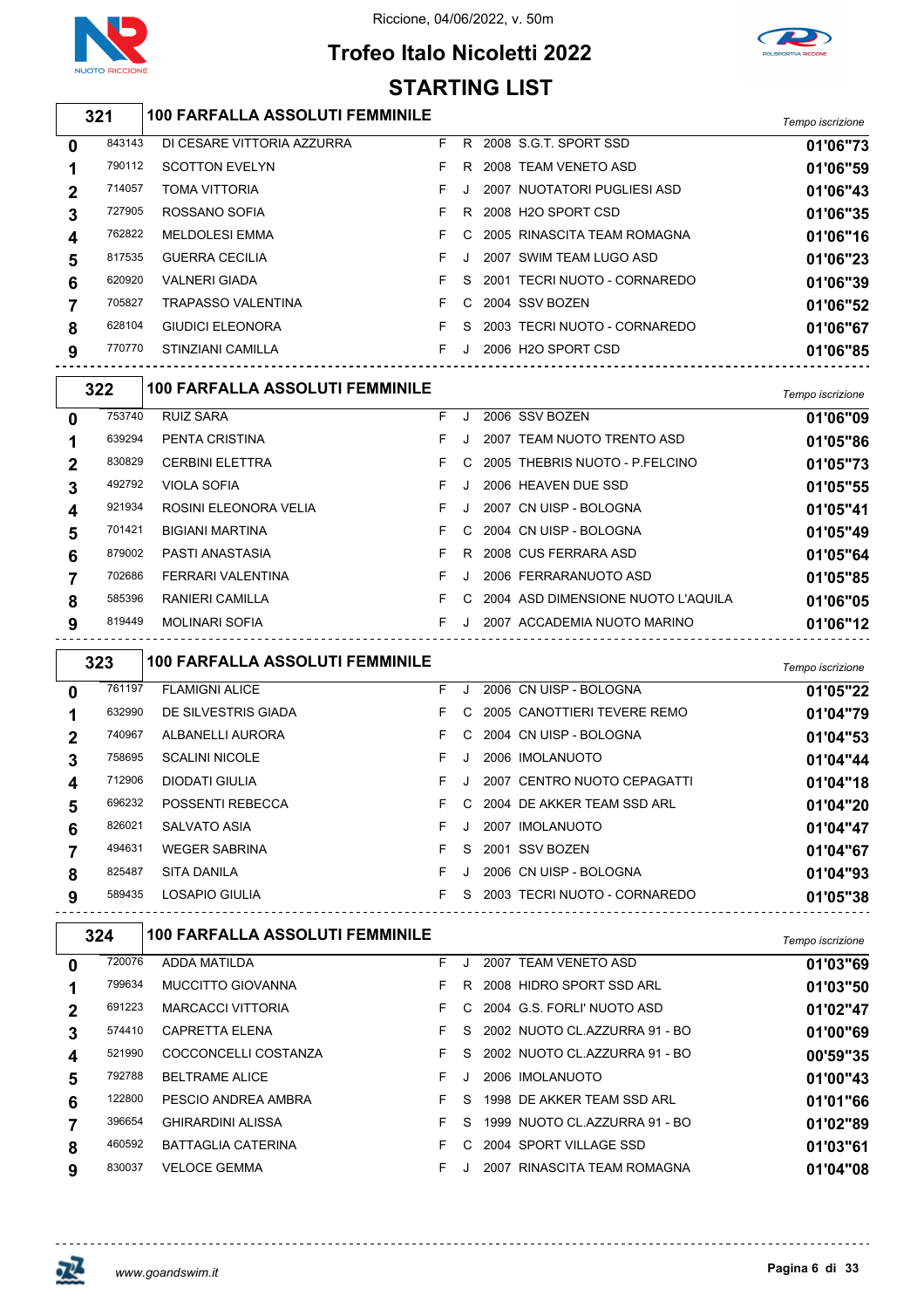



# **Trofeo Italo Nicoletti 2022**

|             | <b>STARTING LIST</b> |                                        |    |         |  |                                    |                  |  |  |  |  |
|-------------|----------------------|----------------------------------------|----|---------|--|------------------------------------|------------------|--|--|--|--|
|             | 321                  | <b>100 FARFALLA ASSOLUTI FEMMINILE</b> |    |         |  |                                    | Tempo iscrizione |  |  |  |  |
| 0           | 843143               | DI CESARE VITTORIA AZZURRA             | F  |         |  | R 2008 S.G.T. SPORT SSD            | 01'06"73         |  |  |  |  |
| 1           | 790112               | <b>SCOTTON EVELYN</b>                  | F  | R       |  | 2008 TEAM VENETO ASD               | 01'06"59         |  |  |  |  |
| 2           | 714057               | <b>TOMA VITTORIA</b>                   | F  | $\cdot$ |  | 2007 NUOTATORI PUGLIESI ASD        | 01'06"43         |  |  |  |  |
| 3           | 727905               | ROSSANO SOFIA                          | F  | R.      |  | 2008 H2O SPORT CSD                 | 01'06"35         |  |  |  |  |
| 4           | 762822               | <b>MELDOLESI EMMA</b>                  | F  | C       |  | 2005 RINASCITA TEAM ROMAGNA        | 01'06"16         |  |  |  |  |
| 5           | 817535               | <b>GUERRA CECILIA</b>                  | F  | J       |  | 2007 SWIM TEAM LUGO ASD            | 01'06"23         |  |  |  |  |
| 6           | 620920               | <b>VALNERI GIADA</b>                   | F  | S       |  | 2001 TECRI NUOTO - CORNAREDO       | 01'06"39         |  |  |  |  |
| 7           | 705827               | <b>TRAPASSO VALENTINA</b>              | F  | C       |  | 2004 SSV BOZEN                     | 01'06"52         |  |  |  |  |
| 8           | 628104               | <b>GIUDICI ELEONORA</b>                | F. | S       |  | 2003 TECRI NUOTO - CORNAREDO       | 01'06"67         |  |  |  |  |
| 9           | 770770               | STINZIANI CAMILLA                      | F  | J       |  | 2006 H2O SPORT CSD                 | 01'06"85         |  |  |  |  |
|             | 322                  | <b>100 FARFALLA ASSOLUTI FEMMINILE</b> |    |         |  |                                    | Tempo iscrizione |  |  |  |  |
| 0           | 753740               | <b>RUIZ SARA</b>                       | F  | J       |  | 2006 SSV BOZEN                     | 01'06"09         |  |  |  |  |
| 1           | 639294               | PENTA CRISTINA                         | F  | J       |  | 2007 TEAM NUOTO TRENTO ASD         | 01'05"86         |  |  |  |  |
| 2           | 830829               | <b>CERBINI ELETTRA</b>                 | F  | C       |  | 2005 THEBRIS NUOTO - P.FELCINO     | 01'05"73         |  |  |  |  |
| 3           | 492792               | VIOLA SOFIA                            | F  | J       |  | 2006 HEAVEN DUE SSD                | 01'05"55         |  |  |  |  |
| 4           | 921934               | ROSINI ELEONORA VELIA                  | F  | J       |  | 2007 CN UISP - BOLOGNA             | 01'05"41         |  |  |  |  |
| 5           | 701421               | <b>BIGIANI MARTINA</b>                 | F  | C       |  | 2004 CN UISP - BOLOGNA             | 01'05"49         |  |  |  |  |
| 6           | 879002               | PASTI ANASTASIA                        | F  | R       |  | 2008 CUS FERRARA ASD               | 01'05"64         |  |  |  |  |
| 7           | 702686               | FERRARI VALENTINA                      | F  | J       |  | 2006 FERRARANUOTO ASD              | 01'05"85         |  |  |  |  |
| 8           | 585396               | RANIERI CAMILLA                        | F. | C       |  | 2004 ASD DIMENSIONE NUOTO L'AQUILA | 01'06"05         |  |  |  |  |
| 9           | 819449               | <b>MOLINARI SOFIA</b>                  | F  | J       |  | 2007 ACCADEMIA NUOTO MARINO        | 01'06"12         |  |  |  |  |
|             | 323                  | <b>100 FARFALLA ASSOLUTI FEMMINILE</b> |    |         |  |                                    | Tempo iscrizione |  |  |  |  |
| 0           | 761197               | <b>FLAMIGNI ALICE</b>                  | F  | J       |  | 2006 CN UISP - BOLOGNA             | 01'05"22         |  |  |  |  |
| 1           | 632990               | DE SILVESTRIS GIADA                    | F  | C       |  | 2005 CANOTTIERI TEVERE REMO        | 01'04"79         |  |  |  |  |
| 2           | 740967               | ALBANELLI AURORA                       | F  | C       |  | 2004 CN UISP - BOLOGNA             | 01'04"53         |  |  |  |  |
| 3           | 758695               | <b>SCALINI NICOLE</b>                  | F  | J       |  | 2006 IMOLANUOTO                    | 01'04"44         |  |  |  |  |
| 4           | 712906               | <b>DIODATI GIULIA</b>                  | F. | J       |  | 2007 CENTRO NUOTO CEPAGATTI        | 01'04"18         |  |  |  |  |
| 5           | 696232               | POSSENTI REBECCA                       | F. | C       |  | 2004 DE AKKER TEAM SSD ARL         | 01'04"20         |  |  |  |  |
| 6           | 826021               | <b>SALVATO ASIA</b>                    | F  | J       |  | 2007 IMOLANUOTO                    | 01'04"47         |  |  |  |  |
| 7           | 494631               | <b>WEGER SABRINA</b>                   | F  | S       |  | 2001 SSV BOZEN                     | 01'04"67         |  |  |  |  |
| 8           | 825487               | SITA DANILA                            | F. | J       |  | 2006 CN UISP - BOLOGNA             | 01'04"93         |  |  |  |  |
| 9           | 589435               | LOSAPIO GIULIA                         |    |         |  | F S 2003 TECRI NUOTO - CORNAREDO   | 01'05"38         |  |  |  |  |
|             | 324                  | <b>100 FARFALLA ASSOLUTI FEMMINILE</b> |    |         |  |                                    | Tempo iscrizione |  |  |  |  |
| 0           | 720076               | ADDA MATILDA                           | F  | J       |  | 2007 TEAM VENETO ASD               | 01'03"69         |  |  |  |  |
| 1           | 799634               | MUCCITTO GIOVANNA                      | F  |         |  | R 2008 HIDRO SPORT SSD ARL         | 01'03"50         |  |  |  |  |
| $\mathbf 2$ | 691223               | <b>MARCACCI VITTORIA</b>               | F  |         |  | C 2004 G.S. FORLI' NUOTO ASD       | 01'02"47         |  |  |  |  |
| 3           | 574410               | CAPRETTA ELENA                         | F  | S       |  | 2002 NUOTO CL.AZZURRA 91 - BO      | 01'00"69         |  |  |  |  |
| 4           | 521990               | COCCONCELLI COSTANZA                   | F. | S       |  | 2002 NUOTO CL.AZZURRA 91 - BO      | 00'59"35         |  |  |  |  |
| 5           | 792788               | <b>BELTRAME ALICE</b>                  | F  | J       |  | 2006 IMOLANUOTO                    | 01'00"43         |  |  |  |  |
| 6           | 122800               | PESCIO ANDREA AMBRA                    | F  |         |  | S 1998 DE AKKER TEAM SSD ARL       | 01'01"66         |  |  |  |  |
| 7           | 396654               | GHIRARDINI ALISSA                      | F. | S       |  | 1999 NUOTO CL.AZZURRA 91 - BO      | 01'02"89         |  |  |  |  |
| 8           | 460592               | <b>BATTAGLIA CATERINA</b>              | F. |         |  | C 2004 SPORT VILLAGE SSD           | 01'03"61         |  |  |  |  |

VELOCE GEMMA F J 2007 RINASCITA TEAM ROMAGNA **01'04"08**

巫

 $\frac{1}{2}$ 

 $- - - - - -$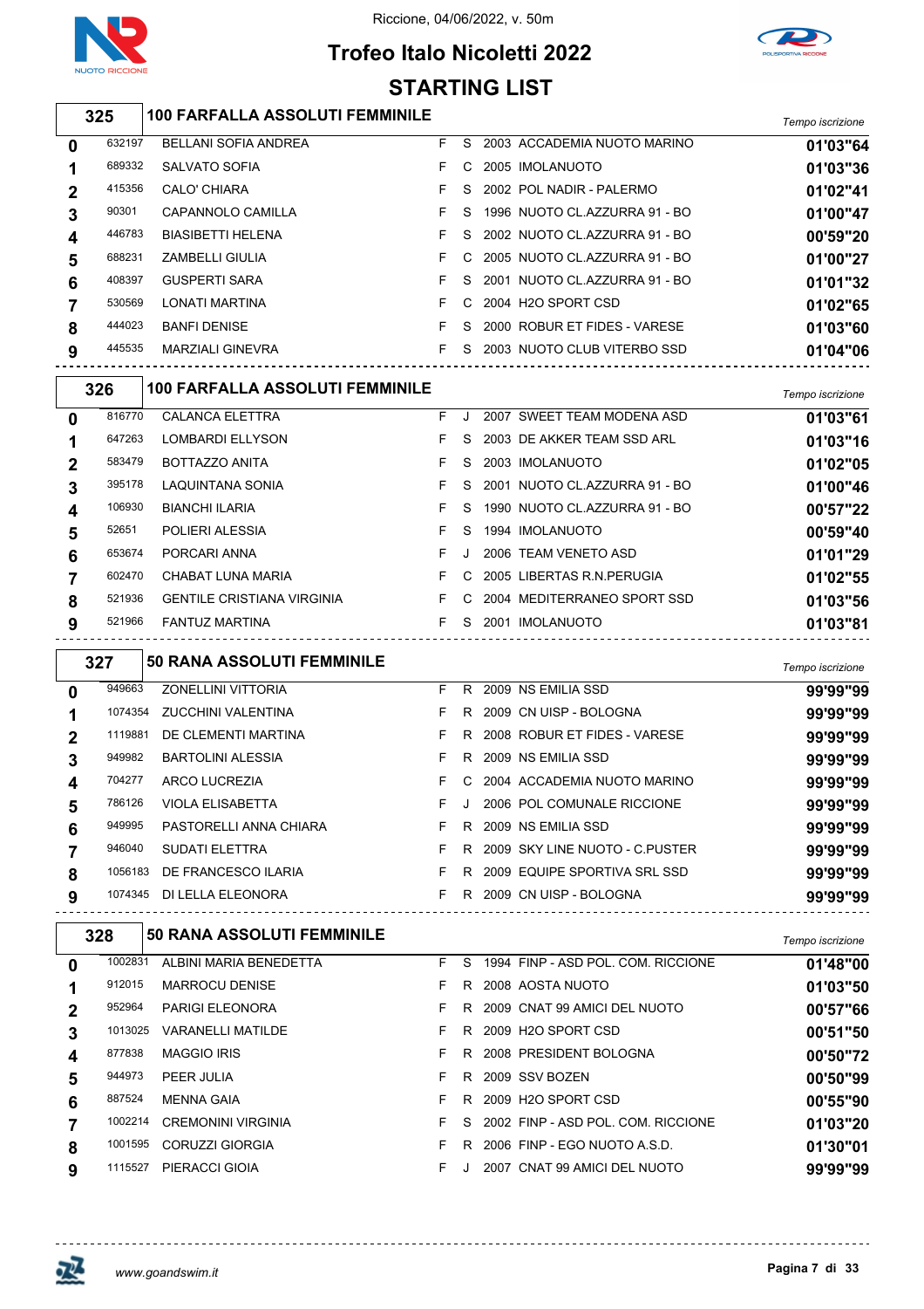

### **Trofeo Italo Nicoletti 2022**



#### *Tempo iscrizione* **100 FARFALLA ASSOLUTI FEMMINILE** BELLANI SOFIA ANDREA F S 2003 ACCADEMIA NUOTO MARINO **01'03"64** SALVATO SOFIA F C 2005 IMOLANUOTO **01'03"36** CALO' CHIARA F S 2002 POL NADIR - PALERMO **01'02"41** CAPANNOLO CAMILLA F S 1996 NUOTO CL.AZZURRA 91 - BO **01'00"47** BIASIBETTI HELENA F S 2002 NUOTO CL.AZZURRA 91 - BO **00'59"20** ZAMBELLI GIULIA F C 2005 NUOTO CL.AZZURRA 91 - BO **01'00"27** GUSPERTI SARA F S 2001 NUOTO CL.AZZURRA 91 - BO **01'01"32** LONATI MARTINA F C 2004 H2O SPORT CSD **01'02"65** BANFI DENISE F S 2000 ROBUR ET FIDES - VARESE **01'03"60** MARZIALI GINEVRA F S 2003 NUOTO CLUB VITERBO SSD **01'04"06** *Tempo iscrizione* **100 FARFALLA ASSOLUTI FEMMINILE** CALANCA ELETTRA F J 2007 SWEET TEAM MODENA ASD **01'03"61** LOMBARDI ELLYSON F S 2003 DE AKKER TEAM SSD ARL **01'03"16** BOTTAZZO ANITA F S 2003 IMOLANUOTO **01'02"05** LAQUINTANA SONIA F S 2001 NUOTO CL.AZZURRA 91 - BO **01'00"46** BIANCHI ILARIA F S 1990 NUOTO CL.AZZURRA 91 - BO **00'57"22** POLIERI ALESSIA F S 1994 IMOLANUOTO **00'59"40** PORCARI ANNA F J 2006 TEAM VENETO ASD **01'01"29** CHABAT LUNA MARIA F C 2005 LIBERTAS R.N.PERUGIA **01'02"55** GENTILE CRISTIANA VIRGINIA F C 2004 MEDITERRANEO SPORT SSD **01'03"56** FANTUZ MARTINA F S 2001 IMOLANUOTO **01'03"81** *Tempo iscrizione* **50 RANA ASSOLUTI FEMMINILE** ZONELLINI VITTORIA F R 2009 NS EMILIA SSD **99'99"99** ZUCCHINI VALENTINA F R 2009 CN UISP - BOLOGNA **99'99"99** DE CLEMENTI MARTINA F R 2008 ROBUR ET FIDES - VARESE **99'99"99** BARTOLINI ALESSIA F R 2009 NS EMILIA SSD **99'99"99** ARCO LUCREZIA F C 2004 ACCADEMIA NUOTO MARINO **99'99"99** VIOLA ELISABETTA F J 2006 POL COMUNALE RICCIONE **99'99"99** PASTORELLI ANNA CHIARA F R 2009 NS EMILIA SSD **99'99"99** SUDATI ELETTRA F R 2009 SKY LINE NUOTO - C.PUSTER **99'99"99** DE FRANCESCO ILARIA F R 2009 EQUIPE SPORTIVA SRL SSD **99'99"99** DI LELLA ELEONORA F R 2009 CN UISP - BOLOGNA **99'99"99** *Tempo iscrizione* **50 RANA ASSOLUTI FEMMINILE** ALBINI MARIA BENEDETTA F S 1994 FINP - ASD POL. COM. RICCIONE **01'48"00** MARROCU DENISE F R 2008 AOSTA NUOTO **01'03"50** PARIGI ELEONORA F R 2009 CNAT 99 AMICI DEL NUOTO **00'57"66** VARANELLI MATILDE F R 2009 H2O SPORT CSD **00'51"50** MAGGIO IRIS F R 2008 PRESIDENT BOLOGNA **00'50"72** PEER JULIA F R 2009 SSV BOZEN **00'50"99 STARTING LIST**

MENNA GAIA F R 2009 H2O SPORT CSD **00'55"90**

CREMONINI VIRGINIA F S 2002 FINP - ASD POL. COM. RICCIONE **01'03"20**

CORUZZI GIORGIA F R 2006 FINP - EGO NUOTO A.S.D. **01'30"01**

PIERACCI GIOIA F J 2007 CNAT 99 AMICI DEL NUOTO **99'99"99**

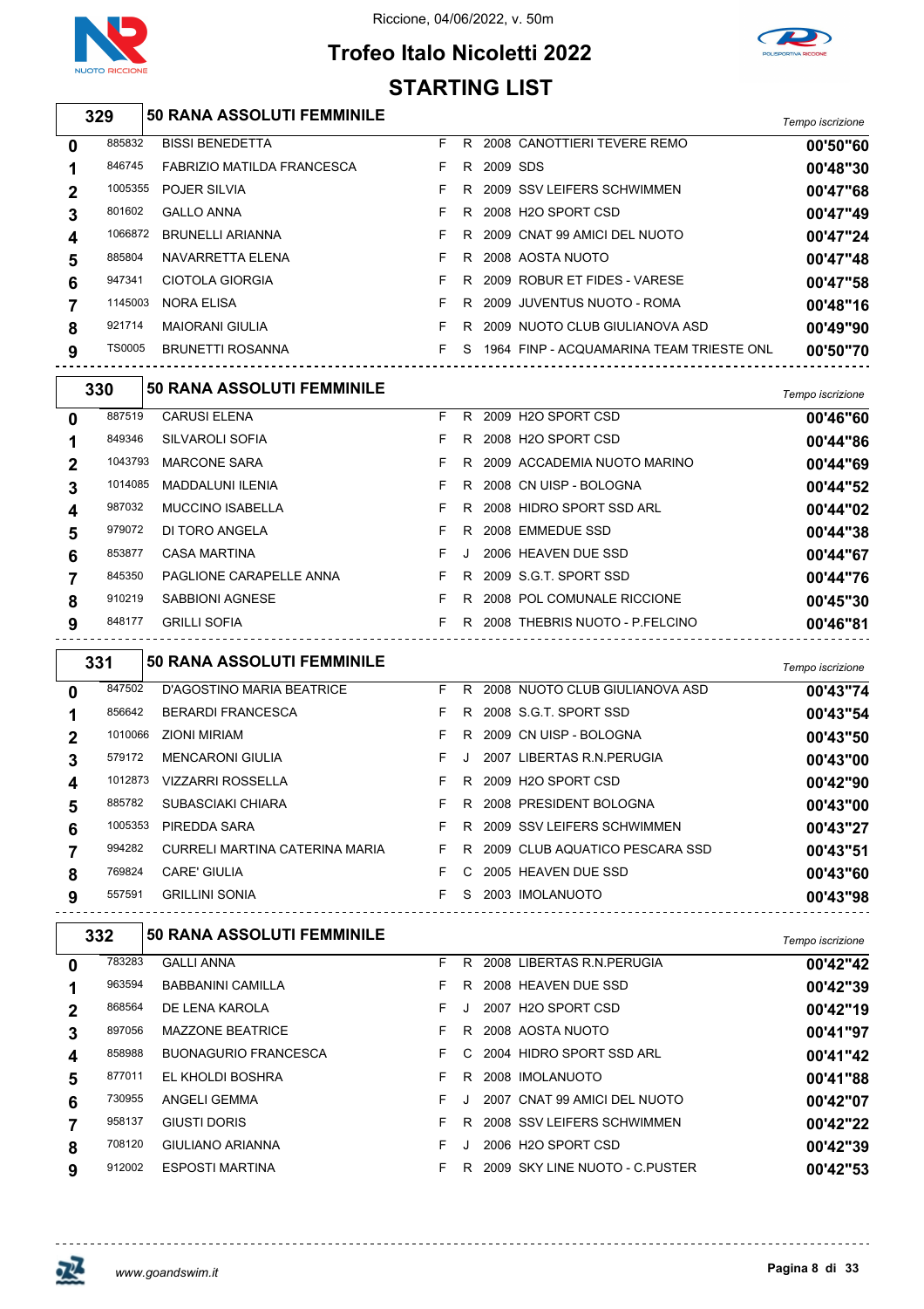



### **Trofeo Italo Nicoletti 2022 STARTING LIST**

| 329    | <b>50 RANA ASSOLUTI FEMMINILE</b> |                                  | Tempo iscrizione |
|--------|-----------------------------------|----------------------------------|------------------|
| 885832 | <b>BISSI BENEDETTA</b>            | 2008 CANOTTIERI TEVERE REMO<br>R | 00'50"6          |

| 0            | 885832        | <b>BISSI BENEDETTA</b>            |    |    |          | R 2008 CANOTTIERI TEVERE REMO            | 00'50"60 |
|--------------|---------------|-----------------------------------|----|----|----------|------------------------------------------|----------|
|              | 846745        | <b>FABRIZIO MATILDA FRANCESCA</b> | F. | R. | 2009 SDS |                                          | 00'48"30 |
| $\mathbf{2}$ | 1005355       | <b>POJER SILVIA</b>               |    | R. |          | 2009 SSV LEIFERS SCHWIMMEN               | 00'47"68 |
| 3            | 801602        | <b>GALLO ANNA</b>                 |    | R  |          | 2008 H2O SPORT CSD                       | 00'47"49 |
| 4            | 1066872       | <b>BRUNELLI ARIANNA</b>           |    |    |          | R 2009 CNAT 99 AMICI DEL NUOTO           | 00'47"24 |
| 5            | 885804        | NAVARRETTA ELENA                  |    | R. |          | 2008 AOSTA NUOTO                         | 00'47"48 |
| 6            | 947341        | CIOTOLA GIORGIA                   |    | R. |          | 2009 ROBUR ET FIDES - VARESE             | 00'47"58 |
|              | 1145003       | <b>NORA ELISA</b>                 |    |    |          | R 2009 JUVENTUS NUOTO - ROMA             | 00'48"16 |
| 8            | 921714        | <b>MAIORANI GIULIA</b>            |    | R  |          | 2009 NUOTO CLUB GIULIANOVA ASD           | 00'49"90 |
| 9            | <b>TS0005</b> | <b>BRUNETTI ROSANNA</b>           |    | S. |          | 1964 FINP - ACQUAMARINA TEAM TRIESTE ONL | 00'50"70 |
|              |               |                                   |    |    |          |                                          |          |

|   | 330     | <b>50 RANA ASSOLUTI FEMMINILE</b> |    |    |                                | Tempo iscrizione |
|---|---------|-----------------------------------|----|----|--------------------------------|------------------|
| 0 | 887519  | <b>CARUSI ELENA</b>               | F. | R. | 2009 H2O SPORT CSD             | 00'46"60         |
|   | 849346  | SILVAROLI SOFIA                   | F. | R. | 2008 H2O SPORT CSD             | 00'44"86         |
| 2 | 1043793 | <b>MARCONE SARA</b>               | F. | R. | 2009 ACCADEMIA NUOTO MARINO    | 00'44"69         |
| 3 | 1014085 | <b>MADDALUNI ILENIA</b>           | F. | R. | 2008 CN UISP - BOLOGNA         | 00'44"52         |
| 4 | 987032  | <b>MUCCINO ISABELLA</b>           | F  | R. | 2008 HIDRO SPORT SSD ARL       | 00'44"02         |
| 5 | 979072  | DI TORO ANGELA                    | F. | R. | 2008 EMMEDUE SSD               | 00'44"38         |
| 6 | 853877  | <b>CASA MARTINA</b>               | F. | J. | 2006 HEAVEN DUE SSD            | 00'44"67         |
|   | 845350  | <b>PAGLIONE CARAPELLE ANNA</b>    | F. | R. | 2009 S.G.T. SPORT SSD          | 00'44"76         |
| 8 | 910219  | SABBIONI AGNESE                   | F  | R  | 2008 POL COMUNALE RICCIONE     | 00'45"30         |
| 9 | 848177  | <b>GRILLI SOFIA</b>               | F  | R  | 2008 THEBRIS NUOTO - P.FELCINO | 00'46"81         |

|             | 331     | <b>50 RANA ASSOLUTI FEMMINILE</b> |    |         |                                | Tempo iscrizione |
|-------------|---------|-----------------------------------|----|---------|--------------------------------|------------------|
| 0           | 847502  | D'AGOSTINO MARIA BEATRICE         | F  | R.      | 2008 NUOTO CLUB GIULIANOVA ASD | 00'43"74         |
|             | 856642  | <b>BERARDI FRANCESCA</b>          | F  | R.      | 2008 S.G.T. SPORT SSD          | 00'43"54         |
| $\mathbf 2$ | 1010066 | <b>ZIONI MIRIAM</b>               | F  | R.      | 2009 CN UISP - BOLOGNA         | 00'43"50         |
| 3           | 579172  | <b>MENCARONI GIULIA</b>           | F  | $\cdot$ | 2007 LIBERTAS R.N. PERUGIA     | 00'43"00         |
| 4           | 1012873 | <b>VIZZARRI ROSSELLA</b>          | F. |         | R 2009 H2O SPORT CSD           | 00'42"90         |
| 5           | 885782  | SUBASCIAKI CHIARA                 | F. | R       | 2008 PRESIDENT BOLOGNA         | 00'43"00         |
| 6           | 1005353 | PIREDDA SARA                      | F. |         | R 2009 SSV LEIFERS SCHWIMMEN   | 00'43"27         |
|             | 994282  | CURRELI MARTINA CATERINA MARIA    | F. | R       | 2009 CLUB AQUATICO PESCARA SSD | 00'43"51         |
| 8           | 769824  | <b>CARE' GIULIA</b>               | F. | C.      | 2005 HEAVEN DUE SSD            | 00'43"60         |
| 9           | 557591  | <b>GRILLINI SONIA</b>             | F. | S.      | 2003 IMOLANUOTO                | 00'43"98         |

|             | 332    | <b>50 RANA ASSOLUTI FEMMINILE</b> |    |    |                                 | Tempo iscrizione |
|-------------|--------|-----------------------------------|----|----|---------------------------------|------------------|
| $\bf{0}$    | 783283 | <b>GALLI ANNA</b>                 | F. | R  | 2008 LIBERTAS R.N. PERUGIA      | 00'42"42         |
|             | 963594 | <b>BABBANINI CAMILLA</b>          | F. | R  | 2008 HEAVEN DUE SSD             | 00'42"39         |
| $\mathbf 2$ | 868564 | DE LENA KAROLA                    | F. |    | 2007 H2O SPORT CSD              | 00'42"19         |
| 3           | 897056 | <b>MAZZONE BEATRICE</b>           | F. | R. | 2008 AOSTA NUOTO                | 00'41"97         |
| 4           | 858988 | <b>BUONAGURIO FRANCESCA</b>       | F. |    | C 2004 HIDRO SPORT SSD ARL      | 00'41"42         |
| 5           | 877011 | EL KHOLDI BOSHRA                  | F. | R. | 2008 IMOLANUOTO                 | 00'41"88         |
| 6           | 730955 | ANGELI GEMMA                      | F. |    | 2007 CNAT 99 AMICI DEL NUOTO    | 00'42"07         |
|             | 958137 | GIUSTI DORIS                      | F. | R  | 2008 SSV LEIFERS SCHWIMMEN      | 00'42"22         |
| 8           | 708120 | GIULIANO ARIANNA                  | F. |    | 2006 H <sub>2</sub> O SPORT CSD | 00'42"39         |
| 9           | 912002 | <b>ESPOSTI MARTINA</b>            | F. | R  | 2009 SKY LINE NUOTO - C PUSTER  | 00'42"53         |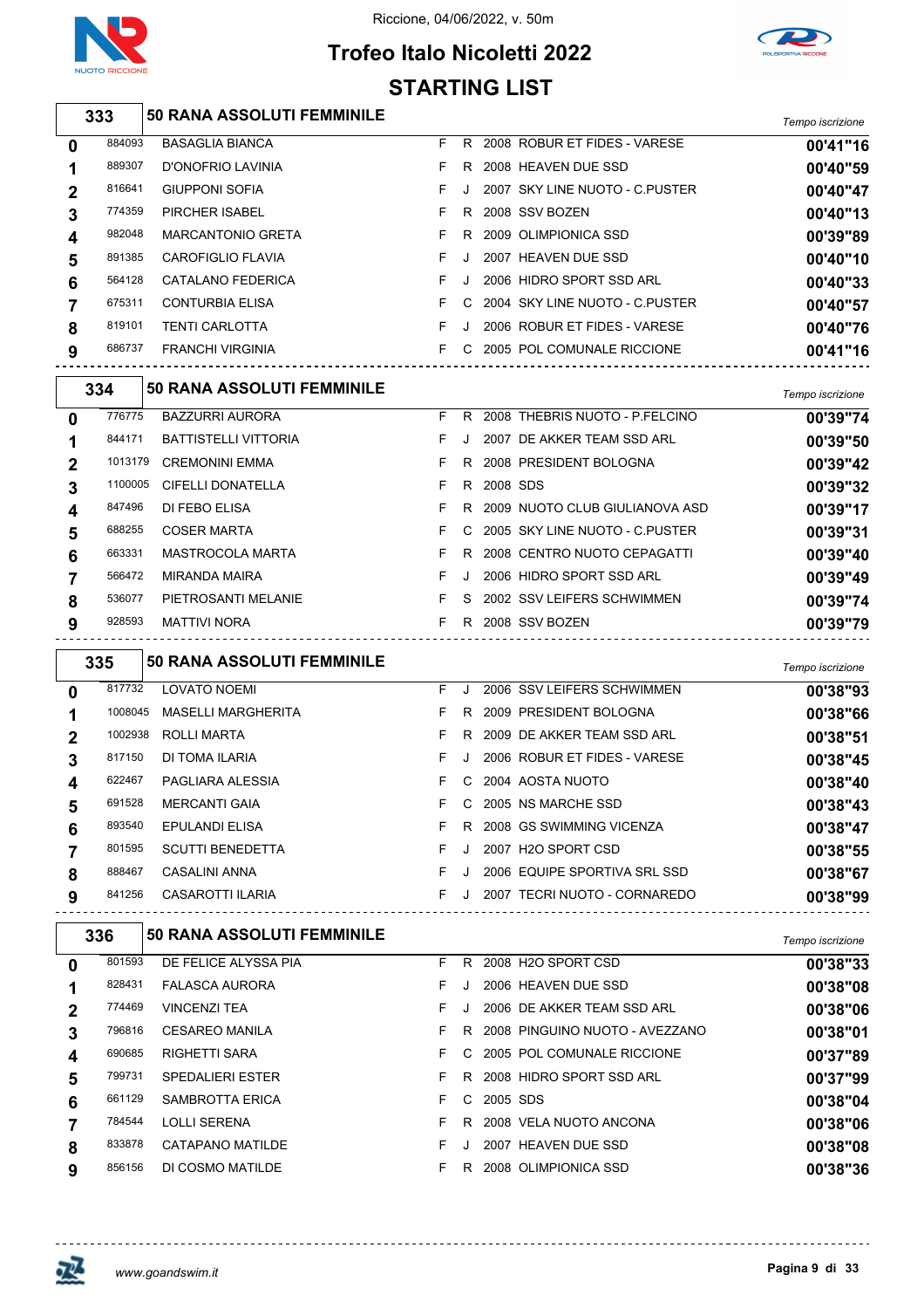



### **Trofeo Italo Nicoletti 2022 STARTING LIST**

|                | 333     | <b>50 RANA ASSOLUTI FEMMINILE</b> |    |         |            |                                       | Tempo iscrizione             |
|----------------|---------|-----------------------------------|----|---------|------------|---------------------------------------|------------------------------|
| 0              | 884093  | <b>BASAGLIA BIANCA</b>            | F  | R.      |            | 2008 ROBUR ET FIDES - VARESE          | 00'41"16                     |
| 1              | 889307  | D'ONOFRIO LAVINIA                 | F  | R       |            | 2008 HEAVEN DUE SSD                   | 00'40"59                     |
| 2              | 816641  | <b>GIUPPONI SOFIA</b>             | F  | J       |            | 2007 SKY LINE NUOTO - C.PUSTER        | 00'40"47                     |
| 3              | 774359  | <b>PIRCHER ISABEL</b>             | F  | R       |            | 2008 SSV BOZEN                        | 00'40"13                     |
| 4              | 982048  | <b>MARCANTONIO GRETA</b>          | F  | R       |            | 2009 OLIMPIONICA SSD                  | 00'39"89                     |
| 5              | 891385  | CAROFIGLIO FLAVIA                 | F  | Π.      |            | 2007 HEAVEN DUE SSD                   | 00'40"10                     |
| 6              | 564128  | CATALANO FEDERICA                 | F  | J       |            | 2006 HIDRO SPORT SSD ARL              | 00'40"33                     |
| 7              | 675311  | <b>CONTURBIA ELISA</b>            | F  | C       |            | 2004 SKY LINE NUOTO - C. PUSTER       | 00'40"57                     |
| 8              | 819101  | <b>TENTI CARLOTTA</b>             | F  | J       |            | 2006 ROBUR ET FIDES - VARESE          | 00'40"76                     |
| 9              | 686737  | <b>FRANCHI VIRGINIA</b>           | F. |         |            | C 2005 POL COMUNALE RICCIONE          | 00'41"16                     |
|                | 334     | 50 RANA ASSOLUTI FEMMINILE        |    |         |            |                                       | Tempo iscrizione             |
| 0              | 776775  | <b>BAZZURRI AURORA</b>            | F  |         |            | R 2008 THEBRIS NUOTO - P.FELCINO      | 00'39"74                     |
| 1              | 844171  | <b>BATTISTELLI VITTORIA</b>       | F  | J       |            | 2007 DE AKKER TEAM SSD ARL            | 00'39"50                     |
| 2              | 1013179 | <b>CREMONINI EMMA</b>             | F  | R       |            | 2008 PRESIDENT BOLOGNA                | 00'39"42                     |
| 3              | 1100005 | <b>CIFELLI DONATELLA</b>          | F  | R       | 2008 SDS   |                                       | 00'39"32                     |
| 4              | 847496  | DI FEBO ELISA                     | F  | R       |            | 2009 NUOTO CLUB GIULIANOVA ASD        | 00'39"17                     |
| 5              | 688255  | <b>COSER MARTA</b>                | F  | C       |            | 2005 SKY LINE NUOTO - C.PUSTER        | 00'39"31                     |
| 6              | 663331  | MASTROCOLA MARTA                  | F  | R       |            | 2008 CENTRO NUOTO CEPAGATTI           | 00'39"40                     |
| 7              | 566472  | <b>MIRANDA MAIRA</b>              | F  | J       |            | 2006 HIDRO SPORT SSD ARL              | 00'39"49                     |
| 8              | 536077  | PIETROSANTI MELANIE               | F  | S       |            | 2002 SSV LEIFERS SCHWIMMEN            | 00'39"74                     |
| 9              | 928593  | <b>MATTIVI NORA</b>               | F. |         |            | R 2008 SSV BOZEN                      | 00'39"79                     |
|                | 335     | 50 RANA ASSOLUTI FEMMINILE        |    |         |            |                                       |                              |
|                | 817732  | <b>LOVATO NOEMI</b>               | F  | J       |            | 2006 SSV LEIFERS SCHWIMMEN            | Tempo iscrizione<br>00'38"93 |
| 0              | 1008045 | <b>MASELLI MARGHERITA</b>         | F  | R       |            | 2009 PRESIDENT BOLOGNA                | 00'38"66                     |
| 1<br>2         | 1002938 | <b>ROLLI MARTA</b>                | F  | R.      |            | 2009 DE AKKER TEAM SSD ARL            | 00'38"51                     |
| 3              | 817150  | DI TOMA ILARIA                    | F  | $\cdot$ |            | 2006 ROBUR ET FIDES - VARESE          | 00'38"45                     |
| 4              | 622467  | PAGLIARA ALESSIA                  | F  | С       |            | 2004 AOSTA NUOTO                      | 00'38"40                     |
| 5              | 691528  | <b>MERCANTI GAIA</b>              | F. |         |            | C 2005 NS MARCHE SSD                  | 00'38"43                     |
| 6              | 893540  | EPULANDI ELISA                    | F. |         |            | R 2008 GS SWIMMING VICENZA            | 00'38"47                     |
| $\overline{7}$ | 801595  | SCUTTI BENEDETTA                  | F. | J       |            | 2007 H2O SPORT CSD                    | 00'38"55                     |
| 8              | 888467  | CASALINI ANNA                     | F. |         |            | J 2006 EQUIPE SPORTIVA SRL SSD        | 00'38"67                     |
| 9              | 841256  | CASAROTTI ILARIA                  |    |         |            | F J 2007 TECRI NUOTO - CORNAREDO      | 00'38"99                     |
|                | 336     | <b>50 RANA ASSOLUTI FEMMINILE</b> |    |         |            | ------------------------------------- |                              |
| 0              | 801593  | DE FELICE ALYSSA PIA              |    |         |            | F R 2008 H2O SPORT CSD                | Tempo iscrizione<br>00'38"33 |
| 1              | 828431  | FALASCA AURORA                    | F. | $\cdot$ |            | 2006 HEAVEN DUE SSD                   | 00'38"08                     |
| $\mathbf 2$    | 774469  | <b>VINCENZI TEA</b>               | F  |         |            | J 2006 DE AKKER TEAM SSD ARL          | 00'38"06                     |
| 3              | 796816  | <b>CESAREO MANILA</b>             | F. |         |            | R 2008 PINGUINO NUOTO - AVEZZANO      | 00'38"01                     |
| 4              | 690685  | RIGHETTI SARA                     | F  |         |            | C 2005 POL COMUNALE RICCIONE          | 00'37"89                     |
| 5              | 799731  | SPEDALIERI ESTER                  | F  |         |            | R 2008 HIDRO SPORT SSD ARL            | 00'37"99                     |
| 6              | 661129  | SAMBROTTA ERICA                   | F  |         | C 2005 SDS |                                       | 00'38"04                     |
| $\overline{7}$ | 784544  | LOLLI SERENA                      | F. |         |            | R 2008 VELA NUOTO ANCONA              | 00'38"06                     |

CATAPANO MATILDE F J 2007 HEAVEN DUE SSD **00'38"08**

DI COSMO MATILDE F R 2008 OLIMPIONICA SSD **00'38"36**

巫

 $- - -$ 

 $- - - - - - -$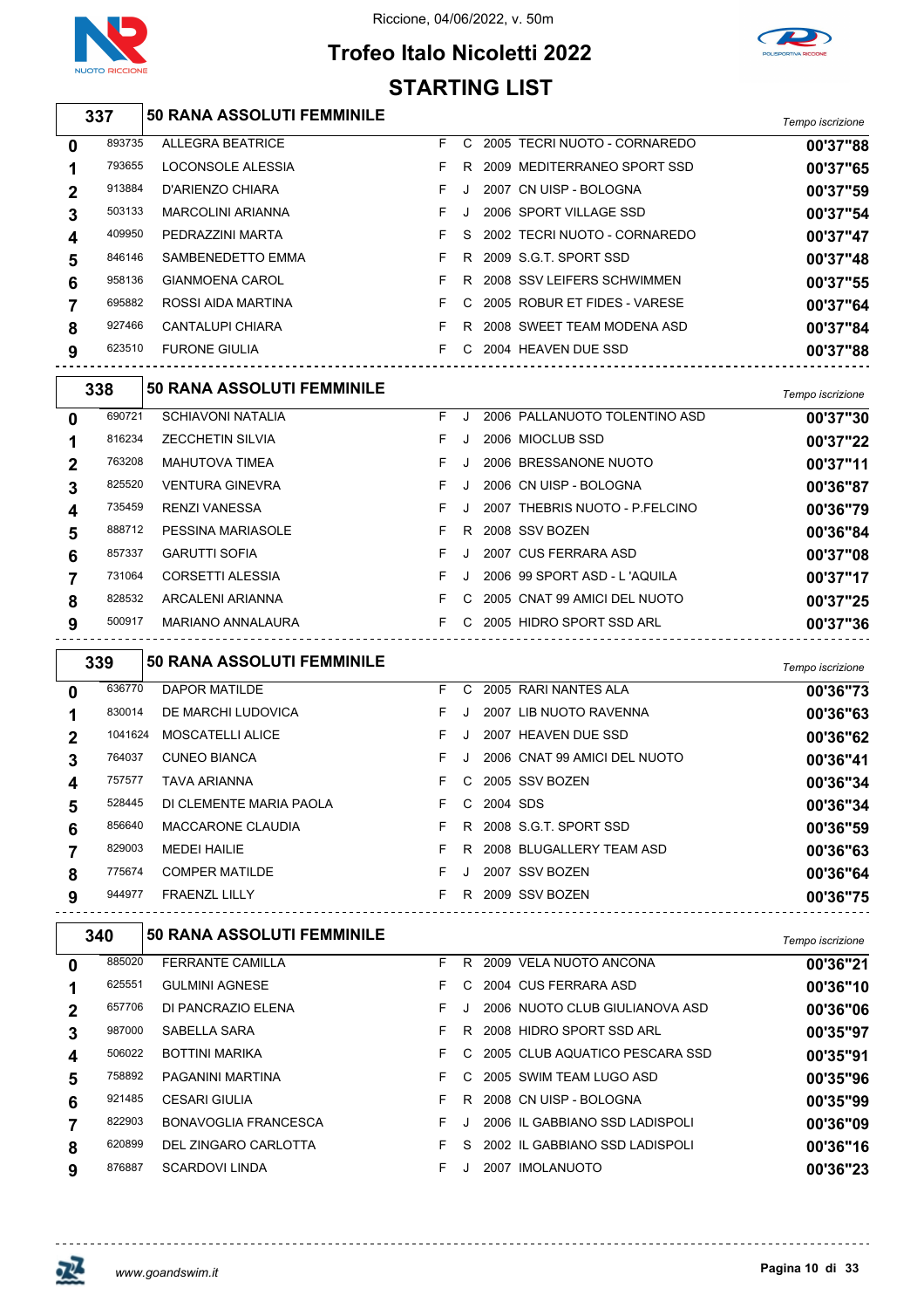

#### Riccione, 04/06/2022, v. 50m





|                | 337     | 50 RANA ASSOLUTI FEMMINILE        |    |         |                                | Tempo iscrizione |
|----------------|---------|-----------------------------------|----|---------|--------------------------------|------------------|
| 0              | 893735  | <b>ALLEGRA BEATRICE</b>           | F. | C.      | 2005 TECRI NUOTO - CORNAREDO   | 00'37"88         |
| 1              | 793655  | <b>LOCONSOLE ALESSIA</b>          | F  | R       | 2009 MEDITERRANEO SPORT SSD    | 00'37"65         |
| $\overline{2}$ | 913884  | D'ARIENZO CHIARA                  | F  | J       | 2007 CN UISP - BOLOGNA         | 00'37"59         |
| 3              | 503133  | <b>MARCOLINI ARIANNA</b>          | F  | J       | 2006 SPORT VILLAGE SSD         | 00'37"54         |
| 4              | 409950  | PEDRAZZINI MARTA                  | F  | S       | 2002 TECRI NUOTO - CORNAREDO   | 00'37"47         |
| 5              | 846146  | SAMBENEDETTO EMMA                 | F  | R.      | 2009 S.G.T. SPORT SSD          | 00'37"48         |
| 6              | 958136  | <b>GIANMOENA CAROL</b>            | F  | R       | 2008 SSV LEIFERS SCHWIMMEN     | 00'37"55         |
| 7              | 695882  | ROSSI AIDA MARTINA                | F  | С       | 2005 ROBUR ET FIDES - VARESE   | 00'37"64         |
| 8              | 927466  | <b>CANTALUPI CHIARA</b>           | F  | R       | 2008 SWEET TEAM MODENA ASD     | 00'37"84         |
| 9              | 623510  | <b>FURONE GIULIA</b>              | F. |         | C 2004 HEAVEN DUE SSD          | 00'37"88         |
|                | 338     | <b>50 RANA ASSOLUTI FEMMINILE</b> |    |         |                                | Tempo iscrizione |
| 0              | 690721  | <b>SCHIAVONI NATALIA</b>          | F  | J       | 2006 PALLANUOTO TOLENTINO ASD  | 00'37"30         |
| 1              | 816234  | <b>ZECCHETIN SILVIA</b>           | F  | $\cdot$ | 2006 MIOCLUB SSD               | 00'37"22         |
| 2              | 763208  | <b>MAHUTOVA TIMEA</b>             | F  | $\cdot$ | 2006 BRESSANONE NUOTO          | 00'37"11         |
| 3              | 825520  | <b>VENTURA GINEVRA</b>            | F  | J       | 2006 CN UISP - BOLOGNA         | 00'36"87         |
| 4              | 735459  | <b>RENZI VANESSA</b>              | F  | J.      | 2007 THEBRIS NUOTO - P.FELCINO | 00'36"79         |
| 5              | 888712  | PESSINA MARIASOLE                 | F  | R       | 2008 SSV BOZEN                 | 00'36"84         |
| 6              | 857337  | <b>GARUTTI SOFIA</b>              | F  | J.      | 2007 CUS FERRARA ASD           | 00'37"08         |
| 7              | 731064  | <b>CORSETTI ALESSIA</b>           | F  | J.      | 2006 99 SPORT ASD - L'AQUILA   | 00'37"17         |
| 8              | 828532  | <b>ARCALENI ARIANNA</b>           | F  | C       | 2005 CNAT 99 AMICI DEL NUOTO   | 00'37"25         |
| 9              | 500917  | MARIANO ANNALAURA                 | F. |         | C 2005 HIDRO SPORT SSD ARL     | 00'37"36         |
|                | 339     | 50 RANA ASSOLUTI FEMMINILE        |    |         |                                | Tempo iscrizione |
| 0              | 636770  | <b>DAPOR MATILDE</b>              | F  | C       | 2005 RARI NANTES ALA           | 00'36"73         |
| 1              | 830014  | DE MARCHI LUDOVICA                | F  | $\cdot$ | 2007 LIB NUOTO RAVENNA         | 00'36"63         |
| $\mathbf{2}$   | 1041624 | <b>MOSCATELLI ALICE</b>           | F  | J       | 2007 HEAVEN DUE SSD            | 00'36"62         |
| 3              | 764037  | <b>CUNEO BIANCA</b>               | F  |         | 2006 CNAT 99 AMICI DEL NUOTO   | 00'36"41         |
| 4              | 757577  | <b>TAVA ARIANNA</b>               | F  | C       | 2005 SSV BOZEN                 | 00'36"34         |

| 764037 | <b>CUNEO BIANCA</b>     |     |              | 2006 CNAT 99 AMICI DEL NUOTO | 00'36"41 |
|--------|-------------------------|-----|--------------|------------------------------|----------|
| 757577 | <b>TAVA ARIANNA</b>     |     |              | F C 2005 SSV BOZEN           | 00'36"34 |
| 528445 | DI CLEMENTE MARIA PAOLA |     | F C 2004 SDS |                              | 00'36"34 |
| 856640 | MACCARONE CLAUDIA       |     |              | R 2008 S.G.T. SPORT SSD      | 00'36"59 |
| 829003 | MEDELHAILIE             |     |              | R 2008 BLUGALLERY TEAM ASD   | 00'36"63 |
| 775674 | <b>COMPER MATILDE</b>   | - J |              | 2007 SSV BOZEN               | 00'36"64 |
| 944977 | <b>FRAENZL LILLY</b>    |     |              | R 2009 SSV BOZEN             | 00'36"75 |
|        |                         |     |              |                              |          |

|             | 340    | <b>50 RANA ASSOLUTI FEMMINILE</b> |    |    |                                | Tempo iscrizione |
|-------------|--------|-----------------------------------|----|----|--------------------------------|------------------|
| 0           | 885020 | <b>FERRANTE CAMILLA</b>           | F. | R. | 2009 VELA NUOTO ANCONA         | 00'36"21         |
|             | 625551 | <b>GULMINI AGNESE</b>             | F. |    | C 2004 CUS FERRARA ASD         | 00'36"10         |
| $\mathbf 2$ | 657706 | DI PANCRAZIO ELENA                | F  |    | 2006 NUOTO CLUB GIULIANOVA ASD | 00'36"06         |
| 3           | 987000 | SABELLA SARA                      | F. | R. | 2008 HIDRO SPORT SSD ARL       | 00'35"97         |
| 4           | 506022 | <b>BOTTINI MARIKA</b>             | F. | C. | 2005 CLUB AQUATICO PESCARA SSD | 00'35"91         |
| 5           | 758892 | PAGANINI MARTINA                  | F. | C. | 2005 SWIM TEAM LUGO ASD        | 00'35"96         |
| 6           | 921485 | <b>CESARI GIULIA</b>              | F. | R. | 2008 CN UISP - BOLOGNA         | 00'35"99         |
|             | 822903 | <b>BONAVOGLIA FRANCESCA</b>       | F. |    | 2006 IL GABBIANO SSD LADISPOLI | 00'36"09         |
| 8           | 620899 | DEL ZINGARO CARLOTTA              | F  | S. | 2002 IL GABBIANO SSD LADISPOLI | 00'36"16         |
| 9           | 876887 | <b>SCARDOVI LINDA</b>             | F  |    | 2007 IMOLANUOTO                | 00'36"23         |



<u> - - - - - - - - - -</u>

 $\sim$   $\sim$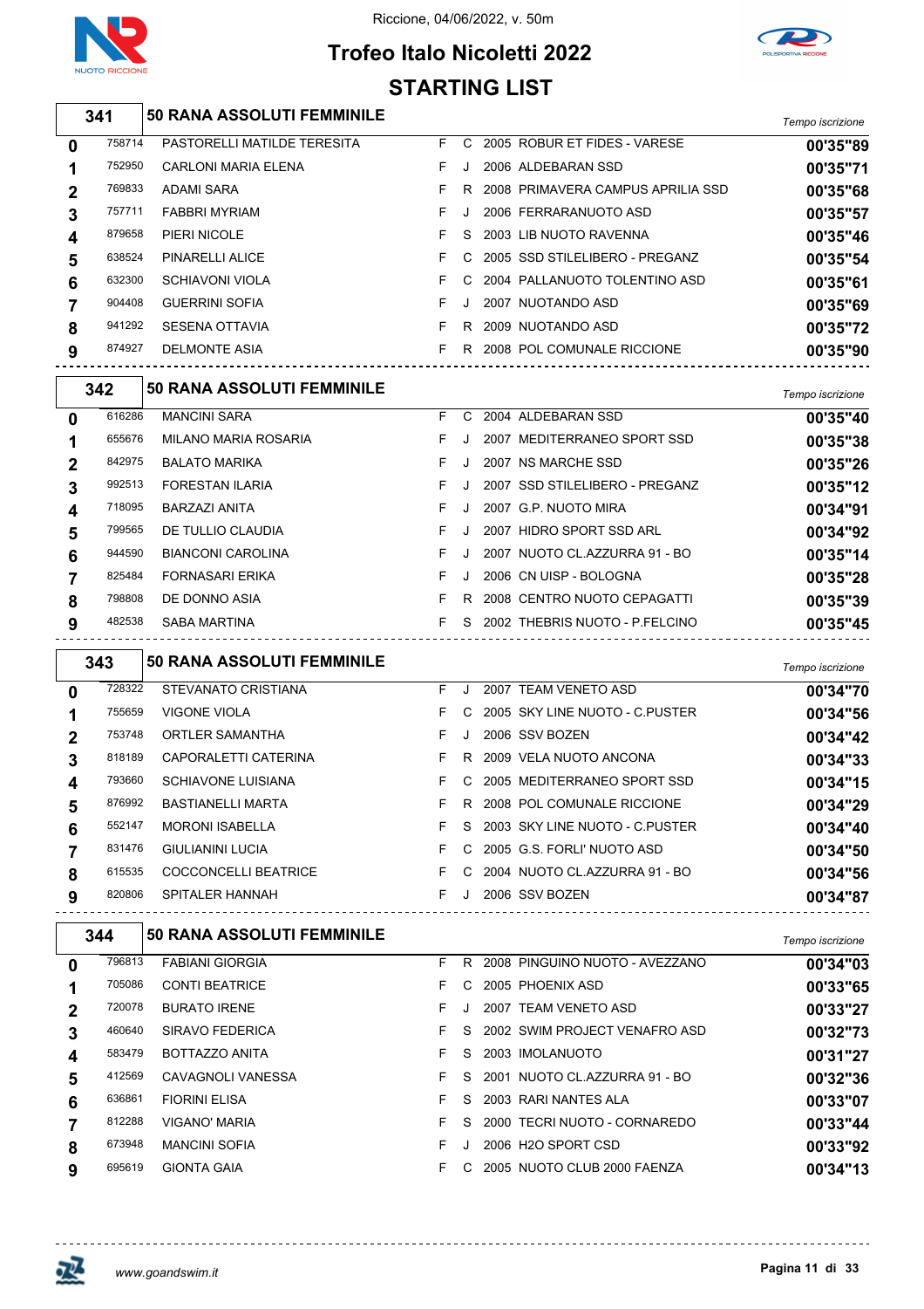





|             |        |                                                          | STARTING LIST |         |                                                      |                      |
|-------------|--------|----------------------------------------------------------|---------------|---------|------------------------------------------------------|----------------------|
|             | 341    | 50 RANA ASSOLUTI FEMMINILE                               |               |         |                                                      | Tempo iscrizione     |
| $\mathbf 0$ | 758714 | PASTORELLI MATILDE TERESITA                              | F C           |         | 2005 ROBUR ET FIDES - VARESE                         | 00'35"89             |
| 1           | 752950 | CARLONI MARIA ELENA                                      | F.            | J       | 2006 ALDEBARAN SSD                                   | 00'35"71             |
| 2           | 769833 | ADAMI SARA                                               | F.            | R.      | 2008 PRIMAVERA CAMPUS APRILIA SSD                    | 00'35"68             |
| 3           | 757711 | FABBRI MYRIAM                                            | F             | J       | 2006 FERRARANUOTO ASD                                | 00'35"57             |
| 4           | 879658 | PIERI NICOLE                                             | F             | S       | 2003 LIB NUOTO RAVENNA                               | 00'35"46             |
| 5           | 638524 | PINARELLI ALICE                                          | F.            | C       | 2005 SSD STILELIBERO - PREGANZ                       | 00'35"54             |
| 6           | 632300 | <b>SCHIAVONI VIOLA</b>                                   | F.            | C       | 2004 PALLANUOTO TOLENTINO ASD                        | 00'35"61             |
| 7           | 904408 | <b>GUERRINI SOFIA</b>                                    | F.            | $\cdot$ | 2007 NUOTANDO ASD                                    | 00'35"69             |
| 8           | 941292 | <b>SESENA OTTAVIA</b>                                    | F.            | R.      | 2009 NUOTANDO ASD                                    | 00'35"72             |
| 9           | 874927 | <b>DELMONTE ASIA</b>                                     | F.            |         | R 2008 POL COMUNALE RICCIONE                         | 00'35"90             |
|             | 342    | <b>50 RANA ASSOLUTI FEMMINILE</b>                        |               |         |                                                      |                      |
|             | 616286 |                                                          |               |         |                                                      | Tempo iscrizione     |
| 0           | 655676 | <b>MANCINI SARA</b>                                      |               |         | F C 2004 ALDEBARAN SSD                               | 00'35"40             |
| 1           | 842975 | MILANO MARIA ROSARIA<br><b>BALATO MARIKA</b>             | F.<br>F.      | J<br>J  | 2007 MEDITERRANEO SPORT SSD                          | 00'35"38             |
| 2           | 992513 | <b>FORESTAN ILARIA</b>                                   | F             |         | 2007 NS MARCHE SSD<br>2007 SSD STILELIBERO - PREGANZ | 00'35"26             |
| 3           | 718095 | BARZAZI ANITA                                            | F             | J       | 2007 G.P. NUOTO MIRA                                 | 00'35"12             |
| 4           | 799565 | DE TULLIO CLAUDIA                                        | F             |         | 2007 HIDRO SPORT SSD ARL                             | 00'34"91             |
| 5           | 944590 | <b>BIANCONI CAROLINA</b>                                 | F             | J       | 2007 NUOTO CL.AZZURRA 91 - BO                        | 00'34"92             |
| 6           | 825484 | FORNASARI ERIKA                                          | F             | J       | 2006 CN UISP - BOLOGNA                               | 00'35"14             |
| 7           | 798808 | DE DONNO ASIA                                            | F.            |         | R 2008 CENTRO NUOTO CEPAGATTI                        | 00'35"28<br>00'35"39 |
| 8<br>9      | 482538 | SABA MARTINA                                             |               |         | F S 2002 THEBRIS NUOTO - P.FELCINO                   | 00'35"45             |
|             |        |                                                          |               |         |                                                      |                      |
|             | 343    | <b>50 RANA ASSOLUTI FEMMINILE</b>                        |               |         |                                                      | Tempo iscrizione     |
| 0           | 728322 | STEVANATO CRISTIANA                                      | F.            | J       | 2007 TEAM VENETO ASD                                 | 00'34"70             |
| 1           | 755659 | VIGONE VIOLA                                             | F.            | C       | 2005 SKY LINE NUOTO - C.PUSTER                       | 00'34"56             |
| 2           | 753748 | ORTLER SAMANTHA                                          | F.            |         | 2006 SSV BOZEN                                       | 00'34"42             |
| 3           | 818189 | CAPORALETTI CATERINA                                     | F.            |         | R 2009 VELA NUOTO ANCONA                             | 00'34"33             |
| 4           | 793660 | SCHIAVONE LUISIANA                                       | F.            |         | C 2005 MEDITERRANEO SPORT SSD                        | 00'34"15             |
| 5           | 876992 | BASTIANELLI MARTA                                        | F.            |         | R 2008 POL COMUNALE RICCIONE                         | 00'34"29             |
| 6           | 552147 | <b>MORONI ISABELLA</b>                                   | F.            |         | S 2003 SKY LINE NUOTO - C.PUSTER                     | 00'34"40             |
| 7           | 831476 | <b>GIULIANINI LUCIA</b>                                  | F.            |         | C 2005 G.S. FORLI' NUOTO ASD                         | 00'34"50             |
| 8           | 615535 | COCCONCELLI BEATRICE THE C 2004 NUOTO CL.AZZURRA 91 - BO |               |         |                                                      | 00'34"56             |
| 9           | 820806 | SPITALER HANNAH                                          |               |         | F J 2006 SSV BOZEN                                   | 00'34"87             |
|             | 344    | <b>50 RANA ASSOLUTI FEMMINILE</b>                        |               |         |                                                      | Tempo iscrizione     |
| 0           | 796813 | <b>FABIANI GIORGIA</b>                                   | F.            |         | R 2008 PINGUINO NUOTO - AVEZZANO                     | 00'34"03             |
| 1           | 705086 | <b>CONTI BEATRICE</b>                                    |               |         | F C 2005 PHOENIX ASD                                 | 00'33"65             |
| 2           | 720078 | <b>BURATO IRENE</b>                                      | F.            | J       | 2007 TEAM VENETO ASD                                 | 00'33"27             |
| 3           | 460640 | SIRAVO FEDERICA                                          | F.            |         | S 2002 SWIM PROJECT VENAFRO ASD                      | 00'32"73             |
| 4           | 583479 | BOTTAZZO ANITA                                           | F.            | S.      | 2003 IMOLANUOTO                                      | 00'31"27             |
| 5           | 412569 | CAVAGNOLI VANESSA                                        | F.            |         | S 2001 NUOTO CL.AZZURRA 91 - BO                      | 00'32"36             |
| 6           | 636861 | <b>FIORINI ELISA</b>                                     | F.            |         | S 2003 RARI NANTES ALA                               | 00'33"07             |
| 7           | 812288 | VIGANO' MARIA                                            | F.            | S       | 2000 TECRI NUOTO - CORNAREDO                         | 00'33"44             |
| 8           | 673948 | <b>MANCINI SOFIA</b>                                     | F.            |         | J 2006 H2O SPORT CSD                                 | 00'33"92             |

 GIONTA GAIA F C 2005 NUOTO CLUB 2000 FAENZA **00'34"13**

 $-$ 



--------------------------------------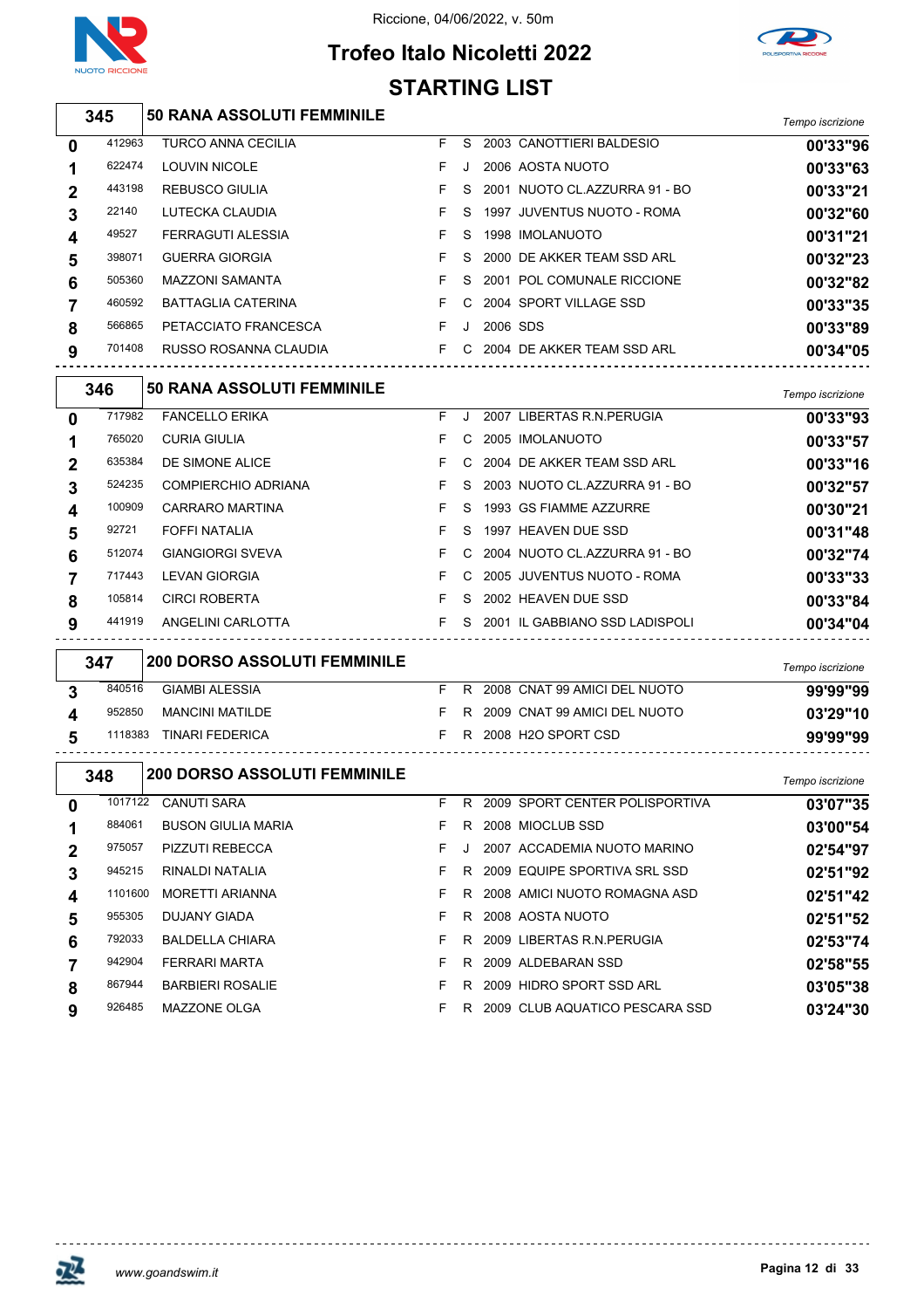

l,  $\overline{1}$  $\overline{\phantom{a}}$ 

J.

 $\begin{bmatrix} \phantom{-} \end{bmatrix}$ 

#### Riccione, 04/06/2022, v. 50m





|   | 345     | <b>50 RANA ASSOLUTI FEMMINILE</b>   |    |    |          |                                  | Tempo iscrizione |
|---|---------|-------------------------------------|----|----|----------|----------------------------------|------------------|
| 0 | 412963  | <b>TURCO ANNA CECILIA</b>           | F. | S  |          | 2003 CANOTTIERI BALDESIO         | 00'33"96         |
| 1 | 622474  | <b>LOUVIN NICOLE</b>                | F  | J. |          | 2006 AOSTA NUOTO                 | 00'33"63         |
| 2 | 443198  | <b>REBUSCO GIULIA</b>               | F  | S  |          | 2001 NUOTO CL.AZZURRA 91 - BO    | 00'33"21         |
| 3 | 22140   | LUTECKA CLAUDIA                     | F  | S  |          | 1997 JUVENTUS NUOTO - ROMA       | 00'32"60         |
| 4 | 49527   | <b>FERRAGUTI ALESSIA</b>            | F  | S  |          | 1998 IMOLANUOTO                  | 00'31"21         |
| 5 | 398071  | <b>GUERRA GIORGIA</b>               | F  | S  |          | 2000 DE AKKER TEAM SSD ARL       | 00'32"23         |
| 6 | 505360  | <b>MAZZONI SAMANTA</b>              | F  | S  |          | 2001 POL COMUNALE RICCIONE       | 00'32"82         |
| 7 | 460592  | BATTAGLIA CATERINA                  | F  | C  |          | 2004 SPORT VILLAGE SSD           | 00'33"35         |
| 8 | 566865  | PETACCIATO FRANCESCA                | F  | J  | 2006 SDS |                                  | 00'33"89         |
| 9 | 701408  | RUSSO ROSANNA CLAUDIA               |    |    |          | F C 2004 DE AKKER TEAM SSD ARL   | 00'34"05         |
|   | 346     | <b>50 RANA ASSOLUTI FEMMINILE</b>   |    |    |          |                                  | Tempo iscrizione |
| 0 | 717982  | <b>FANCELLO ERIKA</b>               | F. | J  |          | 2007 LIBERTAS R.N. PERUGIA       | 00'33"93         |
| 1 | 765020  | <b>CURIA GIULIA</b>                 | F. | C  |          | 2005 IMOLANUOTO                  | 00'33"57         |
| 2 | 635384  | DE SIMONE ALICE                     | F  | C  |          | 2004 DE AKKER TEAM SSD ARL       | 00'33"16         |
| 3 | 524235  | <b>COMPIERCHIO ADRIANA</b>          | F  | S  |          | 2003 NUOTO CL.AZZURRA 91 - BO    | 00'32"57         |
| 4 | 100909  | CARRARO MARTINA                     | F  | S  |          | 1993 GS FIAMME AZZURRE           | 00'30"21         |
| 5 | 92721   | <b>FOFFI NATALIA</b>                | F  | S  |          | 1997 HEAVEN DUE SSD              | 00'31"48         |
| 6 | 512074  | <b>GIANGIORGI SVEVA</b>             | F  | C  |          | 2004 NUOTO CL.AZZURRA 91 - BO    | 00'32"74         |
| 7 | 717443  | LEVAN GIORGIA                       | F. | C  |          | 2005 JUVENTUS NUOTO - ROMA       | 00'33"33         |
| 8 | 105814  | <b>CIRCI ROBERTA</b>                | F  | S  |          | 2002 HEAVEN DUE SSD              | 00'33"84         |
| 9 | 441919  | ANGELINI CARLOTTA                   | F. |    |          | S 2001 IL GABBIANO SSD LADISPOLI | 00'34"04         |
|   | 347     | <b>200 DORSO ASSOLUTI FEMMINILE</b> |    |    |          |                                  | Tempo iscrizione |
| 3 | 840516  | <b>GIAMBI ALESSIA</b>               | F. |    |          | R 2008 CNAT 99 AMICI DEL NUOTO   | 99'99"99         |
| 4 | 952850  | <b>MANCINI MATILDE</b>              | F. |    |          | R 2009 CNAT 99 AMICI DEL NUOTO   | 03'29"10         |
| 5 | 1118383 | TINARI FEDERICA                     |    |    |          | F R 2008 H2O SPORT CSD           | 99'99"99         |
|   | 348     | <b>200 DORSO ASSOLUTI FEMMINILE</b> |    |    |          |                                  | Tempo iscrizione |
| 0 |         | 1017122 CANUTI SARA                 | F. |    |          | R 2009 SPORT CENTER POLISPORTIVA | 03'07"35         |
| 1 | 884061  | <b>BUSON GIULIA MARIA</b>           | F. |    |          | R 2008 MIOCLUB SSD               | 03'00"54         |
| 2 | 975057  | PIZZUTI REBECCA                     | F  | J  |          | 2007 ACCADEMIA NUOTO MARINO      | 02'54"97         |
| 3 | 945215  | RINALDI NATALIA                     | F. |    |          | R 2009 EQUIPE SPORTIVA SRL SSD   | 02'51"92         |
| 4 | 1101600 | <b>MORETTI ARIANNA</b>              | F. |    |          | R 2008 AMICI NUOTO ROMAGNA ASD   | 02'51"42         |
| 5 | 955305  | DUJANY GIADA                        | F. |    |          | R 2008 AOSTA NUOTO               | 02'51"52         |
| 6 | 792033  | <b>BALDELLA CHIARA</b>              | F. |    |          | R 2009 LIBERTAS R.N. PERUGIA     | 02'53"74         |
| 7 | 942904  | FERRARI MARTA                       | F  |    |          | R 2009 ALDEBARAN SSD             | 02'58"55         |
| 8 | 867944  | <b>BARBIERI ROSALIE</b>             | F  |    |          | R 2009 HIDRO SPORT SSD ARL       | 03'05"38         |
| 9 | 926485  | MAZZONE OLGA                        | F. |    |          | R 2009 CLUB AQUATICO PESCARA SSD | 03'24"30         |

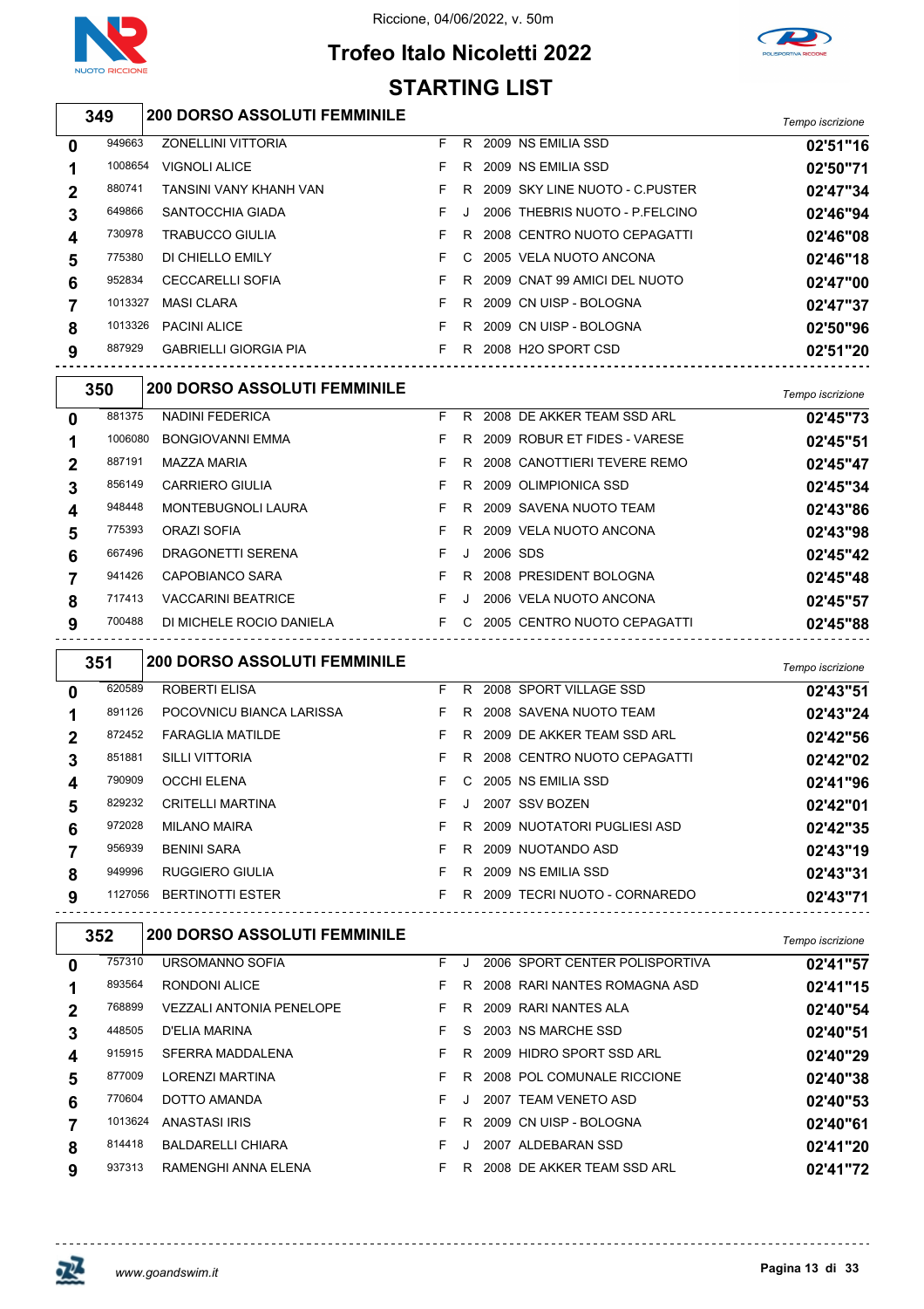

 $\overline{\phantom{a}}$ 

#### Riccione, 04/06/2022, v. 50m

### **Trofeo Italo Nicoletti 2022 STARTING LIST**



### *Tempo iscrizione* **200 DORSO ASSOLUTI FEMMINILE**

| $\mathbf 0$ | 949663  | <b>ZONELLINI VITTORIA</b>    | F. | R. | 2009 NS EMILIA SSD              | 02'51"16 |
|-------------|---------|------------------------------|----|----|---------------------------------|----------|
| 1           | 1008654 | <b>VIGNOLI ALICE</b>         |    | R. | 2009 NS EMILIA SSD              | 02'50"71 |
| $\mathbf 2$ | 880741  | TANSINI VANY KHANH VAN       |    | R. | 2009 SKY LINE NUOTO - C.PUSTER  | 02'47"34 |
| 3           | 649866  | SANTOCCHIA GIADA             |    |    | 2006 THEBRIS NUOTO - P.FELCINO  | 02'46"94 |
| 4           | 730978  | <b>TRABUCCO GIULIA</b>       |    | R. | 2008 CENTRO NUOTO CEPAGATTI     | 02'46"08 |
| 5           | 775380  | DI CHIELLO EMILY             |    |    | C 2005 VELA NUOTO ANCONA        | 02'46"18 |
| 6           | 952834  | <b>CECCARELLI SOFIA</b>      |    | R. | 2009 CNAT 99 AMICI DEL NUOTO    | 02'47"00 |
| 7           | 1013327 | <b>MASI CLARA</b>            |    | R. | 2009 CN UISP - BOLOGNA          | 02'47"37 |
| 8           | 1013326 | <b>PACINI ALICE</b>          |    | R. | 2009 CN UISP - BOLOGNA          | 02'50"96 |
| 9           | 887929  | <b>GABRIELLI GIORGIA PIA</b> |    | R. | 2008 H <sub>2</sub> O SPORT CSD | 02'51"20 |
|             |         |                              |    |    |                                 |          |

| 881375<br><b>NADINI FEDERICA</b><br>2008 DE AKKER TEAM SSD ARL<br>F.<br>R<br>02'45"73<br>$\mathbf{0}$<br>R 2009 ROBUR ET FIDES - VARESE<br>1006080<br><b>BONGIOVANNI EMMA</b><br>F.<br>02'45"51<br>2008 CANOTTIERI TEVERE REMO<br>887191<br>MAZZA MARIA<br>F.<br>R.<br>02'45"47<br>$\overline{2}$<br>856149<br><b>CARRIERO GIULIA</b><br>2009 OLIMPIONICA SSD<br>F.<br>R.<br>02'45"34<br>3<br>MONTEBUGNOLI LAURA<br>F.<br>R 2009 SAVENA NUOTO TEAM<br>948448<br>02'43"86<br>$\boldsymbol{4}$ | Tempo iscrizione |  | <b>200 DORSO ASSOLUTI FEMMINILE</b> | 350 |  |
|----------------------------------------------------------------------------------------------------------------------------------------------------------------------------------------------------------------------------------------------------------------------------------------------------------------------------------------------------------------------------------------------------------------------------------------------------------------------------------------------|------------------|--|-------------------------------------|-----|--|
|                                                                                                                                                                                                                                                                                                                                                                                                                                                                                              |                  |  |                                     |     |  |
|                                                                                                                                                                                                                                                                                                                                                                                                                                                                                              |                  |  |                                     |     |  |
|                                                                                                                                                                                                                                                                                                                                                                                                                                                                                              |                  |  |                                     |     |  |
|                                                                                                                                                                                                                                                                                                                                                                                                                                                                                              |                  |  |                                     |     |  |
|                                                                                                                                                                                                                                                                                                                                                                                                                                                                                              |                  |  |                                     |     |  |
| 775393<br>2009 VELA NUOTO ANCONA<br>ORAZI SOFIA<br>F.<br>R.<br>02'43"98<br>5                                                                                                                                                                                                                                                                                                                                                                                                                 |                  |  |                                     |     |  |
| 667496<br>DRAGONETTI SERENA<br>2006 SDS<br>F.<br>02'45"42<br>6<br>$\cdot$                                                                                                                                                                                                                                                                                                                                                                                                                    |                  |  |                                     |     |  |
| 941426<br>2008 PRESIDENT BOLOGNA<br>CAPOBIANCO SARA<br>F.<br>R<br>02'45"48                                                                                                                                                                                                                                                                                                                                                                                                                   |                  |  |                                     |     |  |
| 717413<br><b>VACCARINI BEATRICE</b><br>2006 VELA NUOTO ANCONA<br>F.<br>8<br>02'45"57<br>$\cdot$                                                                                                                                                                                                                                                                                                                                                                                              |                  |  |                                     |     |  |
| F C 2005 CENTRO NUOTO CEPAGATTI<br>700488<br>DI MICHELE ROCIO DANIELA<br>02'45"88<br>9                                                                                                                                                                                                                                                                                                                                                                                                       |                  |  |                                     |     |  |

|   | 351     | <b>200 DORSO ASSOLUTI FEMMINILE</b>                |    |    |                              | Tempo iscrizione |
|---|---------|----------------------------------------------------|----|----|------------------------------|------------------|
| 0 | 620589  | ROBERTI ELISA                                      | F. | R. | 2008 SPORT VILLAGE SSD       | 02'43"51         |
|   | 891126  | POCOVNICU BIANCA LARISSA                           | F. | R. | 2008 SAVENA NUOTO TEAM       | 02'43"24         |
|   | 872452  | <b>FARAGLIA MATILDE</b>                            | F. | R. | 2009 DE AKKER TEAM SSD ARL   | 02'42"56         |
| 3 | 851881  | <b>SILLI VITTORIA</b>                              | F. | R. | 2008 CENTRO NUOTO CEPAGATTI  | 02'42"02         |
| 4 | 790909  | <b>OCCHI ELENA</b>                                 | F. |    | C 2005 NS EMILIA SSD         | 02'41"96         |
| 5 | 829232  | <b>CRITELLI MARTINA</b>                            | F. |    | 2007 SSV BOZEN               | 02'42"01         |
| 6 | 972028  | <b>MILANO MAIRA</b>                                | F. | R. | 2009 NUOTATORI PUGLIESI ASD  | 02'42"35         |
|   | 956939  | <b>BENINI SARA</b>                                 | F. | R. | 2009 NUOTANDO ASD            | 02'43"19         |
| 8 | 949996  | RUGGIERO GIULIA                                    | F. | R. | 2009 NS EMILIA SSD           | 02'43"31         |
| 9 | 1127056 | <b>BERTINOTTI ESTER</b><br>----------------------- | F. | R. | 2009 TECRI NUOTO - CORNAREDO | 02'43"71         |

|   | 352     | <b>200 DORSO ASSOLUTI FEMMINILE</b> |    |    |                                | Tempo iscrizione |
|---|---------|-------------------------------------|----|----|--------------------------------|------------------|
| 0 | 757310  | URSOMANNO SOFIA                     | F. |    | 2006 SPORT CENTER POLISPORTIVA | 02'41"57         |
|   | 893564  | RONDONI ALICE                       | F. | R. | 2008 RARI NANTES ROMAGNA ASD   | 02'41"15         |
| 2 | 768899  | <b>VEZZALI ANTONIA PENELOPE</b>     | F. | R  | 2009 RARI NANTES ALA           | 02'40"54         |
| 3 | 448505  | D'ELIA MARINA                       | F. | S. | 2003 NS MARCHE SSD             | 02'40"51         |
| 4 | 915915  | SFERRA MADDALENA                    | F. | R. | 2009 HIDRO SPORT SSD ARL       | 02'40"29         |
| 5 | 877009  | <b>LORENZI MARTINA</b>              | F. | R. | 2008 POL COMUNALE RICCIONE     | 02'40"38         |
| 6 | 770604  | DOTTO AMANDA                        | F. |    | 2007 TEAM VENETO ASD           | 02'40"53         |
|   | 1013624 | ANASTASI IRIS                       | F. | R  | 2009 CN UISP - BOLOGNA         | 02'40"61         |
| 8 | 814418  | <b>BALDARELLI CHIARA</b>            | F. |    | 2007 ALDEBARAN SSD             | 02'41"20         |
| 9 | 937313  | RAMENGHI ANNA ELENA                 | F. | R  | 2008 DE AKKER TEAM SSD ARL     | 02'41"72         |

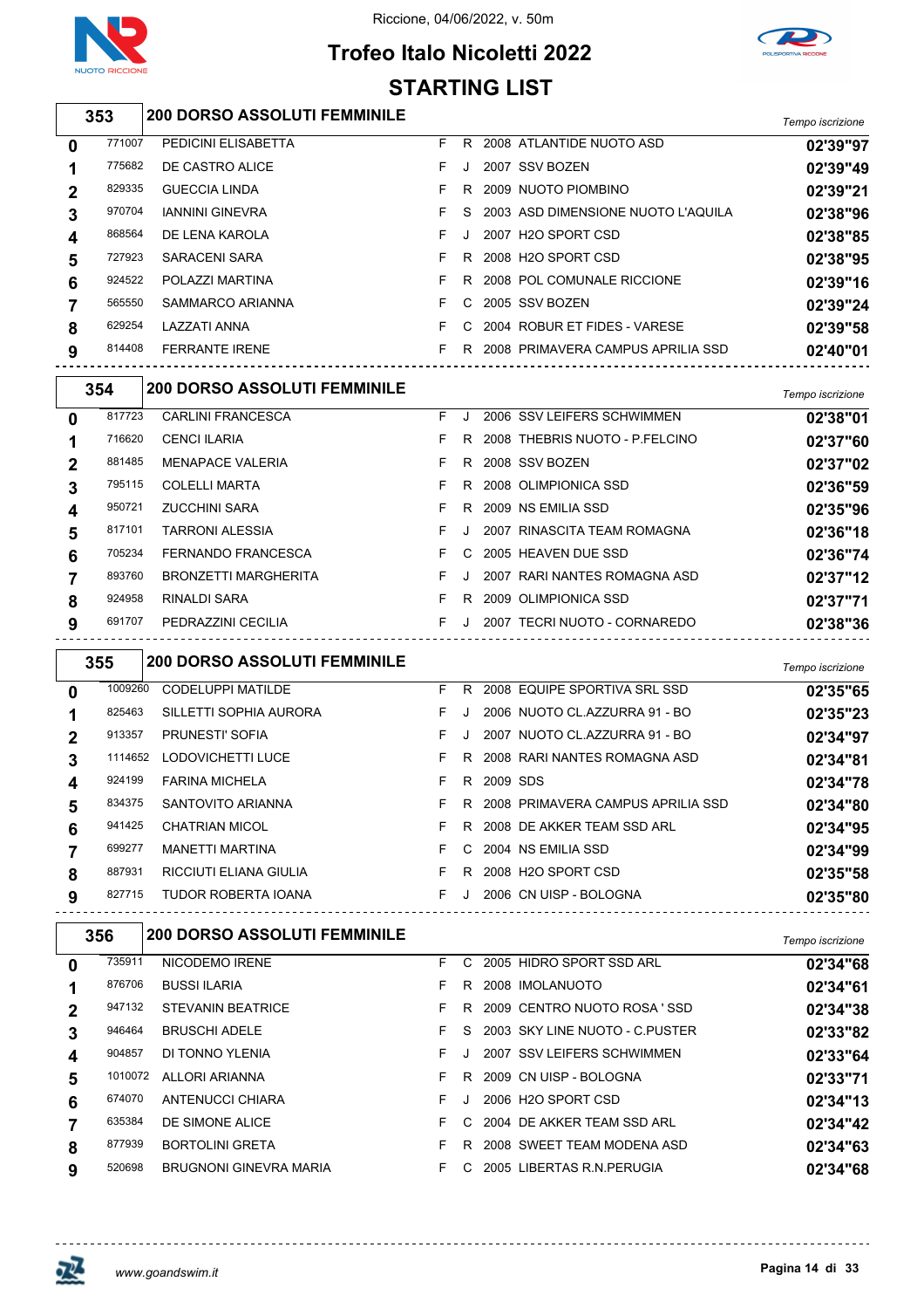



### **Trofeo Italo Nicoletti 2022 STARTING LIST**

|                  | 353    | <b>200 DORSO ASSOLUTI FEMMINILE</b> |    |    |                                    | Tempo iscrizione |
|------------------|--------|-------------------------------------|----|----|------------------------------------|------------------|
| $\mathbf 0$      | 771007 | PEDICINI ELISABETTA                 | F. | R. | 2008 ATLANTIDE NUOTO ASD           | 02'39"97         |
| 1                | 775682 | DE CASTRO ALICE                     | F. |    | 2007 SSV BOZEN                     | 02'39"49         |
| $\mathbf 2$      | 829335 | <b>GUECCIA LINDA</b>                |    | R. | 2009 NUOTO PIOMBINO                | 02'39"21         |
| 3                | 970704 | <b>IANNINI GINEVRA</b>              | F. | S. | 2003 ASD DIMENSIONE NUOTO L'AQUILA | 02'38"96         |
| $\boldsymbol{4}$ | 868564 | DE LENA KAROLA                      | F. |    | 2007 H2O SPORT CSD                 | 02'38"85         |
| 5                | 727923 | SARACENI SARA                       |    | R. | 2008 H2O SPORT CSD                 | 02'38"95         |
| 6                | 924522 | POLAZZI MARTINA                     | F. | R  | 2008 POL COMUNALE RICCIONE         | 02'39"16         |
| $\overline{7}$   | 565550 | SAMMARCO ARIANNA                    | F. | C. | 2005 SSV BOZEN                     | 02'39"24         |
| 8                | 629254 | LAZZATI ANNA                        | F. |    | C 2004 ROBUR ET FIDES - VARESE     | 02'39"58         |
| 9                | 814408 | <b>FERRANTE IRENE</b>               | F. | R. | 2008 PRIMAVERA CAMPUS APRILIA SSD  | 02'40"01         |

|                  | 354    | <b>200 DORSO ASSOLUTI FEMMINILE</b> |    |    |                                | Tempo iscrizione |
|------------------|--------|-------------------------------------|----|----|--------------------------------|------------------|
| $\mathbf 0$      | 817723 | <b>CARLINI FRANCESCA</b>            | F. |    | 2006 SSV LEIFERS SCHWIMMEN     | 02'38"01         |
| 1                | 716620 | <b>CENCI ILARIA</b>                 | F. | R  | 2008 THEBRIS NUOTO - P.FELCINO | 02'37"60         |
| $\overline{2}$   | 881485 | <b>MENAPACE VALERIA</b>             | F. | R. | 2008 SSV BOZEN                 | 02'37"02         |
| 3                | 795115 | <b>COLELLI MARTA</b>                | F. | R. | 2008 OLIMPIONICA SSD           | 02'36"59         |
| $\boldsymbol{4}$ | 950721 | <b>ZUCCHINI SARA</b>                | F. | R. | 2009 NS EMILIA SSD             | 02'35"96         |
| 5                | 817101 | <b>TARRONI ALESSIA</b>              | F. |    | 2007 RINASCITA TEAM ROMAGNA    | 02'36"18         |
| 6                | 705234 | FERNANDO FRANCESCA                  | F. | C. | 2005 HEAVEN DUE SSD            | 02'36"74         |
|                  | 893760 | <b>BRONZETTI MARGHERITA</b>         | F. |    | 2007 RARI NANTES ROMAGNA ASD   | 02'37"12         |
| 8                | 924958 | RINALDI SARA                        | F. | R  | 2009 OLIMPIONICA SSD           | 02'37"71         |
| 9                | 691707 | PEDRAZZINI CECILIA                  | F. |    | 2007 TECRI NUOTO - CORNAREDO   | 02'38"36         |
|                  |        |                                     |    |    |                                |                  |

|   | 355     | <b>200 DORSO ASSOLUTI FEMMINILE</b> |    |         |          |                                   | Tempo iscrizione |
|---|---------|-------------------------------------|----|---------|----------|-----------------------------------|------------------|
| 0 | 1009260 | <b>CODELUPPI MATILDE</b>            | F. | R       |          | 2008 EQUIPE SPORTIVA SRL SSD      | 02'35"65         |
|   | 825463  | SILLETTI SOPHIA AURORA              | F. | J.      |          | 2006 NUOTO CL.AZZURRA 91 - BO     | 02'35"23         |
| 2 | 913357  | <b>PRUNESTI' SOFIA</b>              | F. | J.      |          | 2007 NUOTO CL.AZZURRA 91 - BO     | 02'34"97         |
| 3 | 1114652 | LODOVICHETTI LUCE                   | F. | R.      |          | 2008 RARI NANTES ROMAGNA ASD      | 02'34"81         |
| 4 | 924199  | <b>FARINA MICHELA</b>               | F. | R.      | 2009 SDS |                                   | 02'34"78         |
| 5 | 834375  | SANTOVITO ARIANNA                   | F. | R.      |          | 2008 PRIMAVERA CAMPUS APRILIA SSD | 02'34"80         |
| 6 | 941425  | CHATRIAN MICOL                      | F. | R       |          | 2008 DE AKKER TEAM SSD ARL        | 02'34"95         |
|   | 699277  | <b>MANETTI MARTINA</b>              | F. |         |          | C 2004 NS EMILIA SSD              | 02'34"99         |
| 8 | 887931  | RICCIUTI ELIANA GIULIA              | F. | R.      |          | 2008 H2O SPORT CSD                | 02'35"58         |
| 9 | 827715  | <b>TUDOR ROBERTA IOANA</b>          | F. | $\cdot$ |          | 2006 CN UISP - BOLOGNA            | 02'35"80         |

|   | 356     | <b>200 DORSO ASSOLUTI FEMMINILE</b> |    |      |                                 | Tempo iscrizione |
|---|---------|-------------------------------------|----|------|---------------------------------|------------------|
| 0 | 735911  | NICODEMO IRENE                      | F. | C.   | 2005 HIDRO SPORT SSD ARL        | 02'34"68         |
|   | 876706  | <b>BUSSI ILARIA</b>                 | F. | R    | 2008 IMOLANUOTO                 | 02'34"61         |
| 2 | 947132  | <b>STEVANIN BEATRICE</b>            | F. | R.   | 2009 CENTRO NUOTO ROSA 'SSD     | 02'34"38         |
| 3 | 946464  | <b>BRUSCHI ADELE</b>                | F. | S.   | 2003 SKY LINE NUOTO - C PUSTER  | 02'33"82         |
| 4 | 904857  | DI TONNO YLENIA                     | F  |      | 2007 SSV LEIFERS SCHWIMMEN      | 02'33"64         |
| 5 | 1010072 | ALLORI ARIANNA                      | F  | R.   | 2009 CN UISP - BOLOGNA          | 02'33"71         |
| 6 | 674070  | ANTENUCCI CHIARA                    | F. | . J. | 2006 H <sub>2</sub> O SPORT CSD | 02'34"13         |
|   | 635384  | DE SIMONE ALICE                     | F  | C.   | 2004 DE AKKER TEAM SSD ARL      | 02'34"42         |
| 8 | 877939  | <b>BORTOLINI GRETA</b>              | F. | R.   | 2008 SWEET TEAM MODENA ASD      | 02'34"63         |
| 9 | 520698  | <b>BRUGNONI GINEVRA MARIA</b>       | F. | C.   | 2005 LIBERTAS R.N. PERUGIA      | 02'34"68         |



观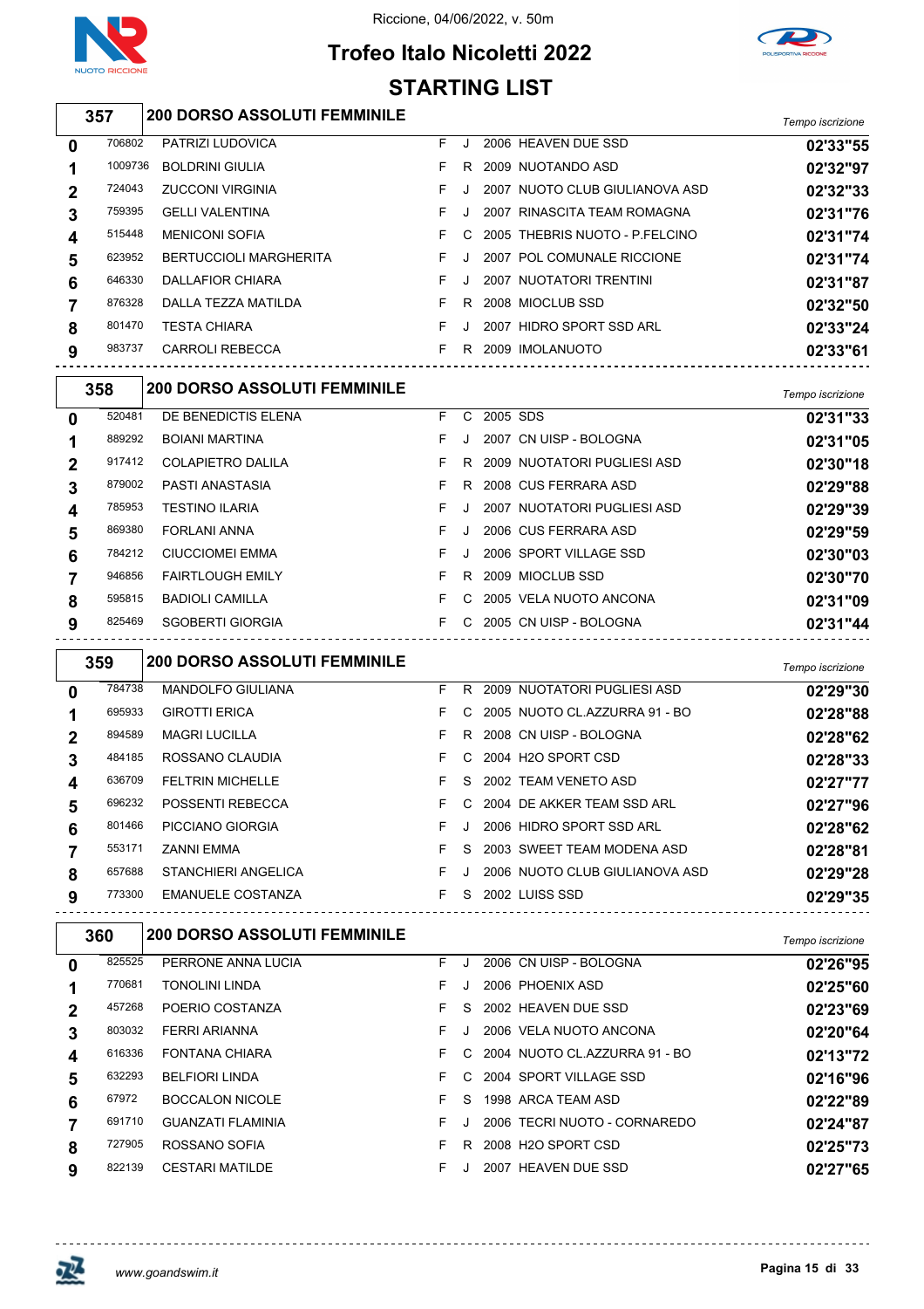





#### *Tempo iscrizione* **200 DORSO ASSOLUTI FEMMINILE** PATRIZI LUDOVICA F J 2006 HEAVEN DUE SSD **02'33"55** BOLDRINI GIULIA F R 2009 NUOTANDO ASD **02'32"97** ZUCCONI VIRGINIA F J 2007 NUOTO CLUB GIULIANOVA ASD **02'32"33** GELLI VALENTINA F J 2007 RINASCITA TEAM ROMAGNA **02'31"76** MENICONI SOFIA F C 2005 THEBRIS NUOTO - P.FELCINO **02'31"74** BERTUCCIOLI MARGHERITA F J 2007 POL COMUNALE RICCIONE **02'31"74** DALLAFIOR CHIARA F J 2007 NUOTATORI TRENTINI **02'31"87** DALLA TEZZA MATILDA F R 2008 MIOCLUB SSD **02'32"50** TESTA CHIARA F J 2007 HIDRO SPORT SSD ARL **02'33"24** CARROLI REBECCA F R 2009 IMOLANUOTO **02'33"61** *Tempo iscrizione* **200 DORSO ASSOLUTI FEMMINILE** DE BENEDICTIS ELENA F C 2005 SDS **02'31"33** BOIANI MARTINA F J 2007 CN UISP - BOLOGNA **02'31"05** COLAPIETRO DALILA F R 2009 NUOTATORI PUGLIESI ASD **02'30"18** PASTI ANASTASIA F R 2008 CUS FERRARA ASD **02'29"88 STARTING LIST**

| $\overline{2}$ | 917412 | COLAPIETRO DALILA       |         | R 2009 NUOTATORI PUGLIESI ASD | 02'30"18 |
|----------------|--------|-------------------------|---------|-------------------------------|----------|
| 3              | 879002 | PASTI ANASTASIA         | R       | 2008 CUS FERRARA ASD          | 02'29"88 |
| 4              | 785953 | <b>TESTINO ILARIA</b>   |         | 2007 NUOTATORI PUGLIESI ASD   | 02'29"39 |
| 5              | 869380 | <b>FORLANI ANNA</b>     |         | 2006 CUS FERRARA ASD          | 02'29"59 |
| 6              | 784212 | <b>CIUCCIOMEI EMMA</b>  | $\cdot$ | 2006 SPORT VILLAGE SSD        | 02'30"03 |
| 7              | 946856 | <b>FAIRTLOUGH EMILY</b> | R.      | 2009 MIOCLUB SSD              | 02'30"70 |
| 8              | 595815 | <b>BADIOLI CAMILLA</b>  |         | C 2005 VELA NUOTO ANCONA      | 02'31"09 |
| 9              | 825469 | SGOBERTI GIORGIA        |         | C 2005 CN UISP - BOLOGNA      | 02'31"44 |

|   | 359    | <b>200 DORSO ASSOLUTI FEMMINILE</b> |    |         |                                 | Tempo iscrizione |
|---|--------|-------------------------------------|----|---------|---------------------------------|------------------|
| 0 | 784738 | <b>MANDOLFO GIULIANA</b>            | F. | R       | 2009 NUOTATORI PUGLIESI ASD     | 02'29"30         |
|   | 695933 | <b>GIROTTI ERICA</b>                | F. |         | C 2005 NUOTO CL.AZZURRA 91 - BO | 02'28"88         |
| 2 | 894589 | <b>MAGRI LUCILLA</b>                | F. | R       | 2008 CN UISP - BOLOGNA          | 02'28"62         |
| 3 | 484185 | ROSSANO CLAUDIA                     | F. |         | C 2004 H2O SPORT CSD            | 02'28"33         |
| 4 | 636709 | <b>FELTRIN MICHELLE</b>             | F. |         | S 2002 TEAM VENETO ASD          | 02'27"77         |
| 5 | 696232 | POSSENTI REBECCA                    | F. |         | C 2004 DE AKKER TEAM SSD ARL    | 02'27"96         |
| 6 | 801466 | PICCIANO GIORGIA                    | F. | $\cdot$ | 2006 HIDRO SPORT SSD ARL        | 02'28"62         |
|   | 553171 | ZANNI EMMA                          | F. | S.      | 2003 SWEET TEAM MODENA ASD      | 02'28"81         |
| 8 | 657688 | STANCHIERI ANGELICA                 | F. | $\cdot$ | 2006 NUOTO CLUB GIULIANOVA ASD  | 02'29"28         |
| 9 | 773300 | <b>EMANUELE COSTANZA</b>            | F. | S.      | 2002 LUISS SSD                  | 02'29"35         |

|              | 360    | <b>200 DORSO ASSOLUTI FEMMINILE</b> |    |    |                                | Tempo iscrizione |
|--------------|--------|-------------------------------------|----|----|--------------------------------|------------------|
| $\mathbf{0}$ | 825525 | PERRONE ANNA LUCIA                  | F. |    | 2006 CN UISP - BOLOGNA         | 02'26"95         |
|              | 770681 | <b>TONOLINI LINDA</b>               | F. |    | 2006 PHOENIX ASD               | 02'25"60         |
| $\mathbf{2}$ | 457268 | POERIO COSTANZA                     | F. | S. | 2002 HEAVEN DUE SSD            | 02'23"69         |
| 3            | 803032 | FERRI ARIANNA                       | F. |    | 2006 VELA NUOTO ANCONA         | 02'20"64         |
| 4            | 616336 | FONTANA CHIARA                      | F. |    | C 2004 NUOTO CLAZZURRA 91 - BO | 02'13"72         |
| 5            | 632293 | <b>BELFIORI LINDA</b>               | F. | C. | 2004 SPORT VILLAGE SSD         | 02'16"96         |
| 6            | 67972  | <b>BOCCALON NICOLE</b>              | F  | S. | 1998 ARCA TEAM ASD             | 02'22"89         |
|              | 691710 | <b>GUANZATI FLAMINIA</b>            | F. |    | 2006 TECRI NUOTO - CORNAREDO   | 02'24"87         |
| 8            | 727905 | ROSSANO SOFIA                       | F  | R. | 2008 H2O SPORT CSD             | 02'25"73         |
| 9            | 822139 | <b>CESTARI MATILDE</b>              | F  |    | <b>HEAVEN DUE SSD</b><br>2007  | 02'27"65         |

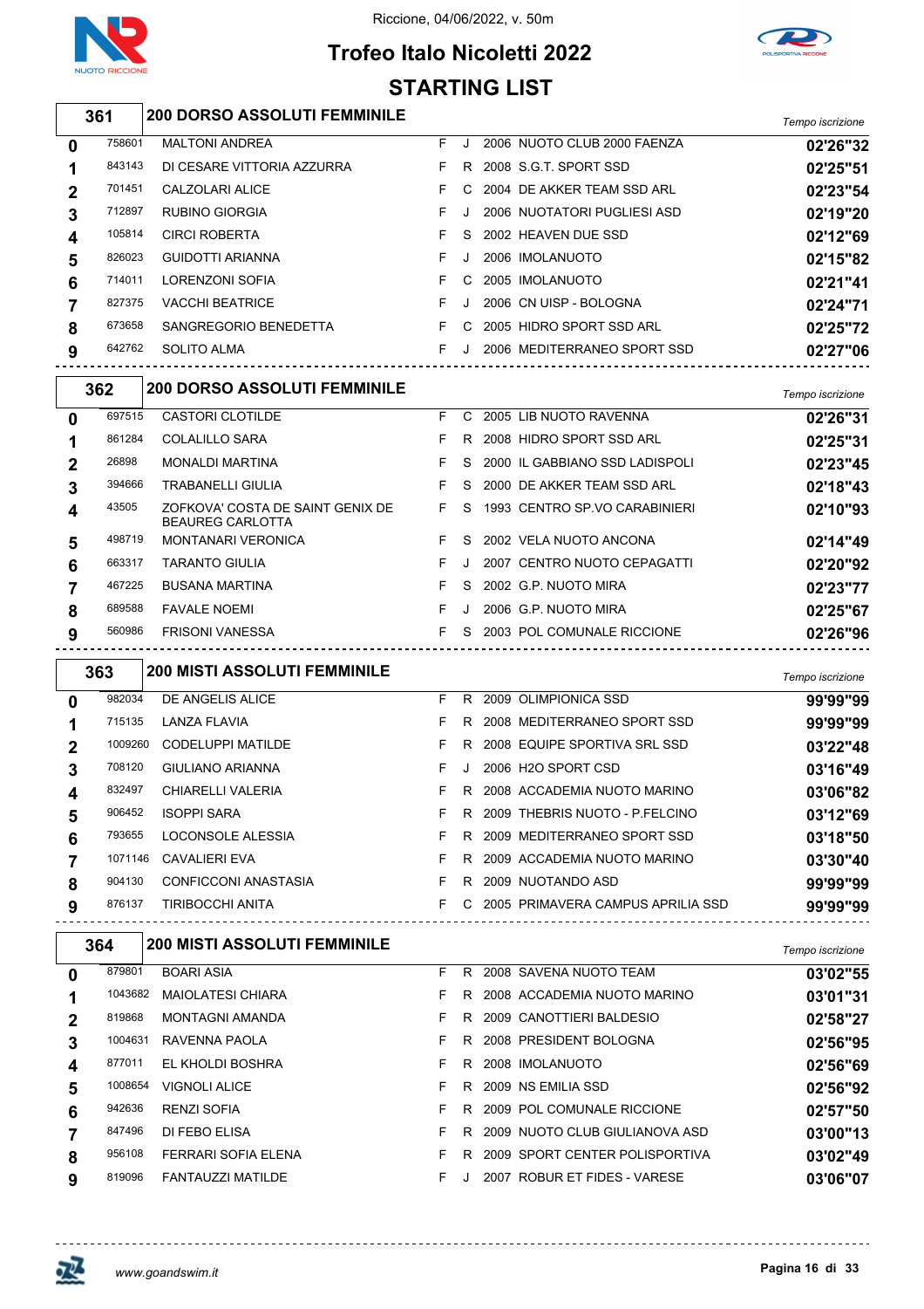

# **Trofeo Italo Nicoletti 2022**



|             | <b>STARTING LIST</b> |                                                               |    |          |  |                                       |                  |  |  |
|-------------|----------------------|---------------------------------------------------------------|----|----------|--|---------------------------------------|------------------|--|--|
|             | 361                  | <b>200 DORSO ASSOLUTI FEMMINILE</b>                           |    |          |  |                                       | Tempo iscrizione |  |  |
| 0           | 758601               | <b>MALTONI ANDREA</b>                                         | F. | J        |  | 2006 NUOTO CLUB 2000 FAENZA           | 02'26"32         |  |  |
| 1           | 843143               | DI CESARE VITTORIA AZZURRA                                    | F. | R        |  | 2008 S.G.T. SPORT SSD                 | 02'25"51         |  |  |
| 2           | 701451               | CALZOLARI ALICE                                               | F  | C        |  | 2004 DE AKKER TEAM SSD ARL            | 02'23"54         |  |  |
| 3           | 712897               | <b>RUBINO GIORGIA</b>                                         | F. | J        |  | 2006 NUOTATORI PUGLIESI ASD           | 02'19"20         |  |  |
| 4           | 105814               | <b>CIRCI ROBERTA</b>                                          | F. | <b>S</b> |  | 2002 HEAVEN DUE SSD                   | 02'12"69         |  |  |
| 5           | 826023               | <b>GUIDOTTI ARIANNA</b>                                       | F. | J        |  | 2006 IMOLANUOTO                       | 02'15"82         |  |  |
| 6           | 714011               | LORENZONI SOFIA                                               | F. | C        |  | 2005 IMOLANUOTO                       | 02'21"41         |  |  |
| 7           | 827375               | <b>VACCHI BEATRICE</b>                                        | F. | J        |  | 2006 CN UISP - BOLOGNA                | 02'24"71         |  |  |
| 8           | 673658               | SANGREGORIO BENEDETTA                                         | F. | C.       |  | 2005 HIDRO SPORT SSD ARL              | 02'25"72         |  |  |
| 9           | 642762               | SOLITO ALMA                                                   |    |          |  | F J 2006 MEDITERRANEO SPORT SSD       | 02'27"06         |  |  |
|             | 362                  | <b>200 DORSO ASSOLUTI FEMMINILE</b>                           |    |          |  |                                       | Tempo iscrizione |  |  |
| 0           | 697515               | <b>CASTORI CLOTILDE</b>                                       | F. |          |  | C 2005 LIB NUOTO RAVENNA              | 02'26"31         |  |  |
| 1           | 861284               | <b>COLALILLO SARA</b>                                         | F. |          |  | R 2008 HIDRO SPORT SSD ARL            | 02'25"31         |  |  |
| $\mathbf 2$ | 26898                | <b>MONALDI MARTINA</b>                                        | F. | S.       |  | 2000 IL GABBIANO SSD LADISPOLI        | 02'23"45         |  |  |
| 3           | 394666               | <b>TRABANELLI GIULIA</b>                                      | F. | S.       |  | 2000 DE AKKER TEAM SSD ARL            | 02'18"43         |  |  |
| 4           | 43505                | ZOFKOVA' COSTA DE SAINT GENIX DE F<br><b>BEAUREG CARLOTTA</b> |    | S.       |  | 1993 CENTRO SP.VO CARABINIERI         | 02'10"93         |  |  |
| 5           | 498719               | <b>MONTANARI VERONICA</b>                                     | F. | S.       |  | 2002 VELA NUOTO ANCONA                | 02'14"49         |  |  |
| 6           | 663317               | <b>TARANTO GIULIA</b>                                         | F. | J        |  | 2007 CENTRO NUOTO CEPAGATTI           | 02'20"92         |  |  |
| 7           | 467225               | <b>BUSANA MARTINA</b>                                         | F  | S.       |  | 2002 G.P. NUOTO MIRA                  | 02'23"77         |  |  |
| 8           | 689588               | <b>FAVALE NOEMI</b>                                           | F. | J        |  | 2006 G.P. NUOTO MIRA                  | 02'25"67         |  |  |
| 9           | 560986               | <b>FRISONI VANESSA</b>                                        |    |          |  | F S 2003 POL COMUNALE RICCIONE        | 02'26"96         |  |  |
|             | 363                  | <b>200 MISTI ASSOLUTI FEMMINILE</b>                           |    |          |  |                                       | Tempo iscrizione |  |  |
| 0           | 982034               | DE ANGELIS ALICE                                              | F. |          |  | R 2009 OLIMPIONICA SSD                | 99'99"99         |  |  |
| 1           | 715135               | LANZA FLAVIA                                                  | F. |          |  | R 2008 MEDITERRANEO SPORT SSD         | 99'99"99         |  |  |
| 2           | 1009260              | CODELUPPI MATILDE                                             | F. |          |  | R 2008 EQUIPE SPORTIVA SRL SSD        | 03'22"48         |  |  |
| 3           | 708120               | GIULIANO ARIANNA                                              |    |          |  | F J 2006 H2O SPORT CSD                | 03'16"49         |  |  |
| 4           | 832497               | CHIARELLI VALERIA                                             |    |          |  | F R 2008 ACCADEMIA NUOTO MARINO       | 03'06"82         |  |  |
| 5           | 906452               | <b>ISOPPI SARA</b>                                            |    |          |  | F R 2009 THEBRIS NUOTO - P.FELCINO    | 03'12"69         |  |  |
| 6           | 793655               | LOCONSOLE ALESSIA                                             |    |          |  | F R 2009 MEDITERRANEO SPORT SSD       | 03'18"50         |  |  |
| 7           | 1071146              | CAVALIERI EVA                                                 |    |          |  | F R 2009 ACCADEMIA NUOTO MARINO       | 03'30"40         |  |  |
| 8           | 904130               | CONFICCONI ANASTASIA F R 2009 NUOTANDO ASD                    |    |          |  |                                       | 99'99"99         |  |  |
| 9           |                      | 876137 TIRIBOCCHI ANITA                                       |    |          |  | F C 2005 PRIMAVERA CAMPUS APRILIA SSD | 99'99"99         |  |  |
|             | 364                  | <b>200 MISTI ASSOLUTI FEMMINILE</b>                           |    |          |  |                                       | Tempo iscrizione |  |  |
| 0           | 879801               | <b>BOARI ASIA</b>                                             |    |          |  | F R 2008 SAVENA NUOTO TEAM            | 03'02"55         |  |  |
| 1           |                      | 1043682 MAIOLATESI CHIARA                                     |    |          |  | F R 2008 ACCADEMIA NUOTO MARINO       | 03'01"31         |  |  |
| 2           | 819868               | MONTAGNI AMANDA                                               |    |          |  | F R 2009 CANOTTIERI BALDESIO          | 02'58"27         |  |  |
| 3           | 1004631              | RAVENNA PAOLA                                                 |    |          |  | F R 2008 PRESIDENT BOLOGNA            | 02'56"95         |  |  |
| 4           | 877011               | EL KHOLDI BOSHRA                                              | F. |          |  | R 2008 IMOLANUOTO                     | 02'56"69         |  |  |
| 5           |                      | 1008654 VIGNOLI ALICE                                         |    |          |  | F R 2009 NS EMILIA SSD                | 02'56"92         |  |  |
| 6           | 942636               | RENZI SOFIA                                                   |    |          |  | F R 2009 POL COMUNALE RICCIONE        | 02'57"50         |  |  |
| 7           | 847496               | DI FEBO ELISA                                                 |    |          |  | F R 2009 NUOTO CLUB GIULIANOVA ASD    | 03'00"13         |  |  |
| 8           | 956108               | FERRARI SOFIA ELENA                                           |    |          |  | F R 2009 SPORT CENTER POLISPORTIVA    | 03'02"49         |  |  |

819096 FANTAUZZI MATILDE **F** J 2007 ROBUR ET FIDES - VARESE **03'06"07** 

巫

----------------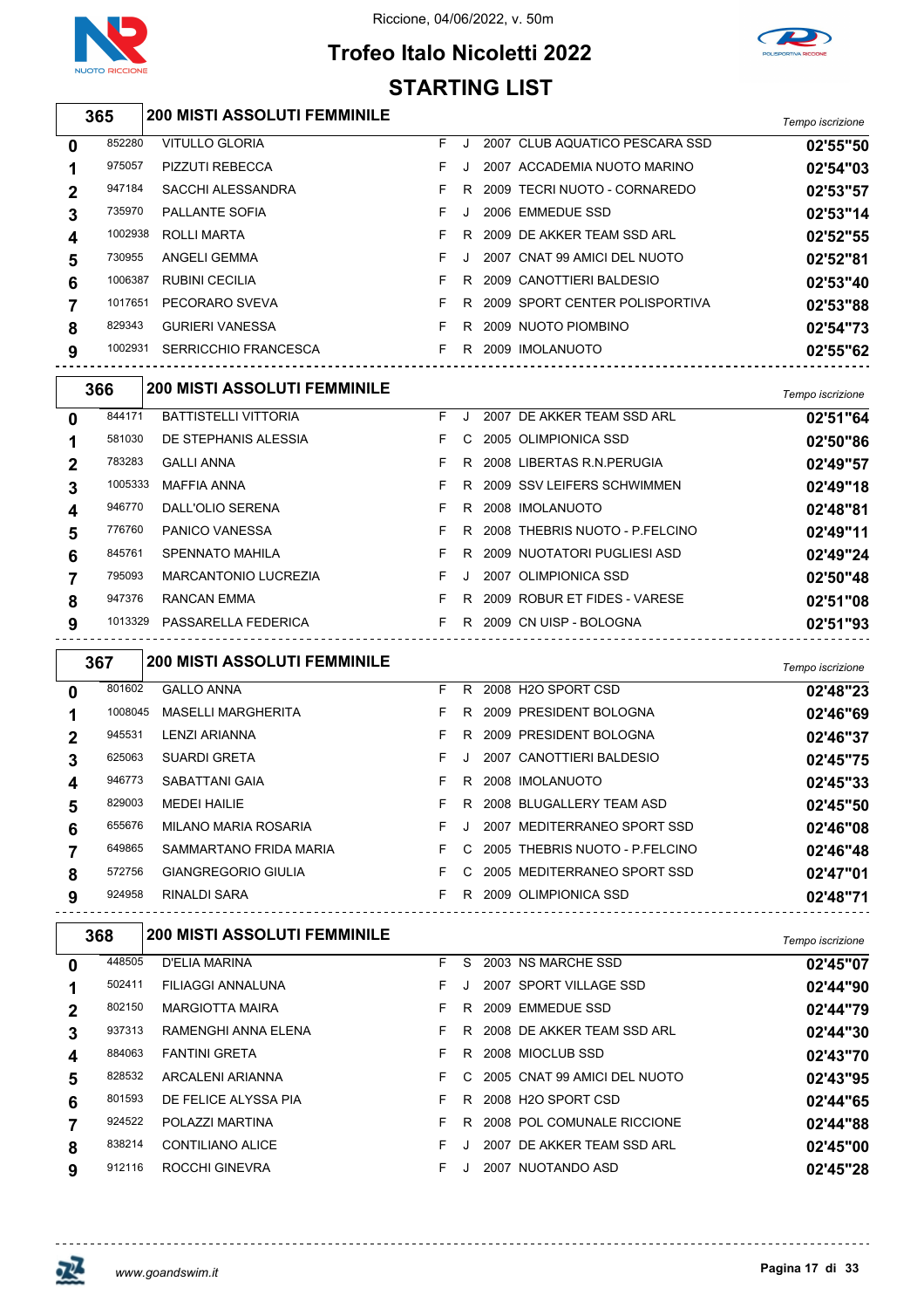

 $\Gamma$ 

#### Riccione, 04/06/2022, v. 50m





| 365 |         | <b>200 MISTI ASSOLUTI FEMMINILE</b> |    |    |                                | Tempo iscrizione |
|-----|---------|-------------------------------------|----|----|--------------------------------|------------------|
| 0   | 852280  | VITULLO GLORIA                      | F. |    | 2007 CLUB AQUATICO PESCARA SSD | 02'55"50         |
|     | 975057  | <b>PIZZUTI REBECCA</b>              | F. |    | 2007 ACCADEMIA NUOTO MARINO    | 02'54"03         |
| 2   | 947184  | <b>SACCHI ALESSANDRA</b>            |    | R. | 2009 TECRI NUOTO - CORNAREDO   | 02'53"57         |
| 3   | 735970  | <b>PALLANTE SOFIA</b>               | F. |    | 2006 EMMEDUE SSD               | 02'53"14         |
| 4   | 1002938 | ROLLI MARTA                         |    | R. | 2009 DE AKKER TEAM SSD ARL     | 02'52"55         |
| 5   | 730955  | ANGELI GEMMA                        | F. |    | 2007 CNAT 99 AMICI DEL NUOTO   | 02'52"81         |
| 6   | 1006387 | <b>RUBINI CECILIA</b>               |    | R. | 2009 CANOTTIERI BALDESIO       | 02'53"40         |
|     | 1017651 | PECORARO SVEVA                      | F. | R. | 2009 SPORT CENTER POLISPORTIVA | 02'53"88         |
| 8   | 829343  | <b>GURIERI VANESSA</b>              |    | R  | 2009 NUOTO PIOMBINO            | 02'54"73         |
|     |         |                                     |    |    |                                |                  |

|              | 366     | <b>200 MISTI ASSOLUTI FEMMINILE</b> |    |    |                                | Tempo iscrizione |
|--------------|---------|-------------------------------------|----|----|--------------------------------|------------------|
| $\mathbf{0}$ | 844171  | <b>BATTISTELLI VITTORIA</b>         | F. |    | 2007 DE AKKER TEAM SSD ARL     | 02'51"64         |
|              | 581030  | DE STEPHANIS ALESSIA                |    | C. | 2005 OLIMPIONICA SSD           | 02'50"86         |
| $\mathbf 2$  | 783283  | <b>GALLI ANNA</b>                   |    | R. | 2008 LIBERTAS R.N. PERUGIA     | 02'49"57         |
| 3            | 1005333 | <b>MAFFIA ANNA</b>                  | F. | R. | 2009 SSV LEIFERS SCHWIMMEN     | 02'49"18         |
| 4            | 946770  | DALL'OLIO SERENA                    |    | R. | 2008 IMOLANUOTO                | 02'48"81         |
| 5            | 776760  | PANICO VANESSA                      |    | R. | 2008 THEBRIS NUOTO - P.FELCINO | 02'49"11         |
| 6            | 845761  | <b>SPENNATO MAHILA</b>              |    | R. | 2009 NUOTATORI PUGLIESI ASD    | 02'49"24         |
|              | 795093  | <b>MARCANTONIO LUCREZIA</b>         | F. |    | 2007 OLIMPIONICA SSD           | 02'50"48         |
| 8            | 947376  | RANCAN EMMA                         | F. | R. | 2009 ROBUR ET FIDES - VARESE   | 02'51"08         |
| 9            | 1013329 | PASSARELLA FEDERICA                 |    | R. | 2009 CN UISP - BOLOGNA         | 02'51"93         |

SERRICCHIO FRANCESCA F R 2009 IMOLANUOTO **02'55"62**

|              | 367     | <b>200 MISTI ASSOLUTI FEMMINILE</b> |    |         |                                | Tempo iscrizione |
|--------------|---------|-------------------------------------|----|---------|--------------------------------|------------------|
| 0            | 801602  | <b>GALLO ANNA</b>                   | F. |         | R 2008 H2O SPORT CSD           | 02'48"23         |
|              | 1008045 | <b>MASELLI MARGHERITA</b>           | F  | R.      | 2009 PRESIDENT BOLOGNA         | 02'46"69         |
| $\mathbf{2}$ | 945531  | <b>LENZI ARIANNA</b>                | F  | R.      | 2009 PRESIDENT BOLOGNA         | 02'46"37         |
| 3            | 625063  | <b>SUARDI GRETA</b>                 | F. | $\cdot$ | 2007 CANOTTIERI BALDESIO       | 02'45"75         |
| 4            | 946773  | SABATTANI GAIA                      | F. | R.      | 2008 IMOLANUOTO                | 02'45"33         |
| 5            | 829003  | <b>MEDEI HAILIE</b>                 | F  | R.      | 2008 BLUGALLERY TEAM ASD       | 02'45"50         |
| 6            | 655676  | <b>MILANO MARIA ROSARIA</b>         | F. | $\cdot$ | MEDITERRANEO SPORT SSD<br>2007 | 02'46"08         |
| 7            | 649865  | SAMMARTANO FRIDA MARIA              | F  | C.      | 2005 THEBRIS NUOTO - P.FELCINO | 02'46"48         |
| 8            | 572756  | <b>GIANGREGORIO GIULIA</b>          | F  | C.      | 2005 MEDITERRANEO SPORT SSD    | 02'47"01         |
| 9            | 924958  | RINALDI SARA                        | F. | R.      | 2009 OLIMPIONICA SSD           | 02'48"71         |

| 368         |        | <b>200 MISTI ASSOLUTI FEMMINILE</b> |    |    |      |                              | Tempo iscrizione |
|-------------|--------|-------------------------------------|----|----|------|------------------------------|------------------|
| 0           | 448505 | D'ELIA MARINA                       | F. | S. |      | 2003 NS MARCHE SSD           | 02'45"07         |
|             | 502411 | FILIAGGI ANNALUNA                   | F. |    |      | 2007 SPORT VILLAGE SSD       | 02'44"90         |
| $\mathbf 2$ | 802150 | <b>MARGIOTTA MAIRA</b>              | F. | R. |      | 2009 EMMEDUE SSD             | 02'44"79         |
| 3           | 937313 | RAMENGHI ANNA ELENA                 | F. |    |      | R 2008 DE AKKER TEAM SSD ARL | 02'44"30         |
| 4           | 884063 | <b>FANTINI GRETA</b>                | F. | R  |      | 2008 MIOCLUB SSD             | 02'43"70         |
| 5           | 828532 | ARCALENI ARIANNA                    | F. | C. |      | 2005 CNAT 99 AMICI DEL NUOTO | 02'43"95         |
| 6           | 801593 | DE FELICE ALYSSA PIA                | F. | R. |      | 2008 H2O SPORT CSD           | 02'44"65         |
|             | 924522 | POLAZZI MARTINA                     | F. | R  |      | 2008 POL COMUNALE RICCIONE   | 02'44"88         |
| 8           | 838214 | CONTILIANO ALICE                    | F. |    | 2007 | DE AKKER TEAM SSD ARL        | 02'45"00         |
| 9           | 912116 | ROCCHI GINEVRA                      | F. |    |      | 2007 NUOTANDO ASD            | 02'45"28         |
|             |        |                                     |    |    |      |                              |                  |

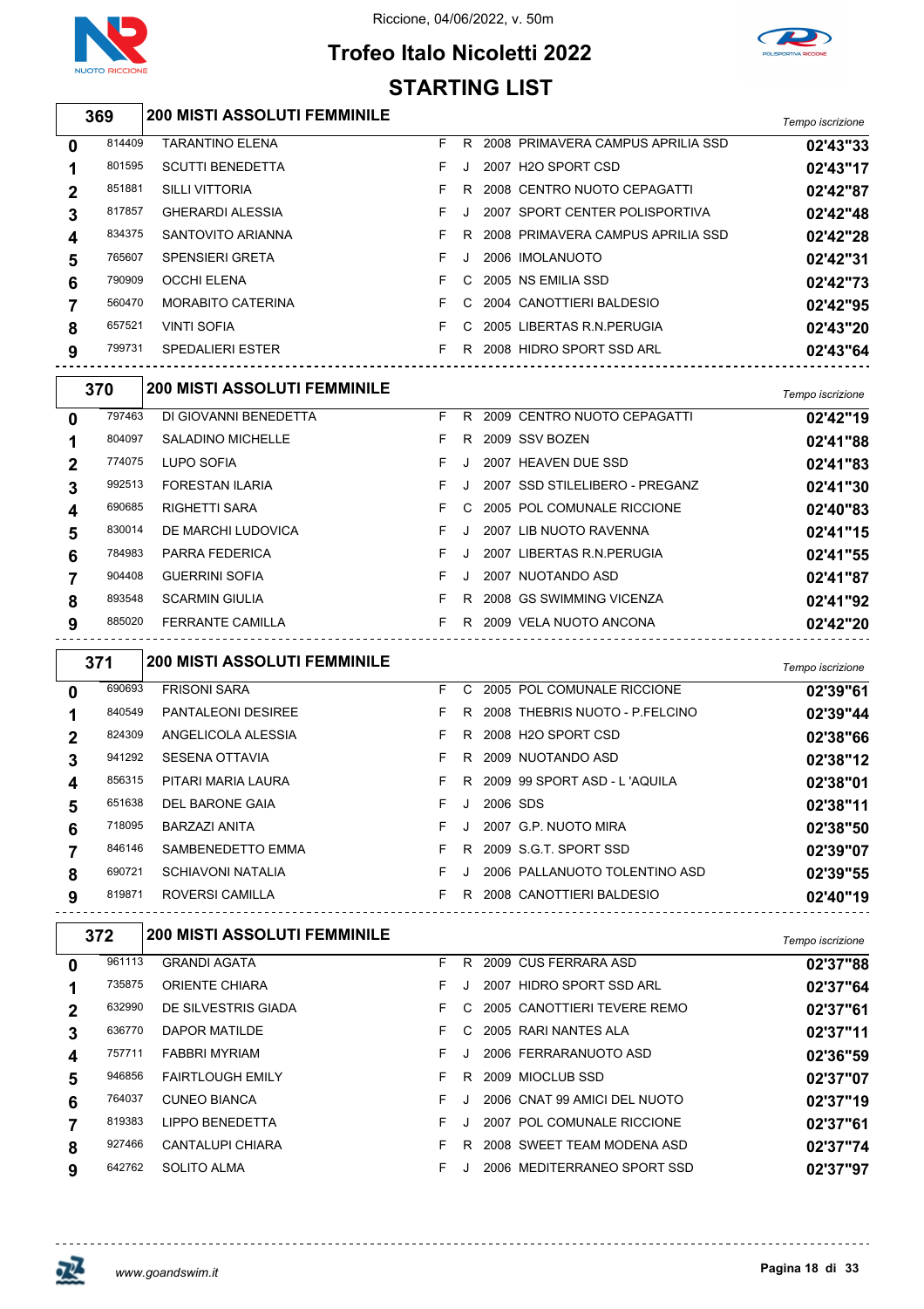



### **Trofeo Italo Nicoletti 2022 STARTING LIST**

|                         | 369    | <b>200 MISTI ASSOLUTI FEMMINILE</b>                                     |    |   |          |                                       | Tempo iscrizione |
|-------------------------|--------|-------------------------------------------------------------------------|----|---|----------|---------------------------------------|------------------|
| 0                       | 814409 | <b>TARANTINO ELENA</b>                                                  |    |   |          | F R 2008 PRIMAVERA CAMPUS APRILIA SSD | 02'43"33         |
| 1                       | 801595 | <b>SCUTTI BENEDETTA</b>                                                 | F. |   |          | J 2007 H2O SPORT CSD                  | 02'43"17         |
| $\mathbf 2$             | 851881 | <b>SILLI VITTORIA</b>                                                   | F. |   |          | R 2008 CENTRO NUOTO CEPAGATTI         | 02'42"87         |
| 3                       | 817857 | <b>GHERARDI ALESSIA</b>                                                 | F. |   |          | J 2007 SPORT CENTER POLISPORTIVA      | 02'42"48         |
| 4                       | 834375 | SANTOVITO ARIANNA                                                       | F. |   |          | R 2008 PRIMAVERA CAMPUS APRILIA SSD   | 02'42"28         |
| 5                       | 765607 | <b>SPENSIERI GRETA</b>                                                  | F. |   |          | J 2006 IMOLANUOTO                     | 02'42"31         |
| 6                       | 790909 | OCCHI ELENA                                                             | F. |   |          | C 2005 NS EMILIA SSD                  | 02'42"73         |
| 7                       | 560470 | MORABITO CATERINA                                                       | F. |   |          | C 2004 CANOTTIERI BALDESIO            | 02'42"95         |
| 8                       | 657521 | <b>VINTI SOFIA</b>                                                      |    |   |          | F C 2005 LIBERTAS R.N.PERUGIA         | 02'43"20         |
| 9                       | 799731 | SPEDALIERI ESTER                                                        |    |   |          | F R 2008 HIDRO SPORT SSD ARL          | 02'43"64         |
|                         | 370    | --------------------------------<br><b>200 MISTI ASSOLUTI FEMMINILE</b> |    |   |          |                                       | Tempo iscrizione |
| 0                       | 797463 | DI GIOVANNI BENEDETTA                                                   |    |   |          | F R 2009 CENTRO NUOTO CEPAGATTI       | 02'42"19         |
| 1                       | 804097 | SALADINO MICHELLE                                                       |    |   |          | F R 2009 SSV BOZEN                    | 02'41"88         |
| $\mathbf 2$             | 774075 | LUPO SOFIA                                                              | F. |   |          | J 2007 HEAVEN DUE SSD                 | 02'41"83         |
| 3                       | 992513 | FORESTAN ILARIA                                                         | F  |   |          | J 2007 SSD STILELIBERO - PREGANZ      | 02'41"30         |
| $\overline{\mathbf{4}}$ | 690685 | RIGHETTI SARA                                                           | F. |   |          | C 2005 POL COMUNALE RICCIONE          | 02'40"83         |
| 5                       | 830014 | DE MARCHI LUDOVICA                                                      | F. |   |          | J 2007 LIB NUOTO RAVENNA              | 02'41"15         |
| 6                       | 784983 | PARRA FEDERICA                                                          | F. |   |          | J 2007 LIBERTAS R.N.PERUGIA           | 02'41"55         |
| 7                       | 904408 | <b>GUERRINI SOFIA</b>                                                   | F. |   |          | J 2007 NUOTANDO ASD                   | 02'41"87         |
| 8                       | 893548 | <b>SCARMIN GIULIA</b>                                                   |    |   |          | F R 2008 GS SWIMMING VICENZA          | 02'41"92         |
| 9                       | 885020 | FERRANTE CAMILLA                                                        |    |   |          | F R 2009 VELA NUOTO ANCONA            | 02'42"20         |
|                         | 371    | <b>200 MISTI ASSOLUTI FEMMINILE</b>                                     |    |   |          |                                       | Tempo iscrizione |
| 0                       | 690693 | <b>FRISONI SARA</b>                                                     |    |   |          | F C 2005 POL COMUNALE RICCIONE        | 02'39"61         |
| 1                       | 840549 | PANTALEONI DESIREE                                                      |    |   |          | F R 2008 THEBRIS NUOTO - P.FELCINO    | 02'39"44         |
| $\mathbf 2$             | 824309 | ANGELICOLA ALESSIA                                                      |    |   |          | F R 2008 H2O SPORT CSD                | 02'38"66         |
| 3                       | 941292 | <b>SESENA OTTAVIA</b>                                                   | F. |   |          | R 2009 NUOTANDO ASD                   | 02'38"12         |
| 4                       | 856315 | PITARI MARIA LAURA                                                      |    |   |          | F R 2009 99 SPORT ASD - L'AQUILA      | 02'38"01         |
| 5                       | 651638 | DEL BARONE GAIA                                                         | F  | J | 2006 SDS |                                       | 02'38"11         |
| 6                       | 718095 | BARZAZI ANITA                                                           | F. |   |          | J 2007 G.P. NUOTO MIRA                | 02'38"50         |
| 7                       | 846146 | SAMBENEDETTO EMMA                                                       |    |   |          | F R 2009 S.G.T. SPORT SSD             | 02'39"07         |
| 8                       | 690721 | SCHIAVONI NATALIA                                                       |    |   |          | F J 2006 PALLANUOTO TOLENTINO ASD     | 02'39"55         |
| 9                       | 819871 | ROVERSI CAMILLA                                                         |    |   |          | F R 2008 CANOTTIERI BALDESIO          | 02'40"19         |
|                         | 372    | <b>200 MISTI ASSOLUTI FEMMINILE</b>                                     |    |   |          |                                       | Tempo iscrizione |
| 0                       | 961113 | <b>GRANDI AGATA</b>                                                     |    |   |          | F R 2009 CUS FERRARA ASD              | 02'37"88         |
| 1                       | 735875 | ORIENTE CHIARA                                                          | F. |   |          | J 2007 HIDRO SPORT SSD ARL            | 02'37"64         |
| $\mathbf 2$             | 632990 | DE SILVESTRIS GIADA                                                     | F. |   |          | C 2005 CANOTTIERI TEVERE REMO         | 02'37"61         |
| 3                       | 636770 | DAPOR MATILDE                                                           | F. |   |          | C 2005 RARI NANTES ALA                | 02'37"11         |
| 4                       | 757711 | <b>FABBRI MYRIAM</b>                                                    | F  |   |          | J 2006 FERRARANUOTO ASD               | 02'36"59         |
| 5                       | 946856 | <b>FAIRTLOUGH EMILY</b>                                                 | F. |   |          | R 2009 MIOCLUB SSD                    | 02'37"07         |
| 6                       | 764037 | <b>CUNEO BIANCA</b>                                                     | F. |   |          | J 2006 CNAT 99 AMICI DEL NUOTO        | 02'37"19         |
| $\overline{7}$          | 819383 | <b>LIPPO BENEDETTA</b>                                                  | F. |   |          | J 2007 POL COMUNALE RICCIONE          | 02'37"61         |
| 8                       | 927466 | CANTALUPI CHIARA                                                        |    |   |          | F R 2008 SWEET TEAM MODENA ASD        | 02'37"74         |

SOLITO ALMA F J 2006 MEDITERRANEO SPORT SSD **02'37"97**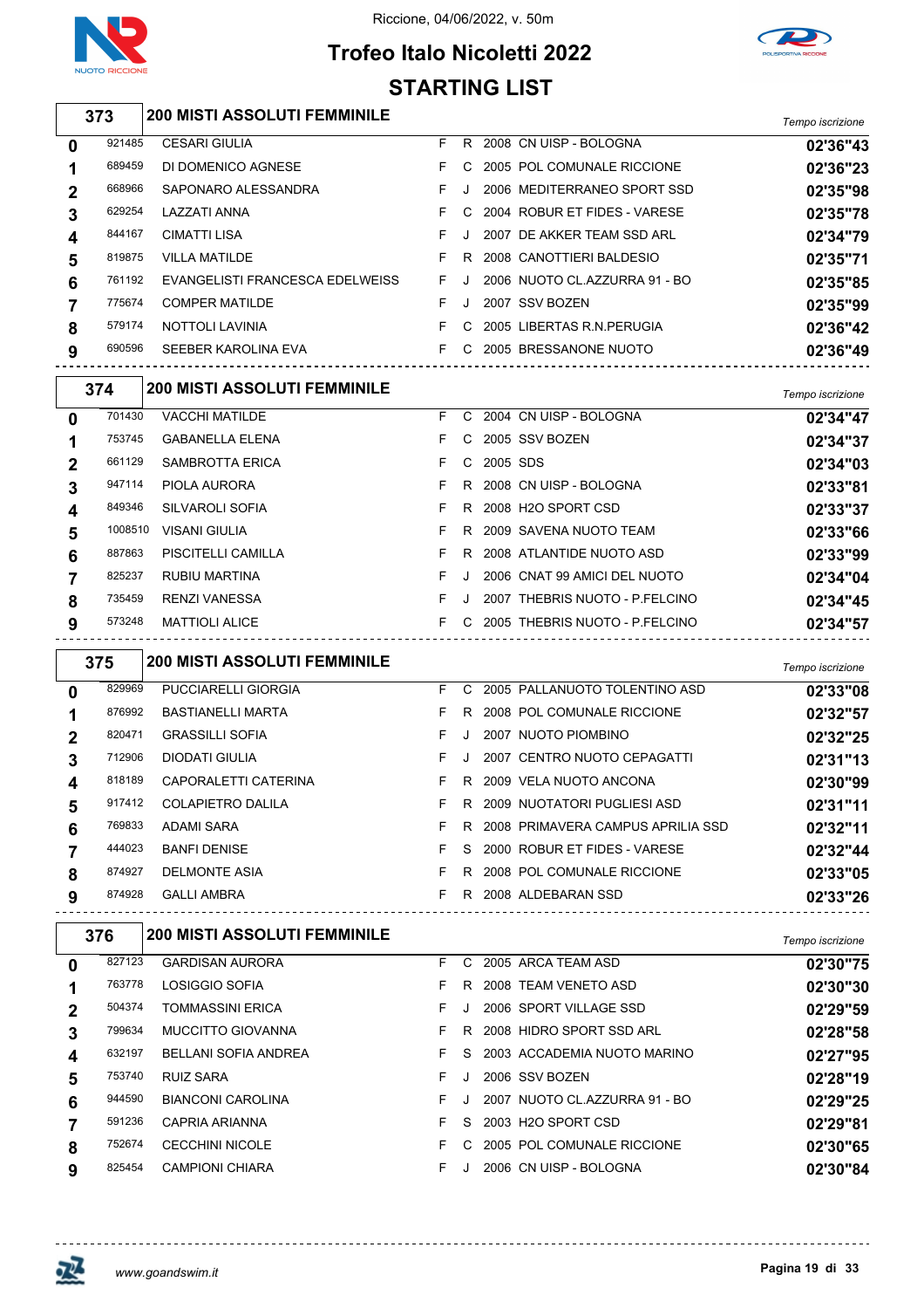



### **Trofeo Italo Nicoletti 2022 STARTING LIST**

| 373     | <b>200 MISTI ASSOLUTI FEMMINILE</b> |    |            |                                     | Tempo iscrizione |
|---------|-------------------------------------|----|------------|-------------------------------------|------------------|
| 921485  | <b>CESARI GIULIA</b>                | F  |            | R 2008 CN UISP - BOLOGNA            | 02'36"43         |
| 689459  | DI DOMENICO AGNESE                  | F. |            | C 2005 POL COMUNALE RICCIONE        | 02'36"23         |
| 668966  | SAPONARO ALESSANDRA                 | F. |            | J 2006 MEDITERRANEO SPORT SSD       | 02'35"98         |
| 629254  | LAZZATI ANNA                        | F. |            | C 2004 ROBUR ET FIDES - VARESE      | 02'35"78         |
| 844167  | <b>CIMATTI LISA</b>                 | F. |            | J 2007 DE AKKER TEAM SSD ARL        | 02'34"79         |
| 819875  | <b>VILLA MATILDE</b>                | F. |            | R 2008 CANOTTIERI BALDESIO          | 02'35"71         |
| 761192  | EVANGELISTI FRANCESCA EDELWEISS     | F. |            | J 2006 NUOTO CL.AZZURRA 91 - BO     | 02'35"85         |
| 775674  | <b>COMPER MATILDE</b>               | F. |            | J 2007 SSV BOZEN                    | 02'35"99         |
| 579174  | NOTTOLI LAVINIA                     |    |            | F C 2005 LIBERTAS R.N.PERUGIA       | 02'36"42         |
| 690596  | SEEBER KAROLINA EVA                 |    |            | F C 2005 BRESSANONE NUOTO           | 02'36"49         |
| 374     | <b>200 MISTI ASSOLUTI FEMMINILE</b> |    |            |                                     | Tempo iscrizione |
| 701430  | <b>VACCHI MATILDE</b>               |    |            | F C 2004 CN UISP - BOLOGNA          | 02'34"47         |
| 753745  | <b>GABANELLA ELENA</b>              | F. |            | C 2005 SSV BOZEN                    | 02'34"37         |
| 661129  | <b>SAMBROTTA ERICA</b>              | F. | C 2005 SDS |                                     | 02'34"03         |
| 947114  | PIOLA AURORA                        | F. |            | R 2008 CN UISP - BOLOGNA            | 02'33"81         |
| 849346  | <b>SILVAROLI SOFIA</b>              | F. |            | R 2008 H2O SPORT CSD                | 02'33"37         |
| 1008510 | VISANI GIULIA                       | F. |            | R 2009 SAVENA NUOTO TEAM            | 02'33"66         |
| 887863  | PISCITELLI CAMILLA                  | F. |            | R 2008 ATLANTIDE NUOTO ASD          | 02'33"99         |
| 825237  | <b>RUBIU MARTINA</b>                | F. |            | J 2006 CNAT 99 AMICI DEL NUOTO      | 02'34"04         |
| 735459  | <b>RENZI VANESSA</b>                | F. |            | J 2007 THEBRIS NUOTO - P.FELCINO    | 02'34"45         |
| 573248  | <b>MATTIOLI ALICE</b>               |    |            | F C 2005 THEBRIS NUOTO - P.FELCINO  | 02'34"57         |
| 375     | <b>200 MISTI ASSOLUTI FEMMINILE</b> |    |            |                                     | Tempo iscrizione |
| 829969  | <b>PUCCIARELLI GIORGIA</b>          | F. |            | C 2005 PALLANUOTO TOLENTINO ASD     | 02'33"08         |
| 876992  | <b>BASTIANELLI MARTA</b>            | F. |            | R 2008 POL COMUNALE RICCIONE        | 02'32"57         |
| 820471  | <b>GRASSILLI SOFIA</b>              | F. |            | J 2007 NUOTO PIOMBINO               | 02'32"25         |
| 712906  | DIODATI GIULIA                      | F. |            | J 2007 CENTRO NUOTO CEPAGATTI       | 02'31"13         |
| 818189  | CAPORALETTI CATERINA                |    |            | F R 2009 VELA NUOTO ANCONA          | 02'30"99         |
|         | 917412 COLAPIETRO DALILA            |    |            | F R 2009 NUOTATORI PUGLIESI ASD     | 02'31"11         |
| 769833  | ADAMI SARA                          | F. |            | R 2008 PRIMAVERA CAMPUS APRILIA SSD | 02'32"11         |
| 444023  | <b>BANFI DENISE</b>                 | F. |            | S 2000 ROBUR ET FIDES - VARESE      | 02'32"44         |
| 874927  | DELMONTE ASIA                       | F. |            | R 2008 POL COMUNALE RICCIONE        | 02'33"05         |
| 874928  | <b>GALLI AMBRA</b>                  |    |            | F R 2008 ALDEBARAN SSD<br><u>.</u>  | 02'33"26         |
| 376     | <b>200 MISTI ASSOLUTI FEMMINILE</b> |    |            |                                     | Tempo iscrizione |
| 827123  | <b>GARDISAN AURORA</b>              |    |            | F C 2005 ARCA TEAM ASD              | 02'30"75         |
| 763778  | <b>LOSIGGIO SOFIA</b>               |    |            | F R 2008 TEAM VENETO ASD            | 02'30"30         |

| ומה שני טועטור הו    | 00 ככ <i>ב</i> ט |
|----------------------|------------------|
| TIDE NUOTO ASD       | 02'33"99         |
| 99 AMICI DEL NUOTO   | 02'34"04         |
| IS NUOTO - P.FELCINO | 02'34"45         |
| IS NUOTO - P.FELCINO | 02'34"57         |
|                      |                  |

|        |                   |    |                            | .        |
|--------|-------------------|----|----------------------------|----------|
| 827123 | GARDISAN AURORA   |    | F C 2005 ARCA TEAM ASD     | 02'30"75 |
| 763778 | LOSIGGIO SOFIA    | E. | R 2008 TEAM VENETO ASD     | 02'30"30 |
| 504374 | TOMMASSINI ERICA  |    | 2006 SPORT VILLAGE SSD     | 02'29"59 |
| 799634 | MUCCITTO GIOVANNA |    | R 2008 HIDRO SPORT SSD ARL | 02'28"58 |
|        |                   |    |                            |          |

| 632197 | BELLANI SOFIA ANDREA   |     |  | F S 2003 ACCADEMIA NUOTO MARINO   | 02'27"95 |
|--------|------------------------|-----|--|-----------------------------------|----------|
| 753740 | RUIZ SARA              | FJ. |  | 2006 SSV BOZEN                    | 02'28"19 |
| 944590 | BIANCONI CAROLINA      |     |  | F J 2007 NUOTO CL.AZZURRA 91 - BO | 02'29"25 |
| 591236 | CAPRIA ARIANNA         |     |  | F S 2003 H2O SPORT CSD            | 02'29"81 |
| 752674 | <b>CECCHINI NICOLE</b> |     |  | F C 2005 POL COMUNALE RICCIONE    | 02'30"65 |
| 825454 | CAMPIONI CHIARA        |     |  | F J 2006 CN UISP - BOLOGNA        | 02'30"84 |
|        |                        |     |  |                                   |          |

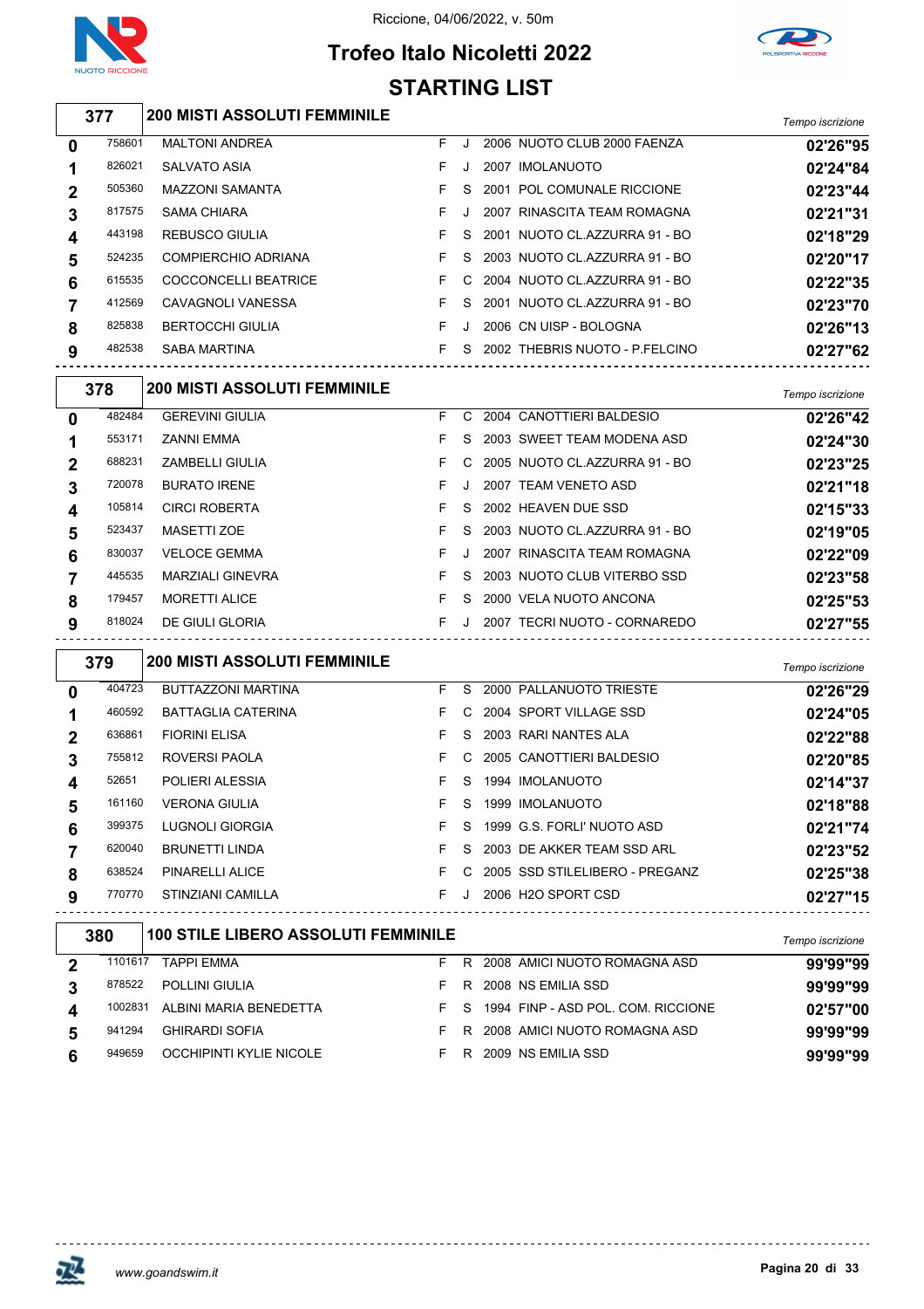

 $\sqrt{2}$ 

#### Riccione, 04/06/2022, v. 50m

### **Trofeo Italo Nicoletti 2022 STARTING LIST**



| 377            |        | <b>200 MISTI ASSOLUTI FEMMINILE</b> |    |         |                                | Tempo iscrizione |
|----------------|--------|-------------------------------------|----|---------|--------------------------------|------------------|
| $\bf{0}$       | 758601 | <b>MALTONI ANDREA</b>               | F. | J.      | 2006 NUOTO CLUB 2000 FAENZA    | 02'26"95         |
| 1              | 826021 | <b>SALVATO ASIA</b>                 | F. | J       | 2007 IMOLANUOTO                | 02'24"84         |
| $\mathbf{2}$   | 505360 | <b>MAZZONI SAMANTA</b>              |    | S.      | 2001 POL COMUNALE RICCIONE     | 02'23"44         |
| 3              | 817575 | <b>SAMA CHIARA</b>                  | F. | $\cdot$ | 2007 RINASCITA TEAM ROMAGNA    | 02'21"31         |
| 4              | 443198 | REBUSCO GIULIA                      | F. | S.      | 2001 NUOTO CL.AZZURRA 91 - BO  | 02'18"29         |
| 5              | 524235 | COMPIERCHIO ADRIANA                 | F. | S.      | 2003 NUOTO CL.AZZURRA 91 - BO  | 02'20"17         |
| 6              | 615535 | COCCONCELLI BEATRICE                | F. | C.      | 2004 NUOTO CL.AZZURRA 91 - BO  | 02'22"35         |
| $\overline{7}$ | 412569 | CAVAGNOLI VANESSA                   |    | S.      | 2001 NUOTO CL.AZZURRA 91 - BO  | 02'23"70         |
| 8              | 825838 | <b>BERTOCCHI GIULIA</b>             | F. | $\cdot$ | 2006 CN UISP - BOLOGNA         | 02'26"13         |
| 9              | 482538 | <b>SABA MARTINA</b>                 | F. | S.      | 2002 THEBRIS NUOTO - P.FELCINO | 02'27"62         |

|              | 378    | <b>200 MISTI ASSOLUTI FEMMINILE</b> |    |    |                               | Tempo iscrizione |
|--------------|--------|-------------------------------------|----|----|-------------------------------|------------------|
| $\mathbf{0}$ | 482484 | <b>GEREVINI GIULIA</b>              | F. | C. | 2004 CANOTTIERI BALDESIO      | 02'26"42         |
| 1            | 553171 | <b>ZANNI EMMA</b>                   |    | S. | 2003 SWEET TEAM MODENA ASD    | 02'24"30         |
| $\mathbf 2$  | 688231 | <b>ZAMBELLI GIULIA</b>              |    | C. | 2005 NUOTO CL.AZZURRA 91 - BO | 02'23"25         |
| 3            | 720078 | <b>BURATO IRENE</b>                 | F. | J  | 2007 TEAM VENETO ASD          | 02'21"18         |
| 4            | 105814 | <b>CIRCI ROBERTA</b>                |    | S. | 2002 HEAVEN DUE SSD           | 02'15"33         |
| 5            | 523437 | <b>MASETTI ZOE</b>                  |    | S. | 2003 NUOTO CL.AZZURRA 91 - BO | 02'19"05         |
| 6            | 830037 | <b>VELOCE GEMMA</b>                 |    | J  | 2007 RINASCITA TEAM ROMAGNA   | 02'22"09         |
| 7            | 445535 | <b>MARZIALI GINEVRA</b>             |    | S. | 2003 NUOTO CLUB VITERBO SSD   | 02'23"58         |
| 8            | 179457 | <b>MORETTI ALICE</b>                | F. | S. | 2000 VELA NUOTO ANCONA        | 02'25"53         |
| 9            | 818024 | DE GIULI GLORIA                     |    | J  | 2007 TECRI NUOTO - CORNAREDO  | 02'27"55         |
|              |        |                                     |    |    |                               |                  |

|             | 379    | <b>200 MISTI ASSOLUTI FEMMINILE</b> |    |    |                                                    | Tempo iscrizione |
|-------------|--------|-------------------------------------|----|----|----------------------------------------------------|------------------|
| 0           | 404723 | BUTTAZZONI MARTINA                  | F. | S. | 2000 PALLANUOTO TRIESTE                            | 02'26"29         |
|             | 460592 | <b>BATTAGLIA CATERINA</b>           | F. | C. | 2004 SPORT VILLAGE SSD                             | 02'24"05         |
| $\mathbf 2$ | 636861 | <b>FIORINI ELISA</b>                | F. |    | S 2003 RARI NANTES ALA                             | 02'22"88         |
| 3           | 755812 | ROVERSI PAOLA                       | F. |    | C 2005 CANOTTIERI BALDESIO                         | 02'20"85         |
| 4           | 52651  | POLIERI ALESSIA                     | F. | S. | 1994 IMOLANUOTO                                    | 02'14"37         |
| 5           | 161160 | VERONA GIULIA                       | F. | S. | 1999 IMOLANUOTO                                    | 02'18"88         |
| 6           | 399375 | LUGNOLI GIORGIA                     | F. | S. | 1999 G.S. FORLI' NUOTO ASD                         | 02'21"74         |
|             | 620040 | <b>BRUNETTI LINDA</b>               | F. |    | S 2003 DE AKKER TEAM SSD ARL                       | 02'23"52         |
| 8           | 638524 | PINARELLI ALICE                     | F. |    | C 2005 SSD STILELIBERO - PREGANZ                   | 02'25"38         |
| 9           | 770770 | STINZIANI CAMILLA                   | F. |    | 2006 H2O SPORT CSD<br>---------------------------- | 02'27"15         |
|             |        |                                     |    |    |                                                    |                  |

| 380     | 100 STILE LIBERO ASSOLUTI FEMMINILE |    |    |                                    | Tempo iscrizione |
|---------|-------------------------------------|----|----|------------------------------------|------------------|
| 1101617 | TAPPI EMMA                          | E. | R  | 2008 AMICI NUOTO ROMAGNA ASD       | 99'99"99         |
| 878522  | <b>POLLINI GIULIA</b>               |    | R  | 2008 NS EMILIA SSD                 | 99'99"99         |
| 1002831 | ALBINI MARIA BENEDETTA              |    | S. | 1994 FINP - ASD POL. COM. RICCIONE | 02'57"00         |
| 941294  | <b>GHIRARDI SOFIA</b>               |    | R. | 2008 AMICI NUOTO ROMAGNA ASD       | 99'99"99         |
| 949659  | OCCHIPINTI KYLIE NICOLE             | н. | R  | 2009 NS EMILIA SSD                 | 99'99"99         |



<u> - - - - - - - - - - - - -</u>

<u> - - - - - - - -</u>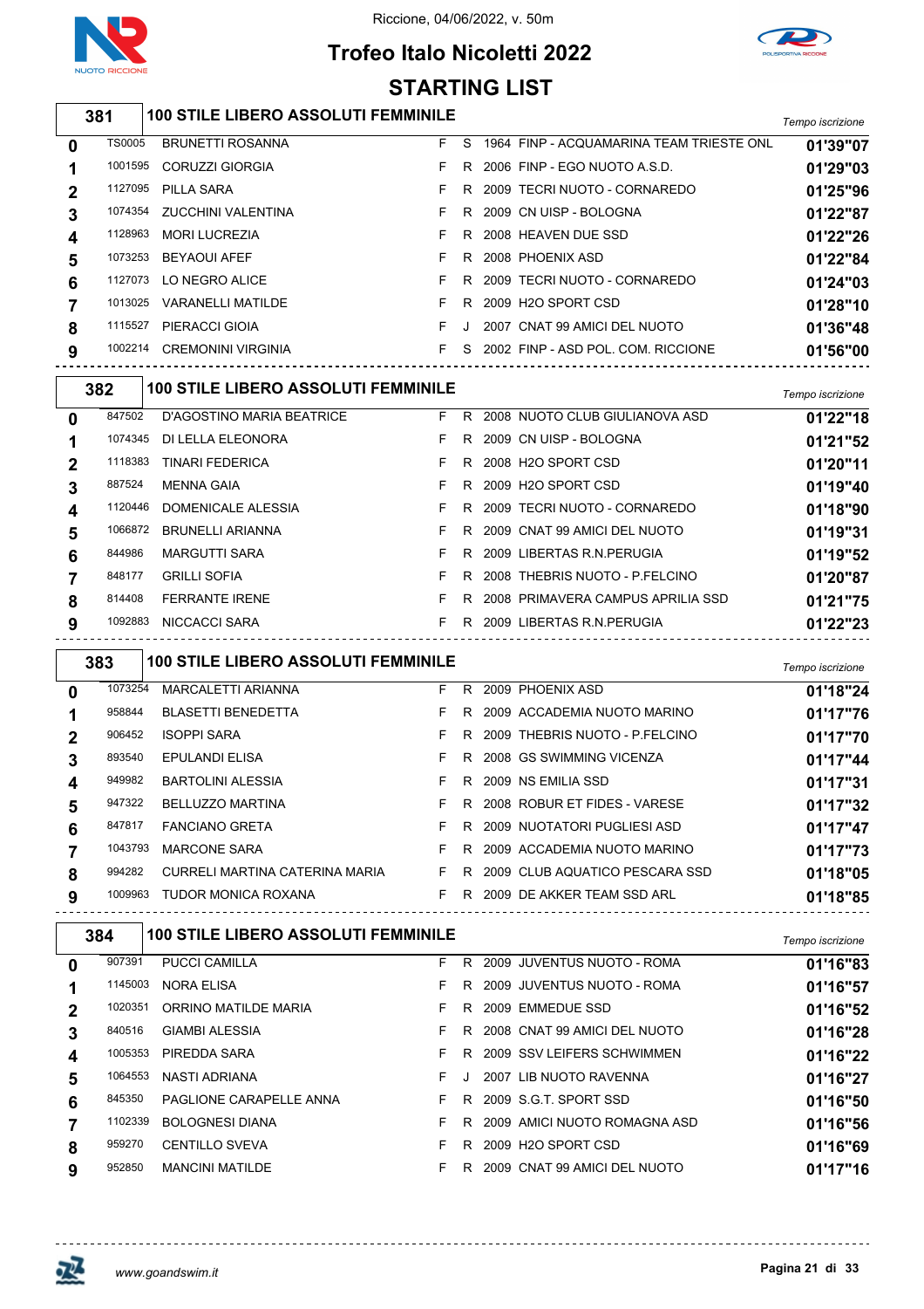





|              | STARTING LIST |                                            |    |              |                                              |                  |  |  |  |  |  |
|--------------|---------------|--------------------------------------------|----|--------------|----------------------------------------------|------------------|--|--|--|--|--|
|              | 381           | <b>100 STILE LIBERO ASSOLUTI FEMMINILE</b> |    |              |                                              | Tempo iscrizione |  |  |  |  |  |
| $\bf{0}$     | <b>TS0005</b> | <b>BRUNETTI ROSANNA</b>                    |    |              | F S 1964 FINP - ACQUAMARINA TEAM TRIESTE ONL | 01'39"07         |  |  |  |  |  |
|              | 1001595       | <b>CORUZZI GIORGIA</b>                     | F. | R.           | 2006 FINP - EGO NUOTO A.S.D.                 | 01'29"03         |  |  |  |  |  |
| $\mathbf 2$  | 1127095       | PILLA SARA                                 | F  |              | R 2009 TECRI NUOTO - CORNAREDO               | 01'25"96         |  |  |  |  |  |
| 3            | 1074354       | ZUCCHINI VALENTINA                         | F. |              | R 2009 CN UISP - BOLOGNA                     | 01'22"87         |  |  |  |  |  |
| 4            | 1128963       | <b>MORI LUCREZIA</b>                       | F. |              | R 2008 HEAVEN DUE SSD                        | 01'22"26         |  |  |  |  |  |
| 5            | 1073253       | <b>BEYAOUI AFEF</b>                        | F  |              | R 2008 PHOENIX ASD                           | 01'22"84         |  |  |  |  |  |
| 6            | 1127073       | LO NEGRO ALICE                             | F. |              | R 2009 TECRI NUOTO - CORNAREDO               | 01'24"03         |  |  |  |  |  |
|              | 1013025       | <b>VARANELLI MATILDE</b>                   | F  |              | R 2009 H2O SPORT CSD                         | 01'28"10         |  |  |  |  |  |
| 8            | 1115527       | PIERACCI GIOIA                             | F  | $\mathbf{J}$ | 2007 CNAT 99 AMICI DEL NUOTO                 | 01'36"48         |  |  |  |  |  |
| 9            | 1002214       | <b>CREMONINI VIRGINIA</b>                  | F. |              | S 2002 FINP - ASD POL. COM. RICCIONE         | 01'56"00         |  |  |  |  |  |
|              | 382           | <b>100 STILE LIBERO ASSOLUTI FEMMINILE</b> |    |              |                                              | Tempo iscrizione |  |  |  |  |  |
| $\mathbf{0}$ | 847502        | D'AGOSTINO MARIA BEATRICE                  |    |              | F R 2008 NUOTO CLUB GIULIANOVA ASD           | 01'22"18         |  |  |  |  |  |
| 1            | 1074345       | DI LELLA ELEONORA                          | F. |              | R 2009 CN UISP - BOLOGNA                     | 01'21"52         |  |  |  |  |  |
|              |               | $1110000 - 71110 - 77777$                  |    |              |                                              |                  |  |  |  |  |  |

| 3 | 887524             | <b>MENNA GAIA</b>                             | F.       | R. | 2009 H2O SPORT CSD                                             | 01'19"40             |
|---|--------------------|-----------------------------------------------|----------|----|----------------------------------------------------------------|----------------------|
|   | 1120446<br>1066872 | DOMENICALE ALESSIA<br><b>BRUNELLI ARIANNA</b> | F.<br>F. | R. | 2009 TECRI NUOTO - CORNAREDO<br>R 2009 CNAT 99 AMICI DEL NUOTO | 01'18"90<br>01'19"31 |
| 6 | 844986             | <b>MARGUTTI SARA</b>                          | F.       |    | R 2009 LIBERTAS R.N. PERUGIA                                   | 01'19"52             |
|   | 848177             | <b>GRILLI SOFIA</b>                           | F.       |    | R 2008 THEBRIS NUOTO - P.FELCINO                               | 01'20"87             |
| 8 | 814408             | <b>FERRANTE IRENE</b>                         | F.       |    | R 2008 PRIMAVERA CAMPUS APRILIA SSD                            | 01'21"75             |
| 9 | 1092883            | NICCACCI SARA                                 | F.       |    | R 2009 LIBERTAS R.N. PERUGIA                                   | 01'22"23             |

|                | 383     | <b>100 STILE LIBERO ASSOLUTI FEMMINILE</b> |    |    |                                  | Tempo iscrizione |
|----------------|---------|--------------------------------------------|----|----|----------------------------------|------------------|
| 0              | 1073254 | MARCALETTI ARIANNA                         | F. | R. | 2009 PHOENIX ASD                 | 01'18"24         |
|                | 958844  | <b>BLASETTI BENEDETTA</b>                  | F. |    | R 2009 ACCADEMIA NUOTO MARINO    | 01'17"76         |
| $\overline{2}$ | 906452  | <b>ISOPPI SARA</b>                         | F. | R. | 2009 THEBRIS NUOTO - P.FELCINO   | 01'17"70         |
| 3              | 893540  | <b>EPULANDI ELISA</b>                      | F. | R. | 2008 GS SWIMMING VICENZA         | 01'17"44         |
| 4              | 949982  | <b>BARTOLINI ALESSIA</b>                   | F. |    | R 2009 NS EMILIA SSD             | 01'17"31         |
| 5              | 947322  | <b>BELLUZZO MARTINA</b>                    | F. |    | R 2008 ROBUR ET FIDES - VARESE   | 01'17"32         |
| 6              | 847817  | <b>FANCIANO GRETA</b>                      | F. |    | R 2009 NUOTATORI PUGLIESI ASD    | 01'17"47         |
|                | 1043793 | <b>MARCONE SARA</b>                        | F. |    | R 2009 ACCADEMIA NUOTO MARINO    | 01'17"73         |
| 8              | 994282  | CURRELI MARTINA CATERINA MARIA             | F. |    | R 2009 CLUB AQUATICO PESCARA SSD | 01'18"05         |
| 9              | 1009963 | <b>TUDOR MONICA ROXANA</b>                 | F. |    | R 2009 DE AKKER TEAM SSD ARL     | 01'18"85         |

|              | 384     | <b>100 STILE LIBERO ASSOLUTI FEMMINILE</b> |    |    |                              | Tempo iscrizione |
|--------------|---------|--------------------------------------------|----|----|------------------------------|------------------|
| $\mathbf{0}$ | 907391  | <b>PUCCI CAMILLA</b>                       | F. | R. | 2009 JUVENTUS NUOTO - ROMA   | 01'16"83         |
|              | 1145003 | <b>NORA ELISA</b>                          | F. | R. | 2009 JUVENTUS NUOTO - ROMA   | 01'16"57         |
| $\mathbf 2$  | 1020351 | ORRINO MATILDE MARIA                       | F. | R. | 2009 EMMEDUE SSD             | 01'16"52         |
| 3            | 840516  | <b>GIAMBI ALESSIA</b>                      | F. | R. | 2008 CNAT 99 AMICI DEL NUOTO | 01'16"28         |
| 4            | 1005353 | PIREDDA SARA                               | F. | R  | 2009 SSV LEIFERS SCHWIMMEN   | 01'16"22         |
| 5            | 1064553 | NASTI ADRIANA                              | F. |    | 2007 LIB NUOTO RAVENNA       | 01'16"27         |
| 6            | 845350  | PAGLIONE CARAPELLE ANNA                    | F. | R. | 2009 S.G.T. SPORT SSD        | 01'16"50         |
|              | 1102339 | <b>BOLOGNESI DIANA</b>                     | F. | R. | 2009 AMICI NUOTO ROMAGNA ASD | 01'16"56         |
| 8            | 959270  | <b>CENTILLO SVEVA</b>                      | F. | R. | 2009 H2O SPORT CSD           | 01'16"69         |
| 9            | 952850  | <b>MANCINI MATILDE</b>                     | F. | R  | 2009 CNAT 99 AMICI DEL NUOTO | 01'17"16         |



 $\overline{\phantom{a}}$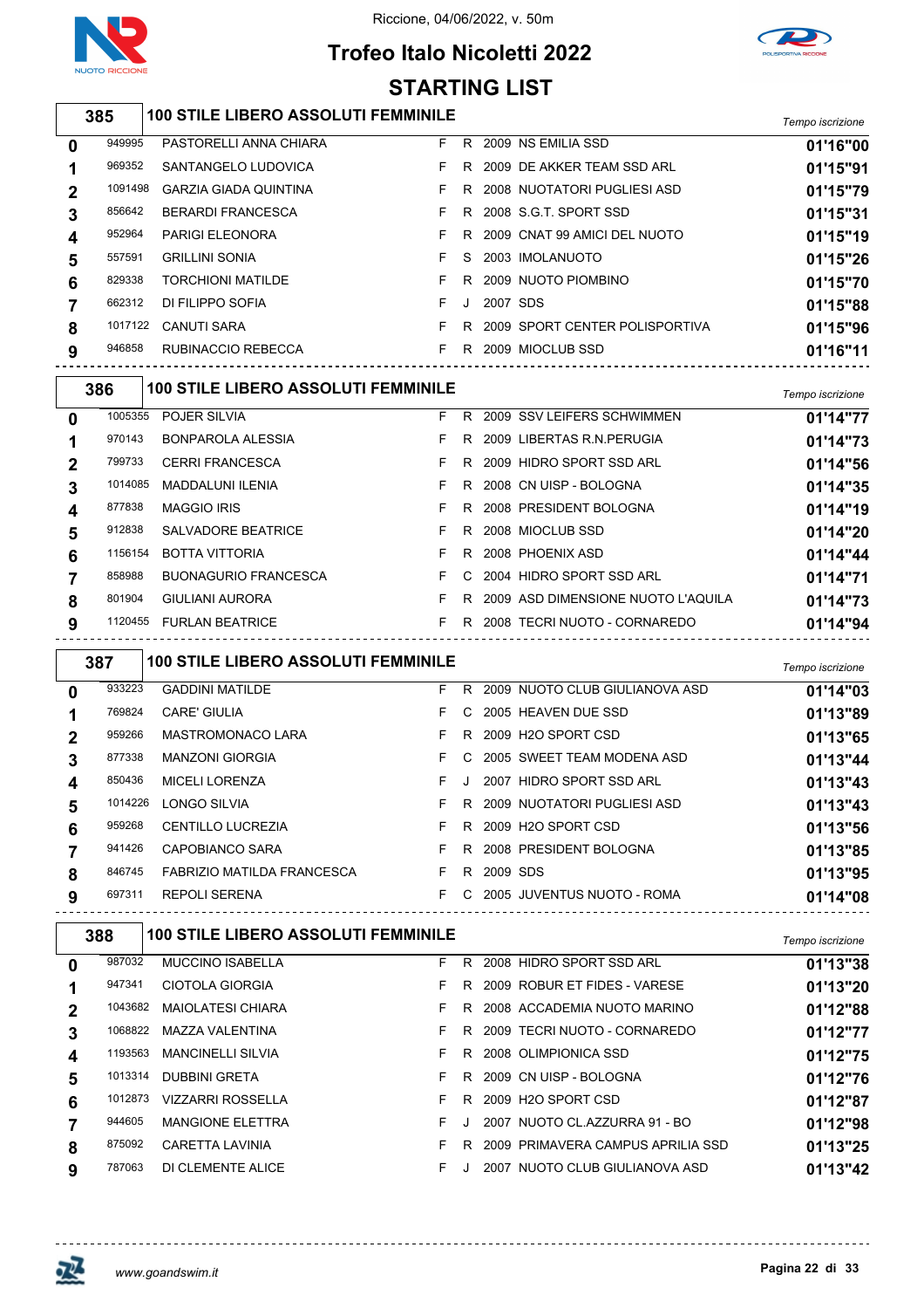



### **Trofeo Italo Nicoletti 2022 STARTING LIST**

#### *Tempo iscrizione* **100 STILE LIBERO ASSOLUTI FEMMINILE** PASTORELLI ANNA CHIARA F R 2009 NS EMILIA SSD **01'16"00** SANTANGELO LUDOVICA F R 2009 DE AKKER TEAM SSD ARL **01'15"91** GARZIA GIADA QUINTINA F R 2008 NUOTATORI PUGLIESI ASD **01'15"79** BERARDI FRANCESCA F R 2008 S.G.T. SPORT SSD **01'15"31** PARIGI ELEONORA F R 2009 CNAT 99 AMICI DEL NUOTO **01'15"19** GRILLINI SONIA F S 2003 IMOLANUOTO **01'15"26** TORCHIONI MATILDE F R 2009 NUOTO PIOMBINO **01'15"70** DI FILIPPO SOFIA F J 2007 SDS **01'15"88** CANUTI SARA F R 2009 SPORT CENTER POLISPORTIVA **01'15"96** RUBINACCIO REBECCA F R 2009 MIOCLUB SSD **01'16"11** *Tempo iscrizione* **100 STILE LIBERO ASSOLUTI FEMMINILE**

| 0 | 1005355 | <b>POJER SILVIA</b>         | F. |     | R 2009 SSV LEIFERS SCHWIMMEN         | 01'14"77 |
|---|---------|-----------------------------|----|-----|--------------------------------------|----------|
|   | 970143  | <b>BONPAROLA ALESSIA</b>    | F. | R.  | 2009 LIBERTAS R.N.PERUGIA            | 01'14"73 |
| 2 | 799733  | <b>CERRI FRANCESCA</b>      | F. | R.  | 2009 HIDRO SPORT SSD ARL             | 01'14"56 |
|   | 1014085 | <b>MADDALUNI ILENIA</b>     | F. |     | R 2008 CN UISP - BOLOGNA             | 01'14"35 |
| 4 | 877838  | <b>MAGGIO IRIS</b>          |    |     | F R 2008 PRESIDENT BOLOGNA           | 01'14"19 |
| 5 | 912838  | <b>SALVADORE BEATRICE</b>   | F. | R I | 2008 MIOCLUB SSD                     | 01'14"20 |
| 6 | 1156154 | <b>BOTTA VITTORIA</b>       | F. |     | R 2008 PHOENIX ASD                   | 01'14"44 |
|   | 858988  | <b>BUONAGURIO FRANCESCA</b> | F. |     | C 2004 HIDRO SPORT SSD ARL           | 01'14"71 |
| 8 | 801904  | <b>GIULIANI AURORA</b>      | F. |     | R 2009 ASD DIMENSIONE NUOTO L'AQUILA | 01'14"73 |
| 9 | 1120455 | <b>FURLAN BEATRICE</b>      | F. | R.  | 2008 TECRI NUOTO - CORNAREDO         | 01'14"94 |
|   |         |                             |    |     |                                      |          |

| 387            |         |                            | <b>100 STILE LIBERO ASSOLUTI FEMMINILE</b> |     |          |                                |          |  |  |  |  |  |
|----------------|---------|----------------------------|--------------------------------------------|-----|----------|--------------------------------|----------|--|--|--|--|--|
| $\mathbf{0}$   | 933223  | <b>GADDINI MATILDE</b>     | F.                                         | R.  |          | 2009 NUOTO CLUB GIULIANOVA ASD | 01'14"03 |  |  |  |  |  |
|                | 769824  | <b>CARE' GIULIA</b>        | F.                                         |     |          | C 2005 HEAVEN DUE SSD          | 01'13"89 |  |  |  |  |  |
| $\overline{2}$ | 959266  | <b>MASTROMONACO LARA</b>   | F.                                         |     |          | R 2009 H2O SPORT CSD           | 01'13"65 |  |  |  |  |  |
| 3              | 877338  | <b>MANZONI GIORGIA</b>     | F.                                         |     |          | C 2005 SWEET TEAM MODENA ASD   | 01'13"44 |  |  |  |  |  |
| 4              | 850436  | <b>MICELI LORENZA</b>      | F.                                         |     |          | 2007 HIDRO SPORT SSD ARL       | 01'13"43 |  |  |  |  |  |
| 5              | 1014226 | LONGO SILVIA               | F.                                         |     |          | R 2009 NUOTATORI PUGLIESI ASD  | 01'13"43 |  |  |  |  |  |
| 6              | 959268  | <b>CENTILLO LUCREZIA</b>   |                                            | F R |          | 2009 H2O SPORT CSD             | 01'13"56 |  |  |  |  |  |
|                | 941426  | CAPOBIANCO SARA            | F.                                         |     |          | R 2008 PRESIDENT BOLOGNA       | 01'13"85 |  |  |  |  |  |
| 8              | 846745  | FABRIZIO MATILDA FRANCESCA | F.                                         | R.  | 2009 SDS |                                | 01'13"95 |  |  |  |  |  |
| 9              | 697311  | <b>REPOLI SERENA</b>       | F.                                         |     |          | C 2005 JUVENTUS NUOTO - ROMA   | 01'14"08 |  |  |  |  |  |

|          | 388     | <b>100 STILE LIBERO ASSOLUTI FEMMINILE</b> |    |    |                                   | Tempo iscrizione |
|----------|---------|--------------------------------------------|----|----|-----------------------------------|------------------|
| $\bf{0}$ | 987032  | <b>MUCCINO ISABELLA</b>                    | F. | R. | 2008 HIDRO SPORT SSD ARL          | 01'13"38         |
|          | 947341  | CIOTOLA GIORGIA                            | F. | R  | 2009 ROBUR ET FIDES - VARESE      | 01'13"20         |
| 2        | 1043682 | MAIOLATESI CHIARA                          | F. | R. | 2008 ACCADEMIA NUOTO MARINO       | 01'12"88         |
| 3        | 1068822 | MAZZA VALENTINA                            |    | R. | 2009 TECRI NUOTO - CORNAREDO      | 01'12"77         |
| 4        | 1193563 | <b>MANCINELLI SILVIA</b>                   | F. | R. | 2008 OLIMPIONICA SSD              | 01'12"75         |
| 5        | 1013314 | <b>DUBBINI GRETA</b>                       | F. | R. | 2009 CN UISP - BOLOGNA            | 01'12"76         |
| 6        | 1012873 | <b>VIZZARRI ROSSELLA</b>                   | F. | R. | 2009 H2O SPORT CSD                | 01'12"87         |
|          | 944605  | <b>MANGIONE ELETTRA</b>                    | F. |    | 2007 NUOTO CL.AZZURRA 91 - BO     | 01'12"98         |
| 8        | 875092  | CARETTA LAVINIA                            | F. | R  | 2009 PRIMAVERA CAMPUS APRILIA SSD | 01'13"25         |
| 9        | 787063  | DI CLEMENTE ALICE                          | F. |    | 2007 NUOTO CLUB GIULIANOVA ASD    | 01'13"42         |

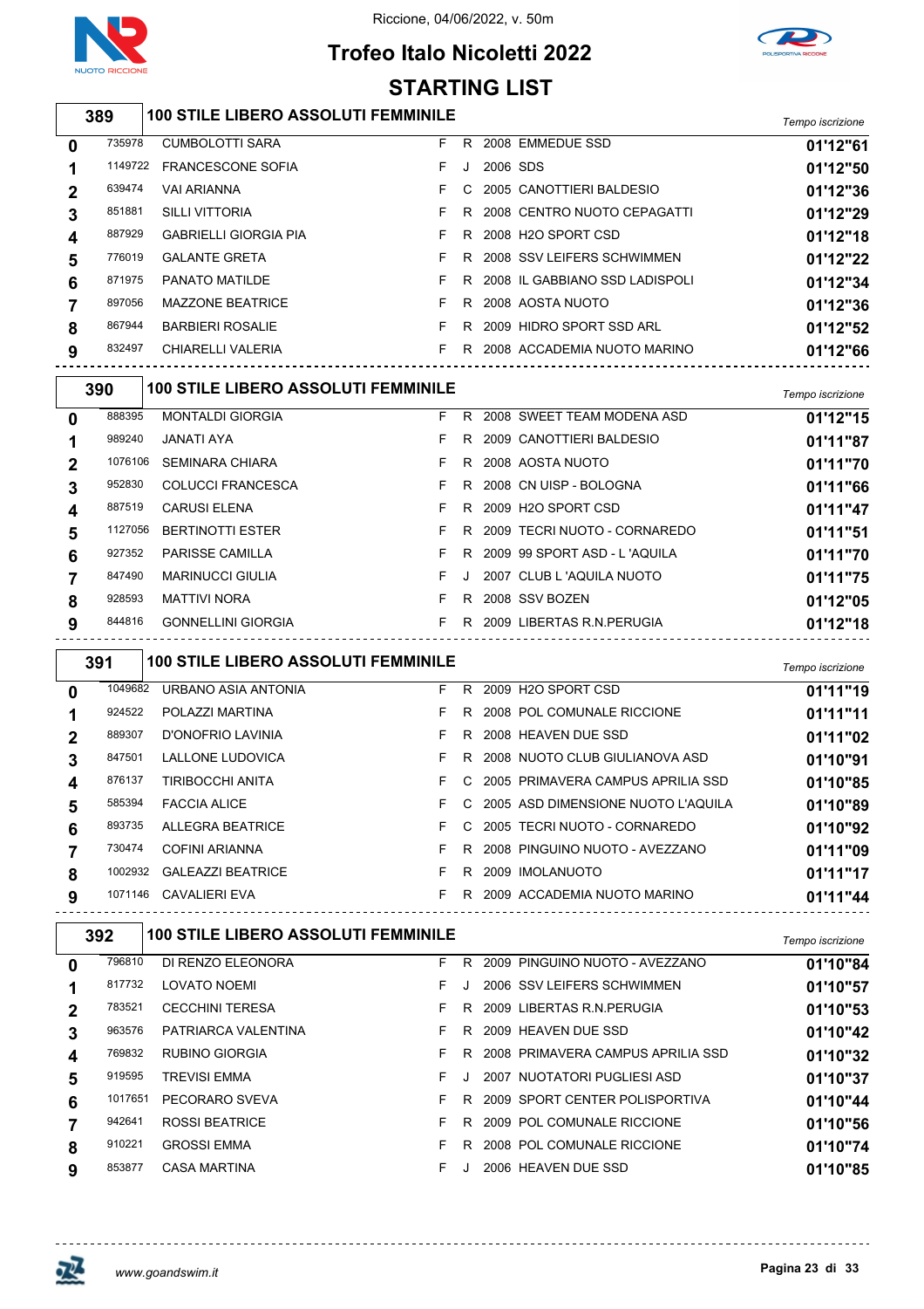

### **Trofeo Italo Nicoletti 2022 STARTING LIST**



|                                                   | 389     | <b>100 STILE LIBERO ASSOLUTI FEMMINILE</b> |    |    |                                  | Tempo iscrizione |  |
|---------------------------------------------------|---------|--------------------------------------------|----|----|----------------------------------|------------------|--|
| 0                                                 | 735978  | <b>CUMBOLOTTI SARA</b>                     | F. | R. | 2008 EMMEDUE SSD                 | 01'12"61         |  |
| 1                                                 | 1149722 | <b>FRANCESCONE SOFIA</b>                   | F. | J. | 2006 SDS                         | 01'12"50         |  |
| $\mathbf 2$                                       | 639474  | <b>VAI ARIANNA</b>                         | F. | C. | 2005 CANOTTIERI BALDESIO         | 01'12"36         |  |
| 3                                                 | 851881  | <b>SILLI VITTORIA</b>                      | F. |    | R 2008 CENTRO NUOTO CEPAGATTI    | 01'12"29         |  |
| 4                                                 | 887929  | <b>GABRIELLI GIORGIA PIA</b>               | F. |    | R 2008 H2O SPORT CSD             | 01'12"18         |  |
| 5                                                 | 776019  | <b>GALANTE GRETA</b>                       | F. |    | R 2008 SSV LEIFERS SCHWIMMEN     | 01'12"22         |  |
| 6                                                 | 871975  | PANATO MATILDE                             | F. |    | R 2008 IL GABBIANO SSD LADISPOLI | 01'12"34         |  |
|                                                   | 897056  | <b>MAZZONE BEATRICE</b>                    | F. |    | R 2008 AOSTA NUOTO               | 01'12"36         |  |
| 8                                                 | 867944  | <b>BARBIERI ROSALIE</b>                    | F. |    | R 2009 HIDRO SPORT SSD ARL       | 01'12"52         |  |
| 9                                                 | 832497  | CHIARELLI VALERIA                          |    |    | F R 2008 ACCADEMIA NUOTO MARINO  | 01'12"66         |  |
| <b>100 STILE LIBERO ASSOLUTI FEMMINILE</b><br>390 |         |                                            |    |    |                                  |                  |  |

|   |         |                           |    |    |                                | i empo iscrizione |
|---|---------|---------------------------|----|----|--------------------------------|-------------------|
| 0 | 888395  | <b>MONTALDI GIORGIA</b>   | F. | R. | 2008 SWEET TEAM MODENA ASD     | 01'12"15          |
|   | 989240  | JANATI AYA                | F. | R. | 2009 CANOTTIERI BALDESIO       | 01'11"87          |
| 2 | 1076106 | <b>SEMINARA CHIARA</b>    | F. | R. | 2008 AOSTA NUOTO               | 01'11"70          |
|   | 952830  | <b>COLUCCI FRANCESCA</b>  | F. |    | R 2008 CN UISP - BOLOGNA       | 01'11"66          |
| 4 | 887519  | <b>CARUSI ELENA</b>       | F. |    | R 2009 H2O SPORT CSD           | 01'11"47          |
| 5 | 1127056 | <b>BERTINOTTI ESTER</b>   | F. |    | R 2009 TECRI NUOTO - CORNAREDO | 01'11"51          |
| 6 | 927352  | <b>PARISSE CAMILLA</b>    | F. |    | R 2009 99 SPORT ASD - L'AQUILA | 01'11"70          |
|   | 847490  | <b>MARINUCCI GIULIA</b>   | F. |    | 2007 CLUB L'AQUILA NUOTO       | 01'11"75          |
| 8 | 928593  | <b>MATTIVI NORA</b>       | F. | R  | 2008 SSV BOZEN                 | 01'12"05          |
| 9 | 844816  | <b>GONNELLINI GIORGIA</b> | F. |    | R 2009 LIBERTAS R.N. PERUGIA   | 01'12"18          |
|   |         |                           |    |    |                                |                   |

|   | 391     | <b>100 STILE LIBERO ASSOLUTI FEMMINILE</b> |    |               |                                      | Tempo iscrizione |
|---|---------|--------------------------------------------|----|---------------|--------------------------------------|------------------|
| 0 | 1049682 | URBANO ASIA ANTONIA                        | F. | R.            | 2009 H2O SPORT CSD                   | 01'11"19         |
|   | 924522  | POLAZZI MARTINA                            | F. | R.            | 2008 POL COMUNALE RICCIONE           | 01'11"11         |
|   | 889307  | D'ONOFRIO LAVINIA                          | F. | R.            | 2008 HEAVEN DUE SSD                  | 01'11"02         |
| 3 | 847501  | LALLONE LUDOVICA                           | F. |               | R 2008 NUOTO CLUB GIULIANOVA ASD     | 01'10"91         |
| 4 | 876137  | TIRIBOCCHI ANITA                           | F. |               | C 2005 PRIMAVERA CAMPUS APRILIA SSD  | 01'10"85         |
| 5 | 585394  | <b>FACCIA ALICE</b>                        | F. |               | C 2005 ASD DIMENSIONE NUOTO L'AQUILA | 01'10"89         |
| 6 | 893735  | ALLEGRA BEATRICE                           | F. | $\mathcal{C}$ | 2005 TECRI NUOTO - CORNAREDO         | 01'10"92         |
|   | 730474  | COFINI ARIANNA                             | F. | R.            | 2008 PINGUINO NUOTO - AVEZZANO       | 01'11"09         |
| 8 | 1002932 | <b>GALEAZZI BEATRICE</b>                   | F. | R.            | 2009 IMOLANUOTO                      | 01'11"17         |
| 9 | 1071146 | CAVALIERI EVA                              | F. |               | R 2009 ACCADEMIA NUOTO MARINO        | 01'11"44         |

|             | 392     | <b>100 STILE LIBERO ASSOLUTI FEMMINILE</b> |    |    |                                   | Tempo iscrizione |
|-------------|---------|--------------------------------------------|----|----|-----------------------------------|------------------|
| $\bf{0}$    | 796810  | DI RENZO ELEONORA                          | F. | R  | PINGUINO NUOTO - AVEZZANO<br>2009 | 01'10"84         |
|             | 817732  | LOVATO NOEMI                               | F. |    | 2006 SSV LEIFERS SCHWIMMEN        | 01'10"57         |
| $\mathbf 2$ | 783521  | <b>CECCHINI TERESA</b>                     | F  | R. | 2009 LIBERTAS R.N. PERUGIA        | 01'10"53         |
| 3           | 963576  | PATRIARCA VALENTINA                        | F. | R. | 2009 HEAVEN DUE SSD               | 01'10"42         |
| 4           | 769832  | RUBINO GIORGIA                             | F  | R. | 2008 PRIMAVERA CAMPUS APRILIA SSD | 01'10"32         |
| 5           | 919595  | <b>TREVISI EMMA</b>                        | F. |    | NUOTATORI PUGLIESI ASD<br>2007    | 01'10"37         |
| 6           | 1017651 | PECORARO SVEVA                             | F  | R. | 2009 SPORT CENTER POLISPORTIVA    | 01'10"44         |
|             | 942641  | <b>ROSSI BEATRICE</b>                      | F. | R  | 2009 POL COMUNALE RICCIONE        | 01'10"56         |
| 8           | 910221  | <b>GROSSI EMMA</b>                         | F. | R. | 2008 POL COMUNALE RICCIONE        | 01'10"74         |
| 9           | 853877  | <b>CASA MARTINA</b>                        | F  |    | 2006 HEAVEN DUE SSD               | 01'10"85         |

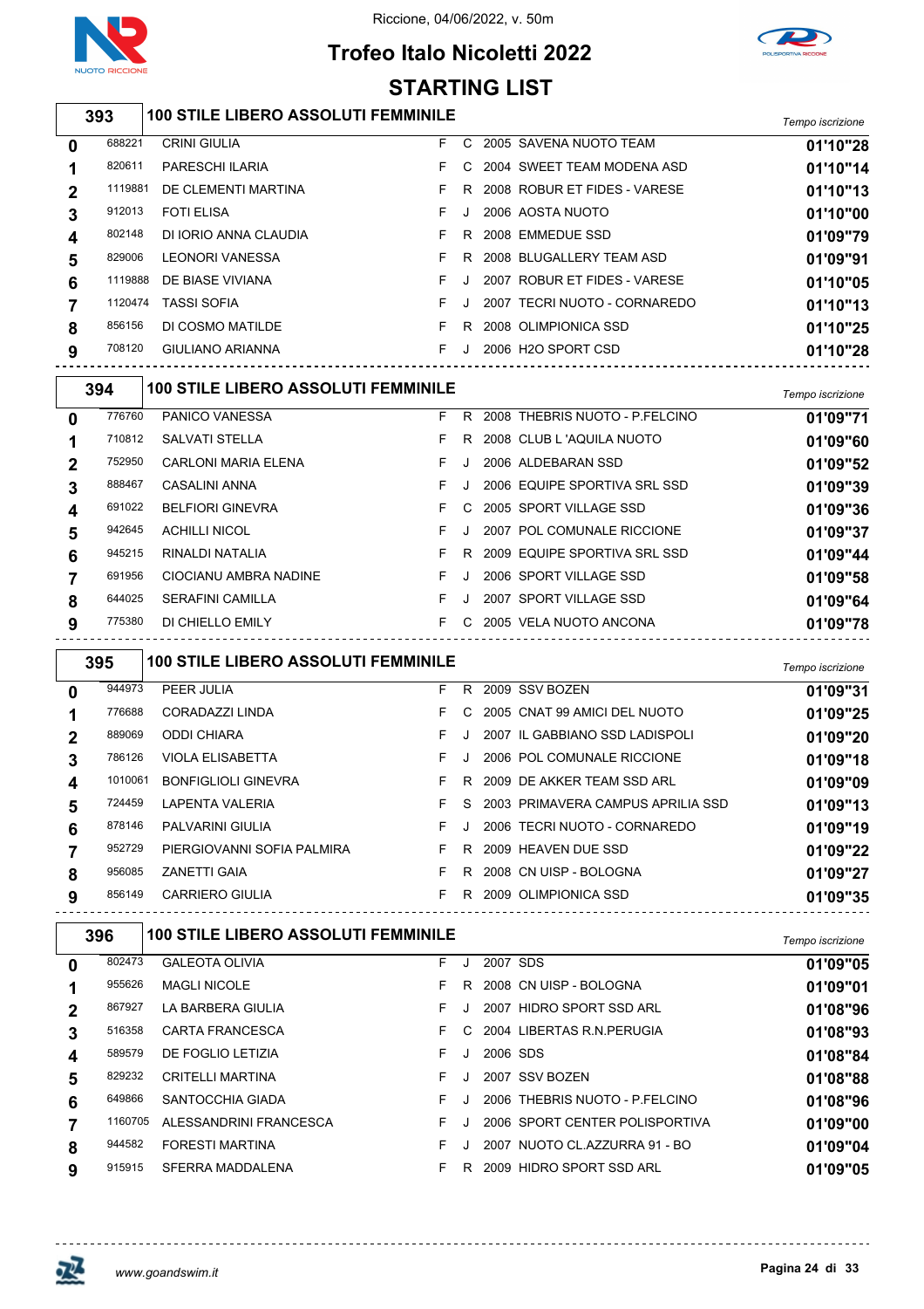

### **Trofeo Italo Nicoletti 2022 STARTING LIST**



#### *Tempo iscrizione* **100 STILE LIBERO ASSOLUTI FEMMINILE** CRINI GIULIA F C 2005 SAVENA NUOTO TEAM **01'10"28** PARESCHI ILARIA F C 2004 SWEET TEAM MODENA ASD **01'10"14** DE CLEMENTI MARTINA F R 2008 ROBUR ET FIDES - VARESE **01'10"13** FOTI ELISA F J 2006 AOSTA NUOTO **01'10"00** DI IORIO ANNA CLAUDIA F R 2008 EMMEDUE SSD **01'09"79** LEONORI VANESSA F R 2008 BLUGALLERY TEAM ASD **01'09"91** DE BIASE VIVIANA F J 2007 ROBUR ET FIDES - VARESE **01'10"05** TASSI SOFIA F J 2007 TECRI NUOTO - CORNAREDO **01'10"13** DI COSMO MATILDE F R 2008 OLIMPIONICA SSD **01'10"25** GIULIANO ARIANNA F J 2006 H2O SPORT CSD **01'10"28** *Tempo iscrizione* **100 STILE LIBERO ASSOLUTI FEMMINILE** PANICO VANESSA F R 2008 THEBRIS NUOTO - P.FELCINO **01'09"71** SALVATI STELLA F R 2008 CLUB L 'AQUILA NUOTO **01'09"60** CARLONI MARIA ELENA F J 2006 ALDEBARAN SSD **01'09"52** CASALINI ANNA F J 2006 EQUIPE SPORTIVA SRL SSD **01'09"39** BELFIORI GINEVRA F C 2005 SPORT VILLAGE SSD **01'09"36**

| 942645<br>ACHILLI NICOL<br>F J 2007 POL COMUNALE RICCIONE<br>5<br>945215<br>F R 2009 EQUIPE SPORTIVA SRL SSD<br>RINALDI NATALIA<br>6<br>691956<br>CIOCIANU AMBRA NADINE<br>F J 2006 SPORT VILLAGE SSD<br>$\mathbf{7}$<br>F J 2007 SPORT VILLAGE SSD<br>644025<br>SERAFINI CAMILLA<br>8<br>F C 2005 VELA NUOTO ANCONA<br>775380<br>DI CHIELLO EMILY<br>9 | $\boldsymbol{\Lambda}$ | 691022 BELFIORI GINEVRA |  | F C 2005 SPORT VILLAGE SSD | 01'09"36 |
|---------------------------------------------------------------------------------------------------------------------------------------------------------------------------------------------------------------------------------------------------------------------------------------------------------------------------------------------------------|------------------------|-------------------------|--|----------------------------|----------|
|                                                                                                                                                                                                                                                                                                                                                         |                        |                         |  |                            | 01'09"37 |
|                                                                                                                                                                                                                                                                                                                                                         |                        |                         |  |                            | 01'09"44 |
|                                                                                                                                                                                                                                                                                                                                                         |                        |                         |  |                            | 01'09"58 |
|                                                                                                                                                                                                                                                                                                                                                         |                        |                         |  |                            | 01'09"64 |
|                                                                                                                                                                                                                                                                                                                                                         |                        |                         |  |                            | 01'09"78 |

*Tempo iscrizione* **100 STILE LIBERO ASSOLUTI FEMMINILE** PEER JULIA F R 2009 SSV BOZEN **01'09"31** CORADAZZI LINDA F C 2005 CNAT 99 AMICI DEL NUOTO **01'09"25** ODDI CHIARA F J 2007 IL GABBIANO SSD LADISPOLI **01'09"20** VIOLA ELISABETTA F J 2006 POL COMUNALE RICCIONE **01'09"18** BONFIGLIOLI GINEVRA F R 2009 DE AKKER TEAM SSD ARL **01'09"09** LAPENTA VALERIA F S 2003 PRIMAVERA CAMPUS APRILIA SSD **01'09"13** 878146 PALVARINI GIULIA **F** J 2006 TECRI NUOTO - CORNAREDO **01'09"19**  PIERGIOVANNI SOFIA PALMIRA F R 2009 HEAVEN DUE SSD **01'09"22** ZANETTI GAIA F R 2008 CN UISP - BOLOGNA **01'09"27** CARRIERO GIULIA F R 2009 OLIMPIONICA SSD **01'09"35**

|              | 396     | <b>100 STILE LIBERO ASSOLUTI FEMMINILE</b> |    |                |          |                                | Tempo iscrizione |
|--------------|---------|--------------------------------------------|----|----------------|----------|--------------------------------|------------------|
| $\mathbf 0$  | 802473  | <b>GALEOTA OLIVIA</b>                      | F. | J              | 2007 SDS |                                | 01'09"05         |
| 1            | 955626  | <b>MAGLI NICOLE</b>                        | F. | R.             |          | 2008 CN UISP - BOLOGNA         | 01'09"01         |
| $\mathbf{2}$ | 867927  | LA BARBERA GIULIA                          | F. |                |          | 2007 HIDRO SPORT SSD ARL       | 01'08"96         |
| 3            | 516358  | CARTA FRANCESCA                            | F. | $\overline{C}$ |          | 2004 LIBERTAS R.N. PERUGIA     | 01'08"93         |
| 4            | 589579  | DE FOGLIO LETIZIA                          | F. |                | 2006 SDS |                                | 01'08"84         |
| 5            | 829232  | <b>CRITELLI MARTINA</b>                    | F. |                |          | 2007 SSV BOZEN                 | 01'08"88         |
| 6            | 649866  | SANTOCCHIA GIADA                           | F. |                |          | 2006 THEBRIS NUOTO - P.FELCINO | 01'08"96         |
|              | 1160705 | ALESSANDRINI FRANCESCA                     | F. |                |          | 2006 SPORT CENTER POLISPORTIVA | 01'09"00         |
| 8            | 944582  | <b>FORESTI MARTINA</b>                     | F. |                |          | 2007 NUOTO CL.AZZURRA 91 - BO  | 01'09"04         |
| 9            | 915915  | SFERRA MADDALENA                           |    | R              |          | 2009 HIDRO SPORT SSD ARL       | 01'09"05         |
|              |         |                                            |    |                |          |                                |                  |

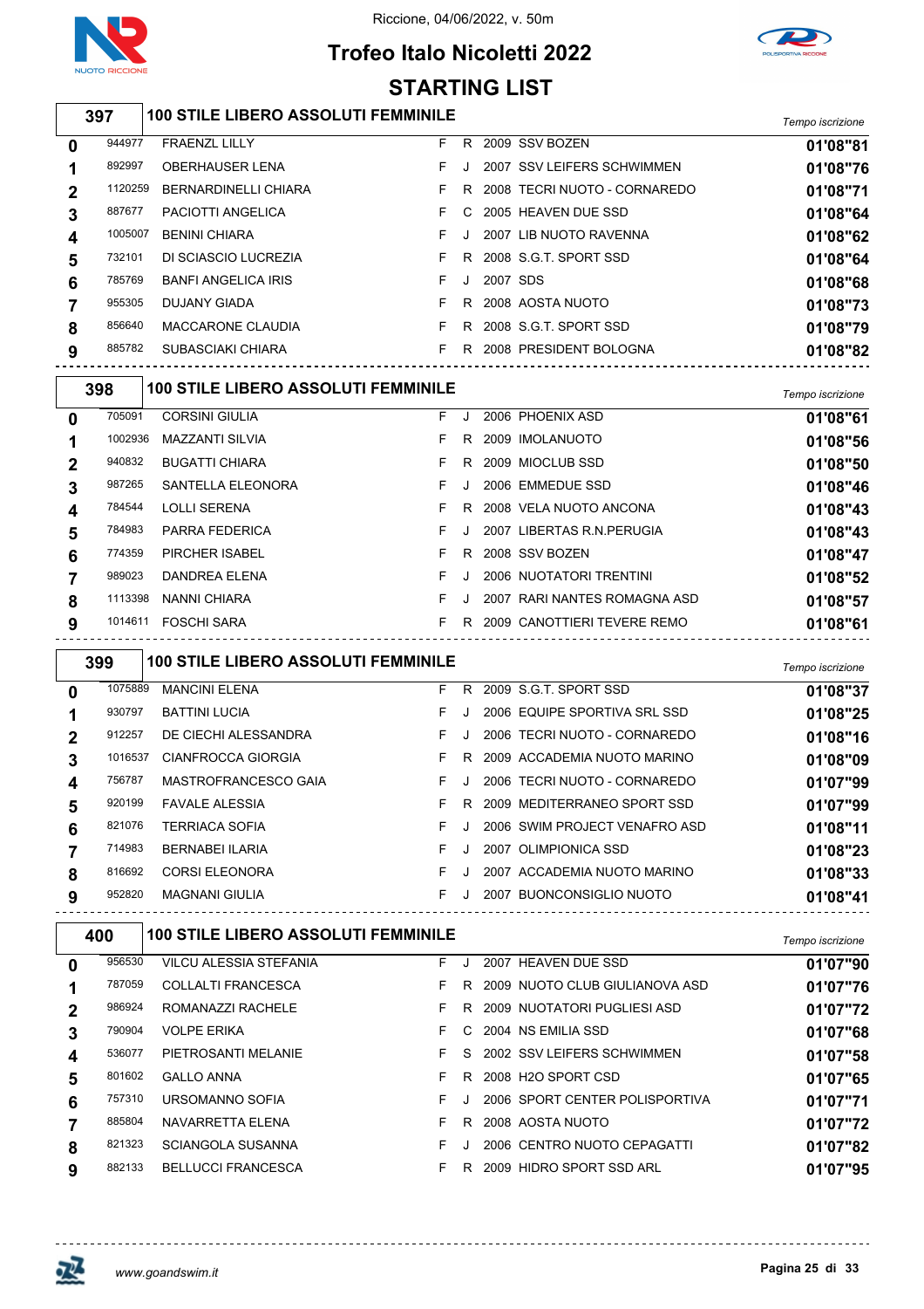

## **Trofeo Italo Nicoletti 2022**



*Tempo iscrizione* **100 STILE LIBERO ASSOLUTI FEMMINILE** FRAENZL LILLY F R 2009 SSV BOZEN **01'08"81** OBERHAUSER LENA F J 2007 SSV LEIFERS SCHWIMMEN **01'08"76** BERNARDINELLI CHIARA F R 2008 TECRI NUOTO - CORNAREDO **01'08"71** PACIOTTI ANGELICA F C 2005 HEAVEN DUE SSD **01'08"64** BENINI CHIARA F J 2007 LIB NUOTO RAVENNA **01'08"62** DI SCIASCIO LUCREZIA F R 2008 S.G.T. SPORT SSD **01'08"64** BANFI ANGELICA IRIS F J 2007 SDS **01'08"68** DUJANY GIADA F R 2008 AOSTA NUOTO **01'08"73** MACCARONE CLAUDIA F R 2008 S.G.T. SPORT SSD **01'08"79** SUBASCIAKI CHIARA F R 2008 PRESIDENT BOLOGNA **01'08"82** *Tempo iscrizione* **100 STILE LIBERO ASSOLUTI FEMMINILE** CORSINI GIULIA F J 2006 PHOENIX ASD **01'08"61** MAZZANTI SILVIA F R 2009 IMOLANUOTO **01'08"56** BUGATTI CHIARA F R 2009 MIOCLUB SSD **01'08"50** SANTELLA ELEONORA F J 2006 EMMEDUE SSD **01'08"46** LOLLI SERENA F R 2008 VELA NUOTO ANCONA **01'08"43** PARRA FEDERICA F J 2007 LIBERTAS R.N.PERUGIA **01'08"43** PIRCHER ISABEL F R 2008 SSV BOZEN **01'08"47** DANDREA ELENA F J 2006 NUOTATORI TRENTINI **01'08"52** NANNI CHIARA F J 2007 RARI NANTES ROMAGNA ASD **01'08"57** FOSCHI SARA F R 2009 CANOTTIERI TEVERE REMO **01'08"61** *Tempo iscrizione* **100 STILE LIBERO ASSOLUTI FEMMINILE STARTING LIST**

| 0 | 1075889 | <b>MANCINI ELENA</b>   | F. | R. | 2009 S.G.T. SPORT SSD         | 01'08"37 |
|---|---------|------------------------|----|----|-------------------------------|----------|
|   | 930797  | <b>BATTINI LUCIA</b>   | F. |    | 2006 EQUIPE SPORTIVA SRL SSD  | 01'08"25 |
| 2 | 912257  | DE CIECHI ALESSANDRA   | F. |    | 2006 TECRI NUOTO - CORNAREDO  | 01'08"16 |
|   | 1016537 | CIANFROCCA GIORGIA     | F. | R. | 2009 ACCADEMIA NUOTO MARINO   | 01'08"09 |
| 4 | 756787  | MASTROFRANCESCO GAIA   | F. |    | 2006 TECRI NUOTO - CORNAREDO  | 01'07"99 |
| 5 | 920199  | <b>FAVALE ALESSIA</b>  | F. | R  | 2009 MEDITERRANEO SPORT SSD   | 01'07"99 |
| 6 | 821076  | <b>TERRIACA SOFIA</b>  | F. |    | 2006 SWIM PROJECT VENAFRO ASD | 01'08"11 |
|   | 714983  | <b>BERNABEI ILARIA</b> | F. |    | 2007 OLIMPIONICA SSD          | 01'08"23 |
| 8 | 816692  | <b>CORSI ELEONORA</b>  | F. |    | 2007 ACCADEMIA NUOTO MARINO   | 01'08"33 |
| 9 | 952820  | <b>MAGNANI GIULIA</b>  | F. |    | 2007 BUONCONSIGLIO NUOTO      | 01'08"41 |
|   |         |                        |    |    |                               |          |

| 400 |        | <b>100 STILE LIBERO ASSOLUTI FEMMINILE</b> | Tempo iscrizione |      |                                |          |
|-----|--------|--------------------------------------------|------------------|------|--------------------------------|----------|
| 0   | 956530 | VILCU ALESSIA STEFANIA                     | F.               | . J. | 2007 HEAVEN DUE SSD            | 01'07"90 |
|     | 787059 | <b>COLLALTI FRANCESCA</b>                  | F.               | R.   | 2009 NUOTO CLUB GIULIANOVA ASD | 01'07"76 |
|     | 986924 | ROMANAZZI RACHELE                          | F.               | R.   | 2009 NUOTATORI PUGLIESI ASD    | 01'07"72 |
| 3   | 790904 | <b>VOLPE ERIKA</b>                         | F.               |      | C 2004 NS EMILIA SSD           | 01'07"68 |
| 4   | 536077 | PIETROSANTI MELANIE                        | F.               | S.   | 2002 SSV LEIFERS SCHWIMMEN     | 01'07"58 |
| 5   | 801602 | <b>GALLO ANNA</b>                          | F.               | R    | 2008 H2O SPORT CSD             | 01'07"65 |
| 6   | 757310 | URSOMANNO SOFIA                            | F.               |      | 2006 SPORT CENTER POLISPORTIVA | 01'07"71 |
|     | 885804 | NAVARRETTA ELENA                           | F.               | R    | 2008 AOSTA NUOTO               | 01'07"72 |
| 8   | 821323 | <b>SCIANGOLA SUSANNA</b>                   | F.               |      | 2006 CENTRO NUOTO CEPAGATTI    | 01'07"82 |
| 9   | 882133 | <b>BELLUCCI FRANCESCA</b>                  | F.               | R.   | 2009 HIDRO SPORT SSD ARL       | 01'07"95 |

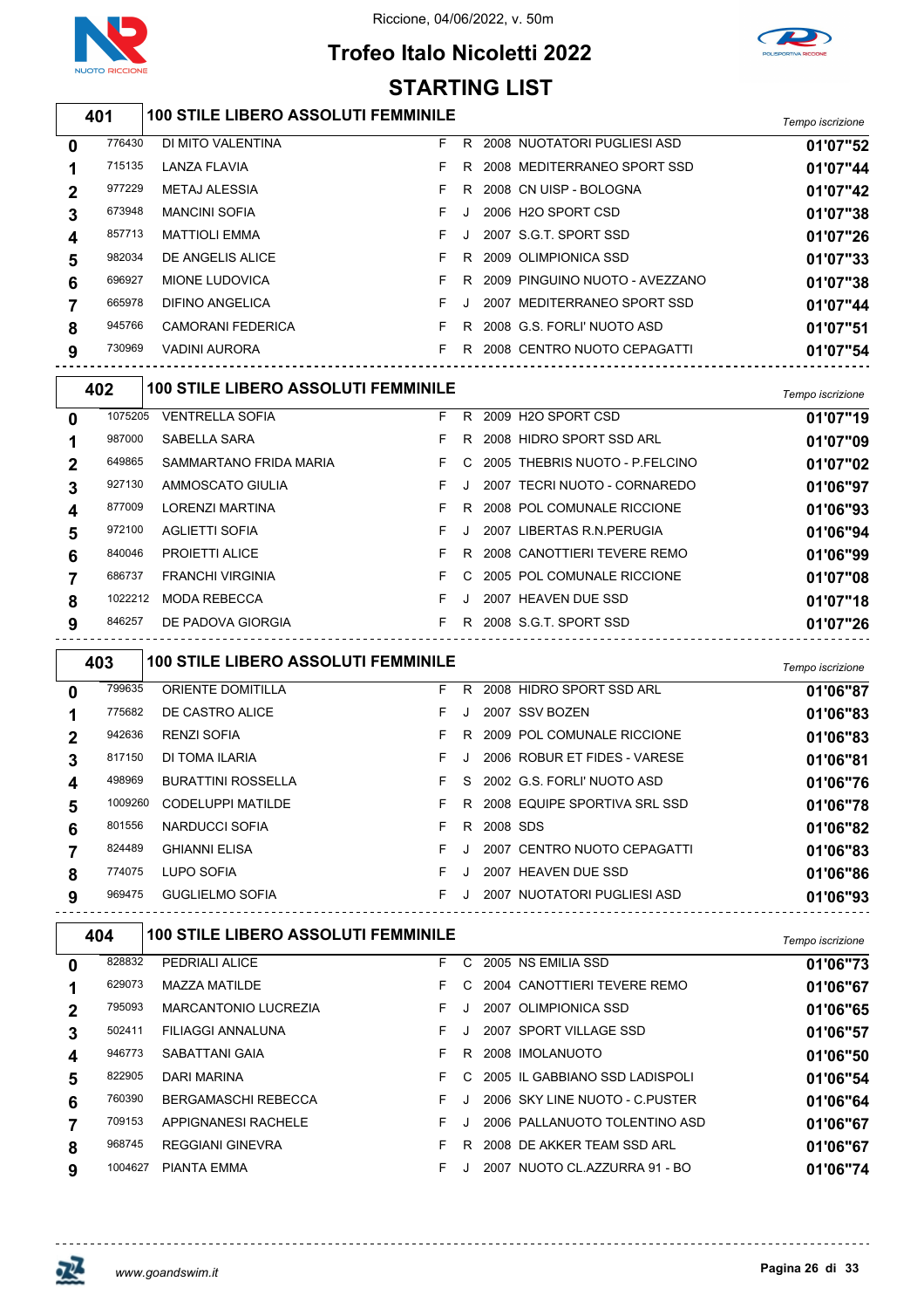

## **Trofeo Italo Nicoletti 2022**



### **STARTING LIST**

### *Tempo iscrizione* **100 STILE LIBERO ASSOLUTI FEMMINILE**

| 0 | 776430 | DI MITO VALENTINA        | F. | R.      | 2008 NUOTATORI PUGLIESI ASD    | 01'07"52 |
|---|--------|--------------------------|----|---------|--------------------------------|----------|
|   | 715135 | LANZA FLAVIA             |    | R       | 2008 MEDITERRANEO SPORT SSD    | 01'07"44 |
|   | 977229 | METAJ ALESSIA            |    | R.      | 2008 CN UISP - BOLOGNA         | 01'07"42 |
| 3 | 673948 | <b>MANCINI SOFIA</b>     | F. | $\cdot$ | 2006 H2O SPORT CSD             | 01'07"38 |
| 4 | 857713 | <b>MATTIOLI EMMA</b>     | F. | J       | 2007 S.G.T. SPORT SSD          | 01'07"26 |
| 5 | 982034 | DE ANGELIS ALICE         |    | R.      | 2009 OLIMPIONICA SSD           | 01'07"33 |
| 6 | 696927 | MIONE LUDOVICA           |    | R.      | 2009 PINGUINO NUOTO - AVEZZANO | 01'07"38 |
|   | 665978 | DIFINO ANGELICA          | F. | J       | 2007 MEDITERRANEO SPORT SSD    | 01'07"44 |
| 8 | 945766 | <b>CAMORANI FEDERICA</b> |    | R.      | 2008 G.S. FORLI' NUOTO ASD     | 01'07"51 |
| 9 | 730969 | VADINI AURORA            |    | R       | 2008 CENTRO NUOTO CEPAGATTI    | 01'07"54 |
|   |        |                          |    |         |                                |          |

| 402         |         | <b>100 STILE LIBERO ASSOLUTI FEMMINILE</b> |    |               |                                | Tempo iscrizione |
|-------------|---------|--------------------------------------------|----|---------------|--------------------------------|------------------|
| $\mathbf 0$ | 1075205 | <b>VENTRELLA SOFIA</b>                     | F. | R.            | 2009 H2O SPORT CSD             | 01'07"19         |
|             | 987000  | SABELLA SARA                               | F. | R.            | 2008 HIDRO SPORT SSD ARL       | 01'07"09         |
| $\mathbf 2$ | 649865  | SAMMARTANO FRIDA MARIA                     | F. | C.            | 2005 THEBRIS NUOTO - P.FELCINO | 01'07"02         |
| 3           | 927130  | AMMOSCATO GIULIA                           | F. | $\cdot$ .     | 2007 TECRI NUOTO - CORNAREDO   | 01'06"97         |
| 4           | 877009  | <b>LORENZI MARTINA</b>                     | F. | R.            | 2008 POL COMUNALE RICCIONE     | 01'06"93         |
| 5           | 972100  | <b>AGLIETTI SOFIA</b>                      | F. |               | 2007 LIBERTAS R.N. PERUGIA     | 01'06"94         |
| 6           | 840046  | <b>PROJETTI ALICE</b>                      | F. | R             | 2008 CANOTTIERI TEVERE REMO    | 01'06"99         |
|             | 686737  | <b>FRANCHI VIRGINIA</b>                    | F. | $\mathcal{C}$ | 2005 POL COMUNALE RICCIONE     | 01'07"08         |
| 8           | 1022212 | <b>MODA REBECCA</b>                        | F. | $\cdot$       | 2007 HEAVEN DUE SSD            | 01'07"18         |
| 9           | 846257  | DE PADOVA GIORGIA                          | F. | R             | 2008 S.G.T. SPORT SSD          | 01'07"26         |

|              | 403     | <b>100 STILE LIBERO ASSOLUTI FEMMINILE</b> |    |         |                              | Tempo iscrizione |
|--------------|---------|--------------------------------------------|----|---------|------------------------------|------------------|
| $\bf{0}$     | 799635  | <b>ORIENTE DOMITILLA</b>                   | F. | R.      | 2008 HIDRO SPORT SSD ARL     | 01'06"87         |
|              | 775682  | DE CASTRO ALICE                            | F. |         | 2007 SSV BOZEN               | 01'06"83         |
| $\mathbf{2}$ | 942636  | <b>RENZI SOFIA</b>                         | F. |         | R 2009 POL COMUNALE RICCIONE | 01'06"83         |
| 3            | 817150  | DI TOMA ILARIA                             | F. |         | 2006 ROBUR ET FIDES - VARESE | 01'06"81         |
| 4            | 498969  | <b>BURATTINI ROSSELLA</b>                  | F. |         | S 2002 G.S. FORLI' NUOTO ASD | 01'06"76         |
| 5            | 1009260 | <b>CODELUPPI MATILDE</b>                   | F. | R       | 2008 EQUIPE SPORTIVA SRL SSD | 01'06"78         |
| 6            | 801556  | NARDUCCI SOFIA                             | F  | R.      | 2008 SDS                     | 01'06"82         |
|              | 824489  | <b>GHIANNI ELISA</b>                       | F. |         | 2007 CENTRO NUOTO CEPAGATTI  | 01'06"83         |
| 8            | 774075  | LUPO SOFIA                                 | F. |         | 2007 HEAVEN DUE SSD          | 01'06"86         |
| 9            | 969475  | <b>GUGLIELMO SOFIA</b>                     | F. | $\cdot$ | 2007 NUOTATORI PUGLIESI ASD  | 01'06"93         |

| 404 |                            | Tempo iscrizione                                                                                  |    |                                            |              |                                                                                                                                                                                                                                                                                            |
|-----|----------------------------|---------------------------------------------------------------------------------------------------|----|--------------------------------------------|--------------|--------------------------------------------------------------------------------------------------------------------------------------------------------------------------------------------------------------------------------------------------------------------------------------------|
|     | PEDRIALI ALICE             | F.                                                                                                |    |                                            |              | 01'06"73                                                                                                                                                                                                                                                                                   |
|     | MAZZA MATILDE              | F.                                                                                                | C. |                                            |              | 01'06"67                                                                                                                                                                                                                                                                                   |
|     | MARCANTONIO LUCREZIA       | F.                                                                                                |    |                                            |              | 01'06"65                                                                                                                                                                                                                                                                                   |
|     | FILIAGGI ANNALUNA          | F.                                                                                                |    |                                            |              | 01'06"57                                                                                                                                                                                                                                                                                   |
|     | SABATTANI GAIA             | F.                                                                                                | R  |                                            |              | 01'06"50                                                                                                                                                                                                                                                                                   |
|     | DARI MARINA                | F.                                                                                                | C. |                                            |              | 01'06"54                                                                                                                                                                                                                                                                                   |
|     | <b>BERGAMASCHI REBECCA</b> | F.                                                                                                |    |                                            |              | 01'06"64                                                                                                                                                                                                                                                                                   |
|     | APPIGNANESI RACHELE        | F.                                                                                                |    |                                            |              | 01'06"67                                                                                                                                                                                                                                                                                   |
|     | <b>REGGIANI GINEVRA</b>    | F.                                                                                                | R  |                                            |              | 01'06"67                                                                                                                                                                                                                                                                                   |
|     | PIANTA EMMA                | F.                                                                                                |    |                                            |              | 01'06"74                                                                                                                                                                                                                                                                                   |
|     |                            | 828832<br>629073<br>795093<br>502411<br>946773<br>822905<br>760390<br>709153<br>968745<br>1004627 |    | <b>100 STILE LIBERO ASSOLUTI FEMMINILE</b> | $\mathsf{C}$ | 2005 NS EMILIA SSD<br>2004 CANOTTIERI TEVERE REMO<br>2007 OLIMPIONICA SSD<br>2007 SPORT VILLAGE SSD<br>2008 IMOLANUOTO<br>2005 IL GABBIANO SSD LADISPOLI<br>2006 SKY LINE NUOTO - C.PUSTER<br>2006 PALLANUOTO TOLENTINO ASD<br>2008 DE AKKER TEAM SSD ARL<br>2007 NUOTO CL.AZZURRA 91 - BO |

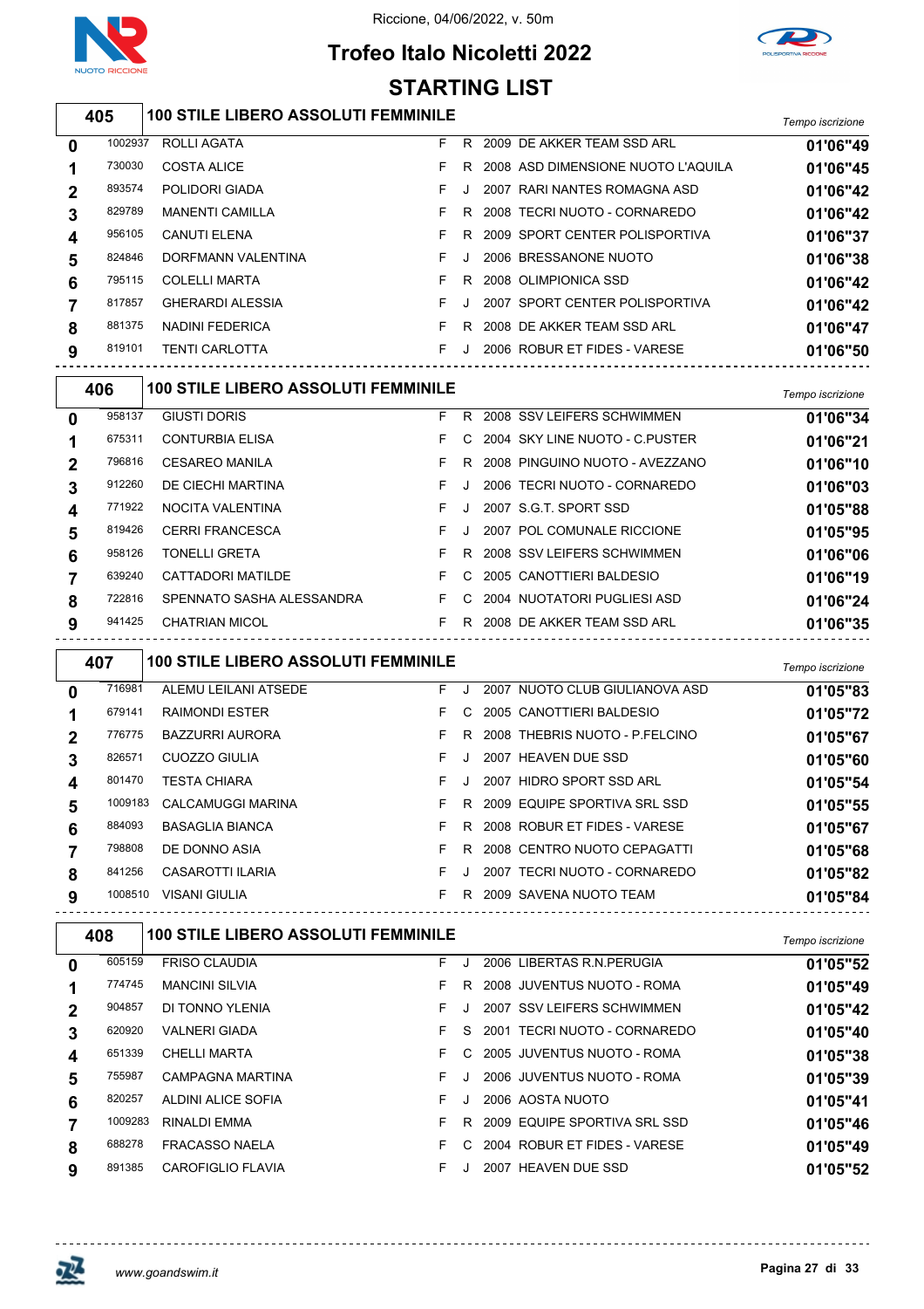

### **Trofeo Italo Nicoletti 2022 STARTING LIST**



| 3 I AR I INU LIJ I |         |                                            |    |              |  |                                      |                  |  |  |  |
|--------------------|---------|--------------------------------------------|----|--------------|--|--------------------------------------|------------------|--|--|--|
|                    | 405     | <b>100 STILE LIBERO ASSOLUTI FEMMINILE</b> |    |              |  |                                      | Tempo iscrizione |  |  |  |
| 0                  | 1002937 | ROLLI AGATA                                | F. |              |  | R 2009 DE AKKER TEAM SSD ARL         | 01'06"49         |  |  |  |
| 1                  | 730030  | <b>COSTA ALICE</b>                         | F  |              |  | R 2008 ASD DIMENSIONE NUOTO L'AQUILA | 01'06"45         |  |  |  |
| $\mathbf 2$        | 893574  | POLIDORI GIADA                             | F  | $\mathbf{J}$ |  | 2007 RARI NANTES ROMAGNA ASD         | 01'06"42         |  |  |  |
| 3                  | 829789  | <b>MANENTI CAMILLA</b>                     | F  | R.           |  | 2008 TECRI NUOTO - CORNAREDO         | 01'06"42         |  |  |  |
| 4                  | 956105  | <b>CANUTI ELENA</b>                        | F  | R.           |  | 2009 SPORT CENTER POLISPORTIVA       | 01'06"37         |  |  |  |
| 5                  | 824846  | DORFMANN VALENTINA                         | F  |              |  | 2006 BRESSANONE NUOTO                | 01'06"38         |  |  |  |
| 6                  | 795115  | <b>COLELLI MARTA</b>                       | F  | R.           |  | 2008 OLIMPIONICA SSD                 | 01'06"42         |  |  |  |
| 7                  | 817857  | <b>GHERARDI ALESSIA</b>                    | F  |              |  | 2007 SPORT CENTER POLISPORTIVA       | 01'06"42         |  |  |  |
| 8                  | 881375  | <b>NADINI FEDERICA</b>                     | F  | R.           |  | 2008 DE AKKER TEAM SSD ARL           | 01'06"47         |  |  |  |
| 9                  | 819101  | <b>TENTI CARLOTTA</b>                      | F  | J.           |  | 2006 ROBUR ET FIDES - VARESE         | 01'06"50         |  |  |  |
|                    | 406     | <b>100 STILE LIBERO ASSOLUTI FEMMINILE</b> |    |              |  |                                      | Tempo iscrizione |  |  |  |
| 0                  | 958137  | <b>GIUSTI DORIS</b>                        | F  | R.           |  | 2008 SSV LEIFERS SCHWIMMEN           | 01'06"34         |  |  |  |
| 1                  | 675311  | <b>CONTURBIA ELISA</b>                     | F  |              |  | 2004 SKY LINE NUOTO - C. PUSTER      | 01'06"21         |  |  |  |
| $\mathbf 2$        | 796816  | <b>CESAREO MANILA</b>                      | F. |              |  | R 2008 PINGUINO NUOTO - AVEZZANO     | 01'06"10         |  |  |  |
| 3                  | 912260  | DE CIECHI MARTINA                          | F  | $\cdot$      |  | 2006 TECRI NUOTO - CORNAREDO         | 01'06"03         |  |  |  |
|                    | ------  | $\cdots$ $\cdots$ $\cdots$                 |    |              |  |                                      |                  |  |  |  |

|   | 771922 | NOCITA VALENTINA          | F J |  | 2007 S.G.T. SPORT SSD           | 01'05"88        |
|---|--------|---------------------------|-----|--|---------------------------------|-----------------|
|   | 819426 | <b>CERRI FRANCESCA</b>    | F J |  | 2007 POL COMUNALE RICCIONE      | 01'05"95        |
|   | 958126 | <b>TONELLI GRETA</b>      |     |  | F R 2008 SSV LEIFERS SCHWIMMEN  | <b>01'06"06</b> |
|   | 639240 | CATTADORI MATILDE         |     |  | F C 2005 CANOTTIERI BALDESIO    | 01'06"19        |
|   | 722816 | SPENNATO SASHA ALESSANDRA |     |  | F C 2004 NUOTATORI PUGLIESI ASD | 01'06"24        |
| a | 941425 | CHATRIAN MICOL            |     |  | F R 2008 DE AKKER TEAM SSD ARL  | 01'06"35        |
|   |        |                           |     |  |                                 |                 |

| 407 |         | <b>100 STILE LIBERO ASSOLUTI FEMMINILE</b> | Tempo iscrizione |    |                                 |          |
|-----|---------|--------------------------------------------|------------------|----|---------------------------------|----------|
| 0   | 716981  | ALEMU LEILANI ATSEDE                       | F.               | Л. | 2007 NUOTO CLUB GIULIANOVA ASD  | 01'05"83 |
|     | 679141  | <b>RAIMONDI ESTER</b>                      | F.               | C. | 2005 CANOTTIERI BALDESIO        | 01'05"72 |
| 2   | 776775  | <b>BAZZURRI AURORA</b>                     | F                | R. | 2008 THEBRIS NUOTO - P.FELCINO  | 01'05"67 |
| 3   | 826571  | <b>CUOZZO GIULIA</b>                       | F                |    | 2007 HEAVEN DUE SSD             | 01'05"60 |
| 4   | 801470  | <b>TESTA CHIARA</b>                        | F.               | J  | 2007 HIDRO SPORT SSD ARL        | 01'05"54 |
| 5   | 1009183 | <b>CALCAMUGGI MARINA</b>                   | F                | R  | 2009 EQUIPE SPORTIVA SRL SSD    | 01'05"55 |
| 6   | 884093  | <b>BASAGLIA BIANCA</b>                     | F                | R  | 2008 ROBUR ET FIDES - VARESE    | 01'05"67 |
|     | 798808  | DE DONNO ASIA                              | F.               | R  | 2008 CENTRO NUOTO CEPAGATTI     | 01'05"68 |
| 8   | 841256  | <b>CASAROTTI ILARIA</b>                    | F                |    | TECRI NUOTO - CORNAREDO<br>2007 | 01'05"82 |
| 9   | 1008510 | <b>VISANI GIULIA</b>                       | F                | R  | 2009 SAVENA NUOTO TEAM          | 01'05"84 |
|     |         |                                            |                  |    |                                 |          |

| 408 |         | <b>100 STILE LIBERO ASSOLUTI FEMMINILE</b> | Tempo iscrizione |    |                              |          |
|-----|---------|--------------------------------------------|------------------|----|------------------------------|----------|
| 0   | 605159  | <b>FRISO CLAUDIA</b>                       | F.               |    | 2006 LIBERTAS R.N. PERUGIA   | 01'05"52 |
|     | 774745  | <b>MANCINI SILVIA</b>                      | F.               | R. | 2008 JUVENTUS NUOTO - ROMA   | 01'05"49 |
| 2   | 904857  | DI TONNO YLENIA                            | F.               |    | 2007 SSV LEIFERS SCHWIMMEN   | 01'05"42 |
| 3   | 620920  | <b>VALNERI GIADA</b>                       | F.               | S. | 2001 TECRI NUOTO - CORNAREDO | 01'05"40 |
| 4   | 651339  | <b>CHELLI MARTA</b>                        | F.               | C. | 2005 JUVENTUS NUOTO - ROMA   | 01'05"38 |
| 5   | 755987  | <b>CAMPAGNA MARTINA</b>                    | F.               |    | 2006 JUVENTUS NUOTO - ROMA   | 01'05"39 |
| 6   | 820257  | ALDINI ALICE SOFIA                         | F.               |    | 2006 AOSTA NUOTO             | 01'05"41 |
|     | 1009283 | RINALDI EMMA                               | F                | R. | 2009 EQUIPE SPORTIVA SRL SSD | 01'05"46 |
| 8   | 688278  | <b>FRACASSO NAELA</b>                      | F                | C. | 2004 ROBUR ET FIDES - VARESE | 01'05"49 |
| 9   | 891385  | CAROFIGLIO FLAVIA                          | F.               |    | 2007 HEAVEN DUE SSD          | 01'05"52 |

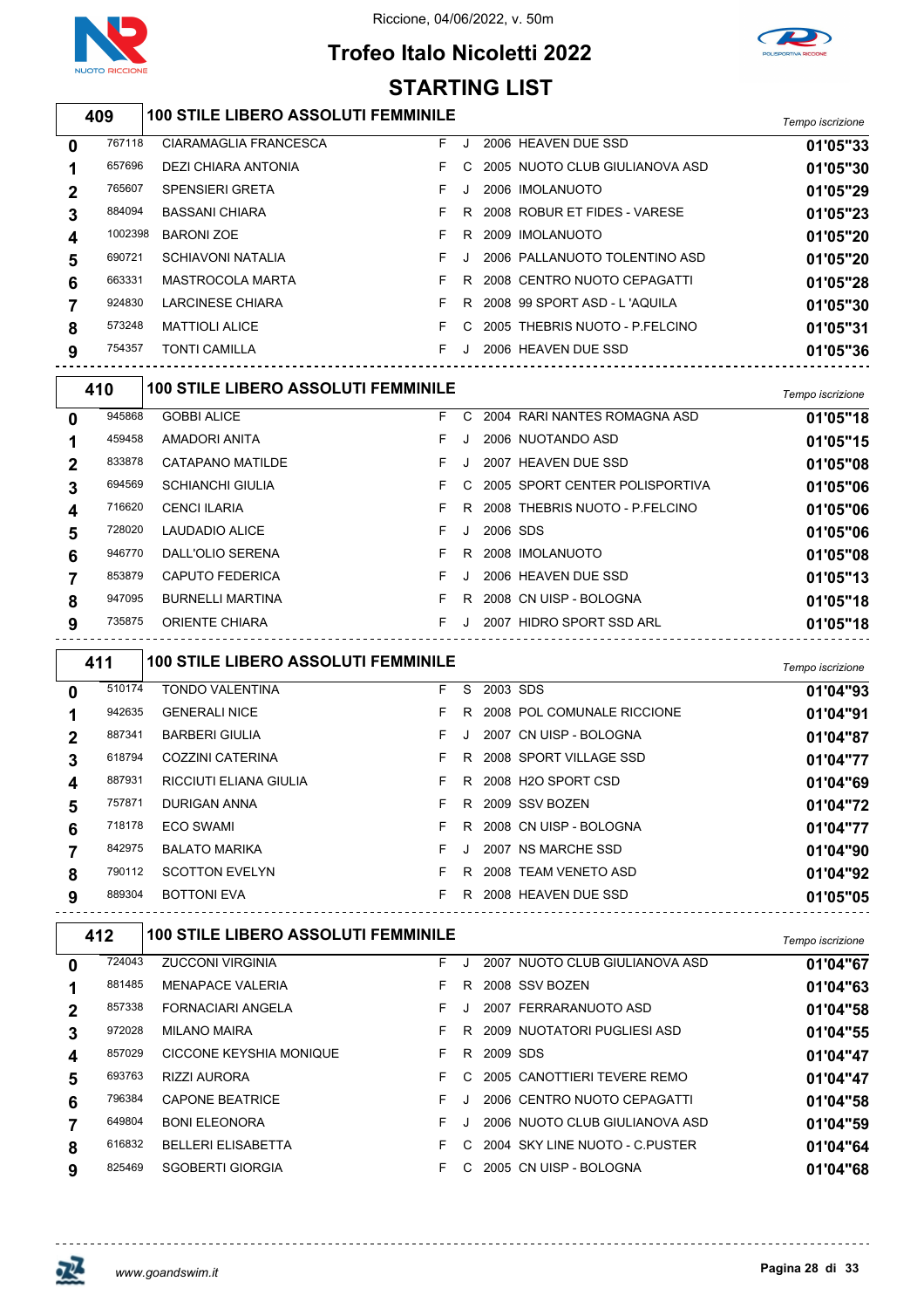

# **Trofeo Italo Nicoletti 2022**



|   | <b>STARTING LIST</b> |                                            |    |         |                                                            |                  |  |  |  |  |
|---|----------------------|--------------------------------------------|----|---------|------------------------------------------------------------|------------------|--|--|--|--|
|   | 409                  | <b>100 STILE LIBERO ASSOLUTI FEMMINILE</b> |    |         |                                                            | Tempo iscrizione |  |  |  |  |
| 0 | 767118               | CIARAMAGLIA FRANCESCA                      | F. | J       | 2006 HEAVEN DUE SSD                                        | 01'05"33         |  |  |  |  |
| 1 | 657696               | DEZI CHIARA ANTONIA                        | F  | C       | 2005 NUOTO CLUB GIULIANOVA ASD                             | 01'05"30         |  |  |  |  |
| 2 | 765607               | <b>SPENSIERI GRETA</b>                     | F  | J       | 2006 IMOLANUOTO                                            | 01'05"29         |  |  |  |  |
| 3 | 884094               | <b>BASSANI CHIARA</b>                      | F  | R       | 2008 ROBUR ET FIDES - VARESE                               | 01'05"23         |  |  |  |  |
| 4 | 1002398              | <b>BARONI ZOE</b>                          | F  | R       | 2009 IMOLANUOTO                                            | 01'05"20         |  |  |  |  |
| 5 | 690721               | <b>SCHIAVONI NATALIA</b>                   | F  |         | 2006 PALLANUOTO TOLENTINO ASD                              | 01'05"20         |  |  |  |  |
| 6 | 663331               | <b>MASTROCOLA MARTA</b>                    | F  | R       | 2008 CENTRO NUOTO CEPAGATTI                                | 01'05"28         |  |  |  |  |
| 7 | 924830               | <b>LARCINESE CHIARA</b>                    | F  | R       | 2008 99 SPORT ASD - L'AQUILA                               | 01'05"30         |  |  |  |  |
| 8 | 573248               | <b>MATTIOLI ALICE</b>                      | F  | C       | 2005 THEBRIS NUOTO - P.FELCINO                             | 01'05"31         |  |  |  |  |
| 9 | 754357               | <b>TONTI CAMILLA</b>                       | F. | J       | 2006 HEAVEN DUE SSD                                        | 01'05"36         |  |  |  |  |
|   | 410                  | <b>100 STILE LIBERO ASSOLUTI FEMMINILE</b> |    |         |                                                            | Tempo iscrizione |  |  |  |  |
| 0 | 945868               | <b>GOBBI ALICE</b>                         | F  | C       | 2004 RARI NANTES ROMAGNA ASD                               | 01'05"18         |  |  |  |  |
| 1 | 459458               | AMADORI ANITA                              | F  | J       | 2006 NUOTANDO ASD                                          | 01'05"15         |  |  |  |  |
| 2 | 833878               | <b>CATAPANO MATILDE</b>                    | F  | Π.      | 2007 HEAVEN DUE SSD                                        | 01'05"08         |  |  |  |  |
| 3 | 694569               | <b>SCHIANCHI GIULIA</b>                    | F  | C       | 2005 SPORT CENTER POLISPORTIVA                             | 01'05"06         |  |  |  |  |
| 4 | 716620               | <b>CENCI ILARIA</b>                        | F  | R       | 2008 THEBRIS NUOTO - P.FELCINO                             | 01'05"06         |  |  |  |  |
| 5 | 728020               | <b>LAUDADIO ALICE</b>                      | F  | J       | 2006 SDS                                                   | 01'05"06         |  |  |  |  |
| 6 | 946770               | DALL'OLIO SERENA                           | F  | R.      | 2008 IMOLANUOTO                                            | 01'05"08         |  |  |  |  |
| 7 | 853879               | <b>CAPUTO FEDERICA</b>                     | F  | J       | 2006 HEAVEN DUE SSD                                        | 01'05"13         |  |  |  |  |
| 8 | 947095               | <b>BURNELLI MARTINA</b>                    | F  | R       | 2008 CN UISP - BOLOGNA                                     | 01'05"18         |  |  |  |  |
|   |                      |                                            |    |         |                                                            |                  |  |  |  |  |
| 9 | 735875               | <b>ORIENTE CHIARA</b>                      | F. | J       | 2007 HIDRO SPORT SSD ARL                                   | 01'05"18         |  |  |  |  |
|   | 411                  | <b>100 STILE LIBERO ASSOLUTI FEMMINILE</b> |    |         |                                                            | Tempo iscrizione |  |  |  |  |
| 0 | 510174               | <b>TONDO VALENTINA</b>                     | F  | S       | 2003 SDS                                                   | 01'04"93         |  |  |  |  |
| 1 | 942635               | <b>GENERALI NICE</b>                       | F  | R       | 2008 POL COMUNALE RICCIONE                                 | 01'04"91         |  |  |  |  |
| 2 | 887341               | <b>BARBERI GIULIA</b>                      | F  | $\cdot$ | 2007 CN UISP - BOLOGNA                                     | 01'04"87         |  |  |  |  |
| 3 | 618794               | <b>COZZINI CATERINA</b>                    | F  |         | R 2008 SPORT VILLAGE SSD                                   | 01'04"77         |  |  |  |  |
| 4 | 887931               | RICCIUTI ELIANA GIULIA                     | F. |         | R 2008 H2O SPORT CSD                                       | 01'04"69         |  |  |  |  |
| 5 | 757871               | DURIGAN ANNA                               | F. |         | R 2009 SSV BOZEN                                           | 01'04"72         |  |  |  |  |
| 6 | 718178               | ECO SWAMI                                  | F. |         | R 2008 CN UISP - BOLOGNA                                   | 01'04"77         |  |  |  |  |
| 7 | 842975               | <b>BALATO MARIKA</b>                       | F. |         | J 2007 NS MARCHE SSD                                       | 01'04"90         |  |  |  |  |
| 8 | 790112               | <b>SCOTTON EVELYN</b>                      | F. |         | R 2008 TEAM VENETO ASD                                     | 01'04"92         |  |  |  |  |
| 9 | 889304               | <b>BOTTONI EVA</b>                         |    |         | F R 2008 HEAVEN DUE SSD<br>------------------------------- | 01'05"05         |  |  |  |  |
|   | 412                  | <b>100 STILE LIBERO ASSOLUTI FEMMINILE</b> |    |         |                                                            | Tempo iscrizione |  |  |  |  |
| 0 | 724043               | <b>ZUCCONI VIRGINIA</b>                    |    | F J     | 2007 NUOTO CLUB GIULIANOVA ASD                             | 01'04"67         |  |  |  |  |
| 1 | 881485               | <b>MENAPACE VALERIA</b>                    | F. |         | R 2008 SSV BOZEN                                           | 01'04"63         |  |  |  |  |
| 2 | 857338               | FORNACIARI ANGELA                          | F. |         | J 2007 FERRARANUOTO ASD                                    | 01'04"58         |  |  |  |  |
| 3 | 972028               | <b>MILANO MAIRA</b>                        | F. |         | R 2009 NUOTATORI PUGLIESI ASD                              | 01'04"55         |  |  |  |  |
| 4 | 857029               | CICCONE KEYSHIA MONIQUE                    | F. |         | R 2009 SDS                                                 | 01'04"47         |  |  |  |  |
| 5 | 693763               | RIZZI AURORA                               | F. |         | C 2005 CANOTTIERI TEVERE REMO                              | 01'04"47         |  |  |  |  |
| 6 | 796384               | <b>CAPONE BEATRICE</b>                     | F. | J       | 2006 CENTRO NUOTO CEPAGATTI                                | 01'04"58         |  |  |  |  |

BELLERI ELISABETTA F C 2004 SKY LINE NUOTO - C.PUSTER **01'04"64**

SGOBERTI GIORGIA F C 2005 CN UISP - BOLOGNA **01'04"68**

巫

 $-$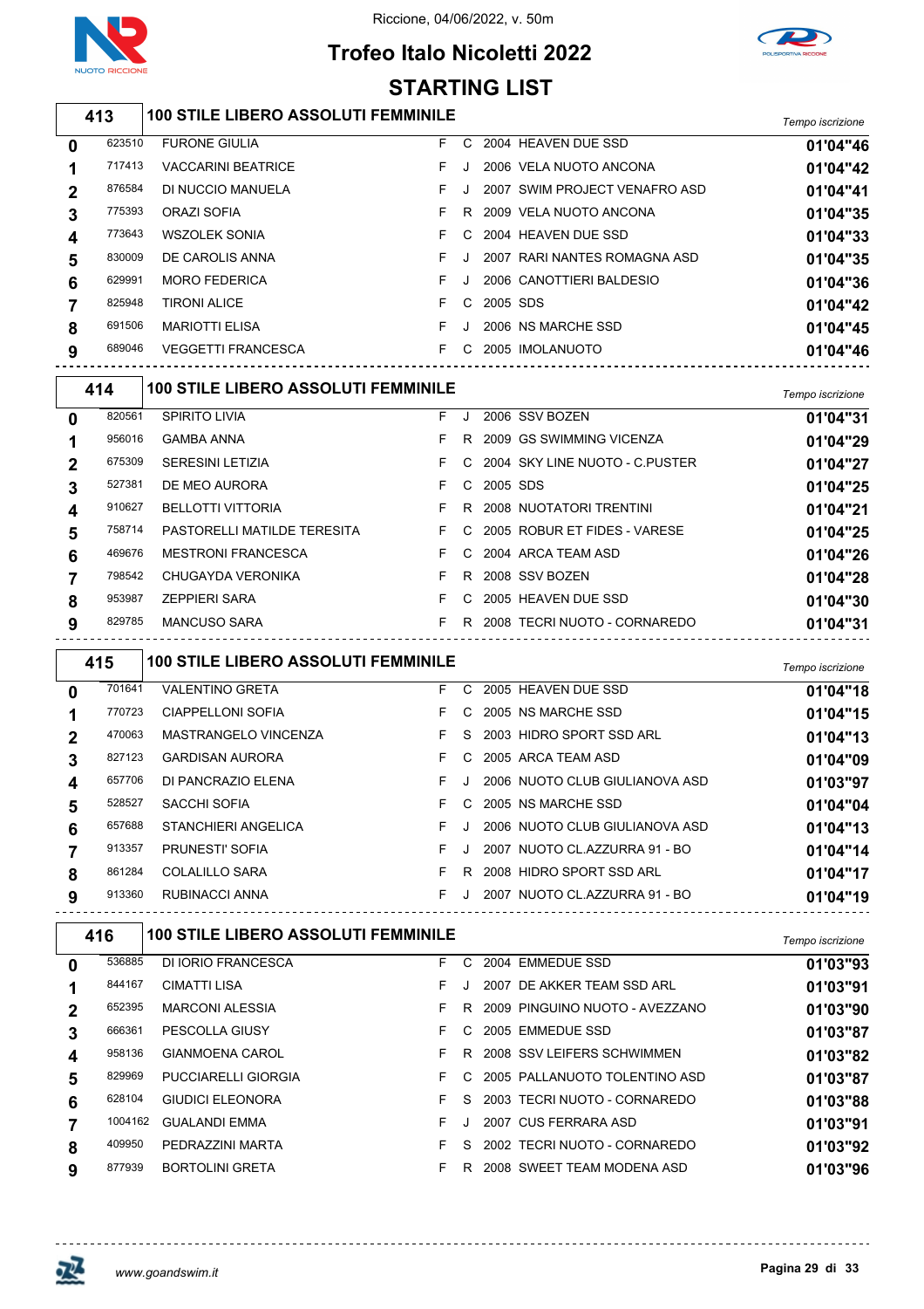

## **Trofeo Italo Nicoletti 2022**



#### *Tempo iscrizione* **100 STILE LIBERO ASSOLUTI FEMMINILE** FURONE GIULIA F C 2004 HEAVEN DUE SSD **01'04"46** VACCARINI BEATRICE F J 2006 VELA NUOTO ANCONA **01'04"42** 876584 DI NUCCIO MANUELA **F** J 2007 SWIM PROJECT VENAFRO ASD **01'04"41**  ORAZI SOFIA F R 2009 VELA NUOTO ANCONA **01'04"35** WSZOLEK SONIA F C 2004 HEAVEN DUE SSD **01'04"33** DE CAROLIS ANNA F J 2007 RARI NANTES ROMAGNA ASD **01'04"35** MORO FEDERICA F J 2006 CANOTTIERI BALDESIO **01'04"36** TIRONI ALICE F C 2005 SDS **01'04"42** MARIOTTI ELISA F J 2006 NS MARCHE SSD **01'04"45** VEGGETTI FRANCESCA F C 2005 IMOLANUOTO **01'04"46** *Tempo iscrizione* **100 STILE LIBERO ASSOLUTI FEMMINILE STARTING LIST**

|   | .      |                                    |    |    |            |                                  | <i>i</i> empo iscrizione |
|---|--------|------------------------------------|----|----|------------|----------------------------------|--------------------------|
| 0 | 820561 | <b>SPIRITO LIVIA</b>               | F. | J. |            | 2006 SSV BOZEN                   | 01'04"31                 |
|   | 956016 | <b>GAMBA ANNA</b>                  | F. | R. |            | 2009 GS SWIMMING VICENZA         | 01'04"29                 |
|   | 675309 | <b>SERESINI LETIZIA</b>            | F. |    |            | C 2004 SKY LINE NUOTO - C.PUSTER | 01'04"27                 |
| 3 | 527381 | DE MEO AURORA                      | F. |    | C 2005 SDS |                                  | 01'04"25                 |
| 4 | 910627 | <b>BELLOTTI VITTORIA</b>           | F. | R. |            | 2008 NUOTATORI TRENTINI          | 01'04"21                 |
| 5 | 758714 | <b>PASTORELLI MATILDE TERESITA</b> |    |    |            | F C 2005 ROBUR ET FIDES - VARESE | 01'04"25                 |
| 6 | 469676 | <b>MESTRONI FRANCESCA</b>          | F. |    |            | C 2004 ARCA TEAM ASD             | 01'04"26                 |
|   | 798542 | CHUGAYDA VERONIKA                  | F. | R  |            | 2008 SSV BOZEN                   | 01'04"28                 |
| 8 | 953987 | <b>ZEPPIERI SARA</b>               | F. | C. |            | 2005 HEAVEN DUE SSD              | 01'04"30                 |
| 9 | 829785 | <b>MANCUSO SARA</b>                | F. | R  |            | 2008 TECRI NUOTO - CORNAREDO     | 01'04"31                 |
|   |        |                                    |    |    |            |                                  |                          |

| 415          |        | <b>100 STILE LIBERO ASSOLUTI FEMMINILE</b> | Tempo iscrizione |    |                                |          |
|--------------|--------|--------------------------------------------|------------------|----|--------------------------------|----------|
| $\mathbf{0}$ | 701641 | <b>VALENTINO GRETA</b>                     | F.               |    | C 2005 HEAVEN DUE SSD          | 01'04"18 |
|              | 770723 | <b>CIAPPELLONI SOFIA</b>                   | F.               |    | C 2005 NS MARCHE SSD           | 01'04"15 |
| $\mathbf 2$  | 470063 | MASTRANGELO VINCENZA                       | F.               | S. | 2003 HIDRO SPORT SSD ARL       | 01'04"13 |
| 3            | 827123 | <b>GARDISAN AURORA</b>                     | F.               |    | C 2005 ARCA TEAM ASD           | 01'04"09 |
| 4            | 657706 | DI PANCRAZIO ELENA                         | F.               |    | 2006 NUOTO CLUB GIULIANOVA ASD | 01'03"97 |
| 5            | 528527 | SACCHI SOFIA                               | F.               |    | C 2005 NS MARCHE SSD           | 01'04"04 |
| 6            | 657688 | STANCHIERI ANGELICA                        | F.               |    | 2006 NUOTO CLUB GIULIANOVA ASD | 01'04"13 |
|              | 913357 | PRUNESTI' SOFIA                            | F.               |    | 2007 NUOTO CL.AZZURRA 91 - BO  | 01'04"14 |
| 8            | 861284 | <b>COLALILLO SARA</b>                      | F.               | R. | 2008 HIDRO SPORT SSD ARL       | 01'04"17 |
| 9            | 913360 | RUBINACCI ANNA                             | F.               | J. | 2007 NUOTO CL.AZZURRA 91 - BO  | 01'04"19 |

| 416         |         | <b>100 STILE LIBERO ASSOLUTI FEMMINILE</b> | Tempo iscrizione |    |      |                                |          |
|-------------|---------|--------------------------------------------|------------------|----|------|--------------------------------|----------|
| 0           | 536885  | DI IORIO FRANCESCA                         | F.               | C. |      | 2004 EMMEDUE SSD               | 01'03"93 |
|             | 844167  | <b>CIMATTI LISA</b>                        | F.               |    |      | 2007 DE AKKER TEAM SSD ARL     | 01'03"91 |
| $\mathbf 2$ | 652395  | <b>MARCONI ALESSIA</b>                     | F.               | R. |      | 2009 PINGUINO NUOTO - AVEZZANO | 01'03"90 |
| 3           | 666361  | <b>PESCOLLA GIUSY</b>                      | F.               | C. |      | 2005 EMMEDUE SSD               | 01'03"87 |
| 4           | 958136  | <b>GIANMOENA CAROL</b>                     | F.               | R. |      | 2008 SSV LEIFERS SCHWIMMEN     | 01'03"82 |
| 5           | 829969  | <b>PUCCIARELLI GIORGIA</b>                 | F.               | C. |      | 2005 PALLANUOTO TOLENTINO ASD  | 01'03"87 |
| 6           | 628104  | <b>GIUDICI ELEONORA</b>                    | F.               | S. |      | 2003 TECRI NUOTO - CORNAREDO   | 01'03"88 |
|             | 1004162 | <b>GUALANDI EMMA</b>                       | F.               |    | 2007 | CUS FERRARA ASD                | 01'03"91 |
| 8           | 409950  | PEDRAZZINI MARTA                           | F                | S. |      | 2002 TECRI NUOTO - CORNAREDO   | 01'03"92 |
| 9           | 877939  | <b>BORTOLINI GRETA</b>                     | F.               | R. |      | 2008 SWEET TEAM MODENA ASD     | 01'03"96 |
|             |         |                                            |                  |    |      |                                |          |

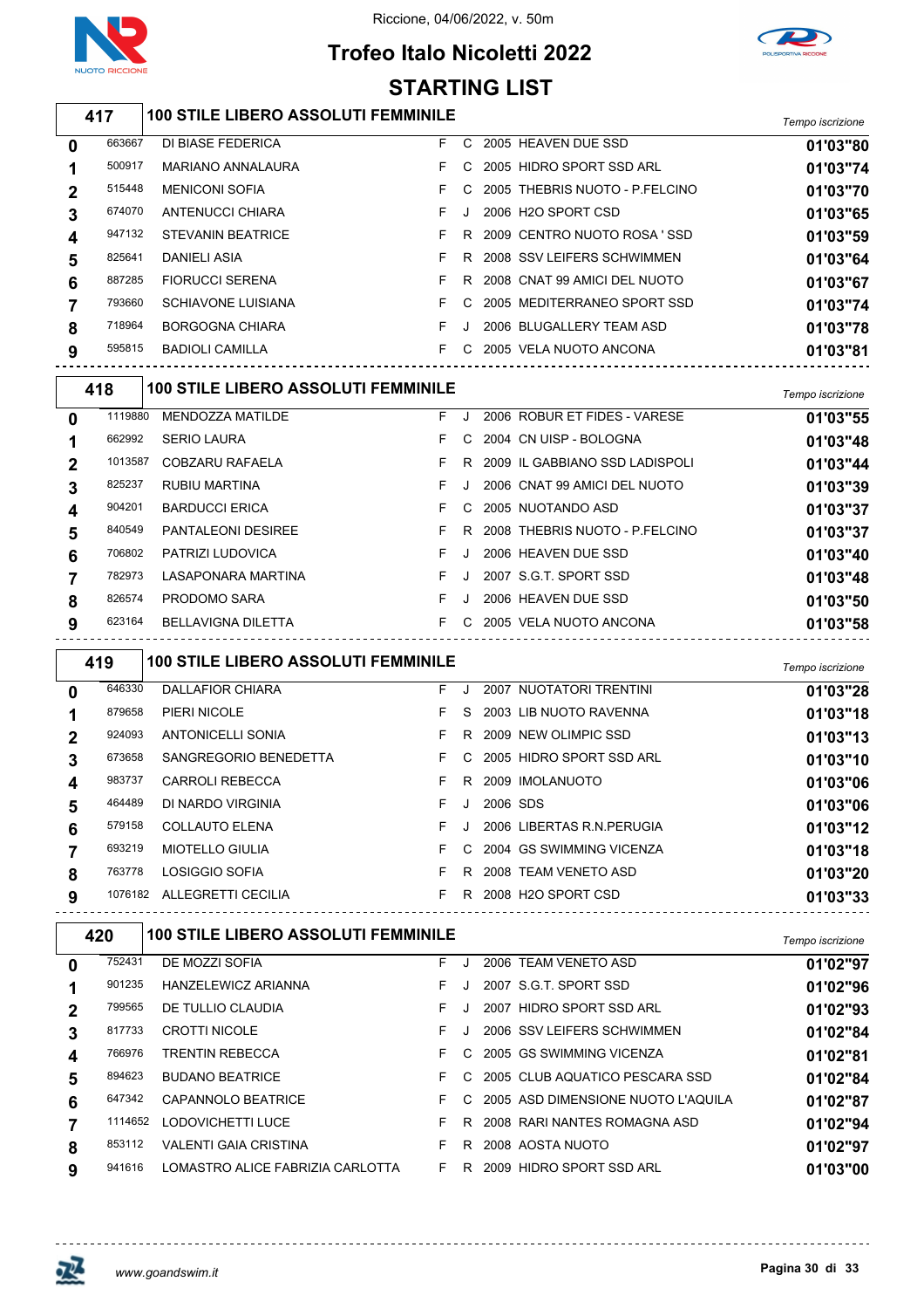

### **Trofeo Italo Nicoletti 2022 STARTING LIST**



### *Tempo iscrizione* **100 STILE LIBERO ASSOLUTI FEMMINILE**

| $\bf{0}$     | 663667 | DI BIASE FEDERICA         | F. | C  | 2005 HEAVEN DUE SSD             | 01'03"80 |
|--------------|--------|---------------------------|----|----|---------------------------------|----------|
|              | 500917 | <b>MARIANO ANNALAURA</b>  | F. | C. | 2005 HIDRO SPORT SSD ARL        | 01'03"74 |
| $\mathbf{2}$ | 515448 | <b>MENICONI SOFIA</b>     |    | C. | 2005 THEBRIS NUOTO - P FELCINO  | 01'03"70 |
| 3            | 674070 | ANTENUCCI CHIARA          | F. | J  | 2006 H <sub>2</sub> O SPORT CSD | 01'03"65 |
|              | 947132 | <b>STEVANIN BEATRICE</b>  | F. | R. | 2009 CENTRO NUOTO ROSA 'SSD     | 01'03"59 |
| 5            | 825641 | DANIELI ASIA              | F. | R. | 2008 SSV LEIFERS SCHWIMMEN      | 01'03"64 |
| 6            | 887285 | <b>FIORUCCI SERENA</b>    |    |    | R 2008 CNAT 99 AMICI DEL NUOTO  | 01'03"67 |
|              | 793660 | <b>SCHIAVONE LUISIANA</b> |    | C. | 2005 MEDITERRANEO SPORT SSD     | 01'03"74 |
| 8            | 718964 | <b>BORGOGNA CHIARA</b>    | F. |    | 2006 BLUGALLERY TEAM ASD        | 01'03"78 |
| 9            | 595815 | <b>BADIOLI CAMILLA</b>    | F. | C. | 2005 VELA NUOTO ANCONA          | 01'03"81 |
|              |        |                           |    |    |                                 |          |

| 418 |         | <b>100 STILE LIBERO ASSOLUTI FEMMINILE</b> | Tempo iscrizione |    |                                |          |
|-----|---------|--------------------------------------------|------------------|----|--------------------------------|----------|
| 0   | 1119880 | MENDOZZA MATILDE                           | F.               |    | 2006 ROBUR ET FIDES - VARESE   | 01'03"55 |
|     | 662992  | <b>SERIO LAURA</b>                         | F.               | C. | 2004 CN UISP - BOLOGNA         | 01'03"48 |
| 2   | 1013587 | COBZARU RAFAELA                            | F.               | R  | 2009 IL GABBIANO SSD LADISPOLI | 01'03"44 |
| 3   | 825237  | RUBIU MARTINA                              | F.               |    | 2006 CNAT 99 AMICI DEL NUOTO   | 01'03"39 |
| 4   | 904201  | <b>BARDUCCI ERICA</b>                      | F.               | C. | 2005 NUOTANDO ASD              | 01'03"37 |
| 5   | 840549  | <b>PANTALEONI DESIREE</b>                  | F.               | R  | 2008 THEBRIS NUOTO - P.FELCINO | 01'03"37 |
| 6   | 706802  | PATRIZI LUDOVICA                           | F.               |    | 2006 HEAVEN DUE SSD            | 01'03"40 |
|     | 782973  | LASAPONARA MARTINA                         | F.               |    | 2007 S.G.T. SPORT SSD          | 01'03"48 |
| 8   | 826574  | PRODOMO SARA                               | F.               |    | 2006 HEAVEN DUE SSD            | 01'03"50 |
| 9   | 623164  | <b>BELLAVIGNA DILETTA</b>                  | F.               | C. | 2005 VELA NUOTO ANCONA         | 01'03"58 |
|     |         |                                            |                  |    |                                |          |

| 419 |         | <b>100 STILE LIBERO ASSOLUTI FEMMINILE</b> | Tempo iscrizione |         |                            |          |
|-----|---------|--------------------------------------------|------------------|---------|----------------------------|----------|
| 0   | 646330  | <b>DALLAFIOR CHIARA</b>                    | F.               | $\cdot$ | 2007 NUOTATORI TRENTINI    | 01'03"28 |
|     | 879658  | PIERI NICOLE                               | F.               | S.      | 2003 LIB NUOTO RAVENNA     | 01'03"18 |
| 2   | 924093  | <b>ANTONICELLI SONIA</b>                   | F.               | R.      | 2009 NEW OLIMPIC SSD       | 01'03"13 |
| 3   | 673658  | SANGREGORIO BENEDETTA                      | F.               | C.      | 2005 HIDRO SPORT SSD ARL   | 01'03"10 |
| 4   | 983737  | <b>CARROLI REBECCA</b>                     | F.               | R       | 2009 IMOLANUOTO            | 01'03"06 |
| 5   | 464489  | DI NARDO VIRGINIA                          | F.               | $\cdot$ | 2006 SDS                   | 01'03"06 |
| 6   | 579158  | <b>COLLAUTO ELENA</b>                      | F.               |         | 2006 LIBERTAS R.N. PERUGIA | 01'03"12 |
|     | 693219  | <b>MIOTELLO GIULIA</b>                     | F.               | C.      | 2004 GS SWIMMING VICENZA   | 01'03"18 |
| 8   | 763778  | LOSIGGIO SOFIA                             | F.               | R.      | 2008 TEAM VENETO ASD       | 01'03"20 |
| 9   | 1076182 | ALLEGRETTI CECILIA                         | F.               | R       | 2008 H2O SPORT CSD         | 01'03"33 |

| 420 |                                  |                                                                                                   |    |                                            |    |                                                                                                                                                                                                                                                                                               |  |  |  |
|-----|----------------------------------|---------------------------------------------------------------------------------------------------|----|--------------------------------------------|----|-----------------------------------------------------------------------------------------------------------------------------------------------------------------------------------------------------------------------------------------------------------------------------------------------|--|--|--|
|     | DE MOZZI SOFIA                   | F.                                                                                                | J. |                                            |    | 01'02"97                                                                                                                                                                                                                                                                                      |  |  |  |
|     | <b>HANZELEWICZ ARIANNA</b>       | F.                                                                                                |    |                                            |    | 01'02"96                                                                                                                                                                                                                                                                                      |  |  |  |
|     | DE TULLIO CLAUDIA                | F.                                                                                                |    |                                            |    | 01'02"93                                                                                                                                                                                                                                                                                      |  |  |  |
|     | <b>CROTTI NICOLE</b>             | F.                                                                                                |    |                                            |    | 01'02"84                                                                                                                                                                                                                                                                                      |  |  |  |
|     | <b>TRENTIN REBECCA</b>           |                                                                                                   |    |                                            |    | 01'02"81                                                                                                                                                                                                                                                                                      |  |  |  |
|     | <b>BUDANO BEATRICE</b>           | F.                                                                                                | C. |                                            |    | 01'02"84                                                                                                                                                                                                                                                                                      |  |  |  |
|     | <b>CAPANNOLO BEATRICE</b>        | F.                                                                                                | C. |                                            |    | 01'02"87                                                                                                                                                                                                                                                                                      |  |  |  |
|     | LODOVICHETTI LUCE                |                                                                                                   | R. |                                            |    | 01'02"94                                                                                                                                                                                                                                                                                      |  |  |  |
|     | <b>VALENTI GAIA CRISTINA</b>     |                                                                                                   | R. |                                            |    | 01'02"97                                                                                                                                                                                                                                                                                      |  |  |  |
|     | LOMASTRO ALICE FABRIZIA CARLOTTA | F.                                                                                                |    |                                            |    | 01'03"00                                                                                                                                                                                                                                                                                      |  |  |  |
|     |                                  | 752431<br>901235<br>799565<br>817733<br>766976<br>894623<br>647342<br>1114652<br>853112<br>941616 |    | <b>100 STILE LIBERO ASSOLUTI FEMMINILE</b> | R. | 2006 TEAM VENETO ASD<br>2007 S.G.T. SPORT SSD<br>2007 HIDRO SPORT SSD ARL<br>2006 SSV LEIFERS SCHWIMMEN<br>C 2005 GS SWIMMING VICENZA<br>2005 CLUB AQUATICO PESCARA SSD<br>2005 ASD DIMENSIONE NUOTO L'AQUILA<br>2008 RARI NANTES ROMAGNA ASD<br>2008 AOSTA NUOTO<br>2009 HIDRO SPORT SSD ARL |  |  |  |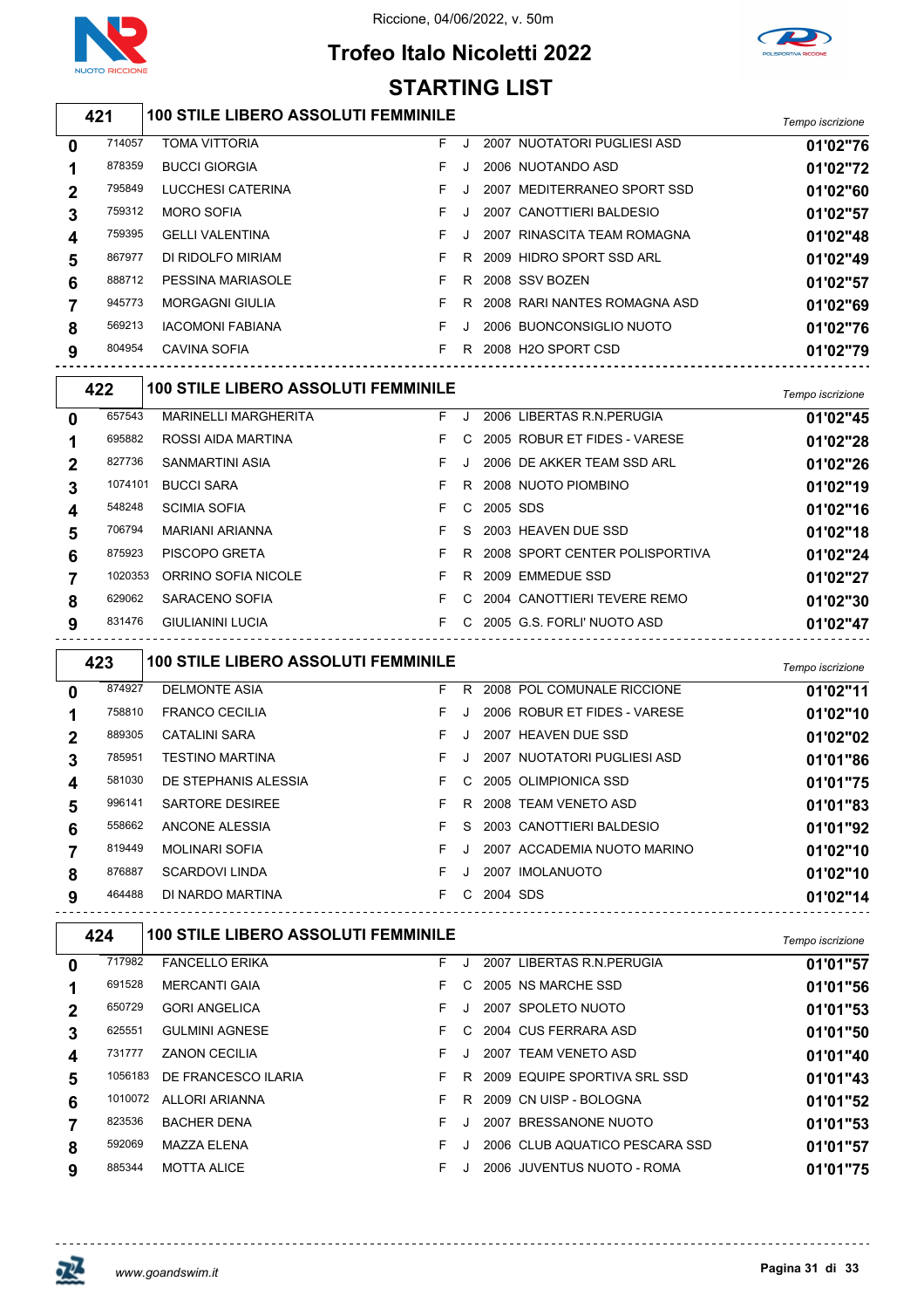

# **Trofeo Italo Nicoletti 2022**



|   | <b>NUOTO RICCIONE</b> |                                            | <b>STARTING LIST</b> |           |                                |                  |
|---|-----------------------|--------------------------------------------|----------------------|-----------|--------------------------------|------------------|
|   | 421                   | <b>100 STILE LIBERO ASSOLUTI FEMMINILE</b> |                      |           |                                | Tempo iscrizione |
| 0 | 714057                | <b>TOMA VITTORIA</b>                       | F.                   |           | 2007 NUOTATORI PUGLIESI ASD    | 01'02"76         |
|   | 878359                | <b>BUCCI GIORGIA</b>                       | F.                   |           | 2006 NUOTANDO ASD              | 01'02"72         |
| 2 | 795849                | LUCCHESI CATERINA                          | F.                   |           | 2007 MEDITERRANEO SPORT SSD    | 01'02"60         |
| 3 | 759312                | <b>MORO SOFIA</b>                          | F.                   |           | 2007 CANOTTIERI BALDESIO       | 01'02"57         |
| 4 | 759395                | <b>GELLI VALENTINA</b>                     | F.                   |           | 2007 RINASCITA TEAM ROMAGNA    | 01'02"48         |
| 5 | 867977                | DI RIDOLFO MIRIAM                          | F.                   |           | R 2009 HIDRO SPORT SSD ARL     | 01'02"49         |
| 6 | 888712                | <b>PESSINA MARIASOLE</b>                   | F.                   |           | R 2008 SSV BOZEN               | 01'02"57         |
| 7 | 945773                | <b>MORGAGNI GIULIA</b>                     | F.                   |           | R 2008 RARI NANTES ROMAGNA ASD | 01'02"69         |
| 8 | 569213                | <b>IACOMONI FABIANA</b>                    | F.                   |           | 2006 BUONCONSIGLIO NUOTO       | 01'02"76         |
| 9 | 804954                | <b>CAVINA SOFIA</b>                        | F.                   |           | R 2008 H2O SPORT CSD           | 01'02"79         |
|   | 422                   | <b>100 STILE LIBERO ASSOLUTI FEMMINILE</b> |                      |           |                                | Tempo iscrizione |
| 0 | 657543                | <b>MARINELLI MARGHERITA</b>                | F.                   | $\cdot$ . | 2006 LIBERTAS R.N.PERUGIA      | 01'02"45         |
| 1 | 695882                | ROSSI AIDA MARTINA                         | F.                   | C.        | 2005 ROBUR ET FIDES - VARESE   | 01'02"28         |
| 2 | 827736                | <b>SANMARTINI ASIA</b>                     | F.                   |           | 2006 DE AKKER TEAM SSD ARL     | 01'02"26         |
| 3 | 1074101               | <b>BUCCI SARA</b>                          | F.                   |           | R 2008 NUOTO PIOMBINO          | 01'02"19         |

| 3 | 1074101 | <b>BUCCI SARA</b>       |     |          | F R 2008 NUOTO PIOMBINO            | 01'02"19 |
|---|---------|-------------------------|-----|----------|------------------------------------|----------|
|   | 548248  | <b>SCIMIA SOFIA</b>     | F C | 2005 SDS |                                    | 01'02"16 |
|   | 706794  | MARIANI ARIANNA         |     |          | F S 2003 HEAVEN DUE SSD            | 01'02"18 |
|   | 875923  | PISCOPO GRETA           |     |          | F R 2008 SPORT CENTER POLISPORTIVA | 01'02"24 |
|   | 1020353 | ORRINO SOFIA NICOLE     |     |          | F R 2009 EMMEDUE SSD               | 01'02"27 |
|   | 629062  | SARACENO SOFIA          |     |          | F C 2004 CANOTTIERI TEVERE REMO    | 01'02"30 |
| 9 | 831476  | <b>GIULIANINI LUCIA</b> |     |          | F C 2005 G.S. FORLI' NUOTO ASD     | 01'02"47 |

|              | 423    | <b>100 STILE LIBERO ASSOLUTI FEMMINILE</b> |    |    |                              | Tempo iscrizione |
|--------------|--------|--------------------------------------------|----|----|------------------------------|------------------|
| $\mathbf{0}$ | 874927 | <b>DELMONTE ASIA</b>                       | F. | R. | 2008 POL COMUNALE RICCIONE   | 01'02"11         |
|              | 758810 | <b>FRANCO CECILIA</b>                      | F. |    | 2006 ROBUR ET FIDES - VARESE | 01'02"10         |
| $\mathbf 2$  | 889305 | <b>CATALINI SARA</b>                       | F. |    | 2007 HEAVEN DUE SSD          | 01'02"02         |
| 3            | 785951 | <b>TESTINO MARTINA</b>                     | F. |    | 2007 NUOTATORI PUGLIESI ASD  | 01'01"86         |
| 4            | 581030 | DE STEPHANIS ALESSIA                       | F. | C. | 2005 OLIMPIONICA SSD         | 01'01"75         |
| 5            | 996141 | SARTORE DESIREE                            | F. | R. | 2008 TEAM VENETO ASD         | 01'01"83         |
| 6            | 558662 | ANCONE ALESSIA                             | F. | S. | 2003 CANOTTIERI BALDESIO     | 01'01"92         |
|              | 819449 | <b>MOLINARI SOFIA</b>                      | F. |    | 2007 ACCADEMIA NUOTO MARINO  | 01'02"10         |
| 8            | 876887 | <b>SCARDOVI LINDA</b>                      | F. |    | 2007 IMOLANUOTO              | 01'02"10         |
| 9            | 464488 | DI NARDO MARTINA                           | F  | C. | 2004 SDS                     | 01'02"14         |
|              |        |                                            |    |    |                              |                  |

|                | 424     | <b>100 STILE LIBERO ASSOLUTI FEMMINILE</b> |    |         |      |                                | Tempo iscrizione |
|----------------|---------|--------------------------------------------|----|---------|------|--------------------------------|------------------|
| 0              | 717982  | <b>FANCELLO ERIKA</b>                      | F. | $\cdot$ | 2007 | LIBERTAS R.N. PERUGIA          | 01'01"57         |
|                | 691528  | <b>MERCANTI GAIA</b>                       | F. | C.      |      | 2005 NS MARCHE SSD             | 01'01"56         |
| $\overline{2}$ | 650729  | <b>GORI ANGELICA</b>                       | F. |         |      | 2007 SPOLETO NUOTO             | 01'01"53         |
| 3              | 625551  | <b>GULMINI AGNESE</b>                      | F. | C.      |      | 2004 CUS FERRARA ASD           | 01'01"50         |
| 4              | 731777  | <b>ZANON CECILIA</b>                       | F. |         |      | 2007 TEAM VENETO ASD           | 01'01"40         |
| 5              | 1056183 | DE FRANCESCO ILARIA                        | F. | R.      |      | 2009 EQUIPE SPORTIVA SRL SSD   | 01'01"43         |
| 6              | 1010072 | <b>ALLORI ARIANNA</b>                      | F. | R       |      | 2009 CN UISP - BOLOGNA         | 01'01"52         |
|                | 823536  | <b>BACHER DENA</b>                         | F. |         |      | 2007 BRESSANONE NUOTO          | 01'01"53         |
| 8              | 592069  | MAZZA ELENA                                | F. |         |      | 2006 CLUB AQUATICO PESCARA SSD | 01'01"57         |
| 9              | 885344  | <b>MOTTA ALICE</b>                         | F. |         |      | 2006 JUVENTUS NUOTO - ROMA     | 01'01"75         |



 $\overline{\phantom{a}}$ 

<u>-------------</u>

 $- - - - - - -$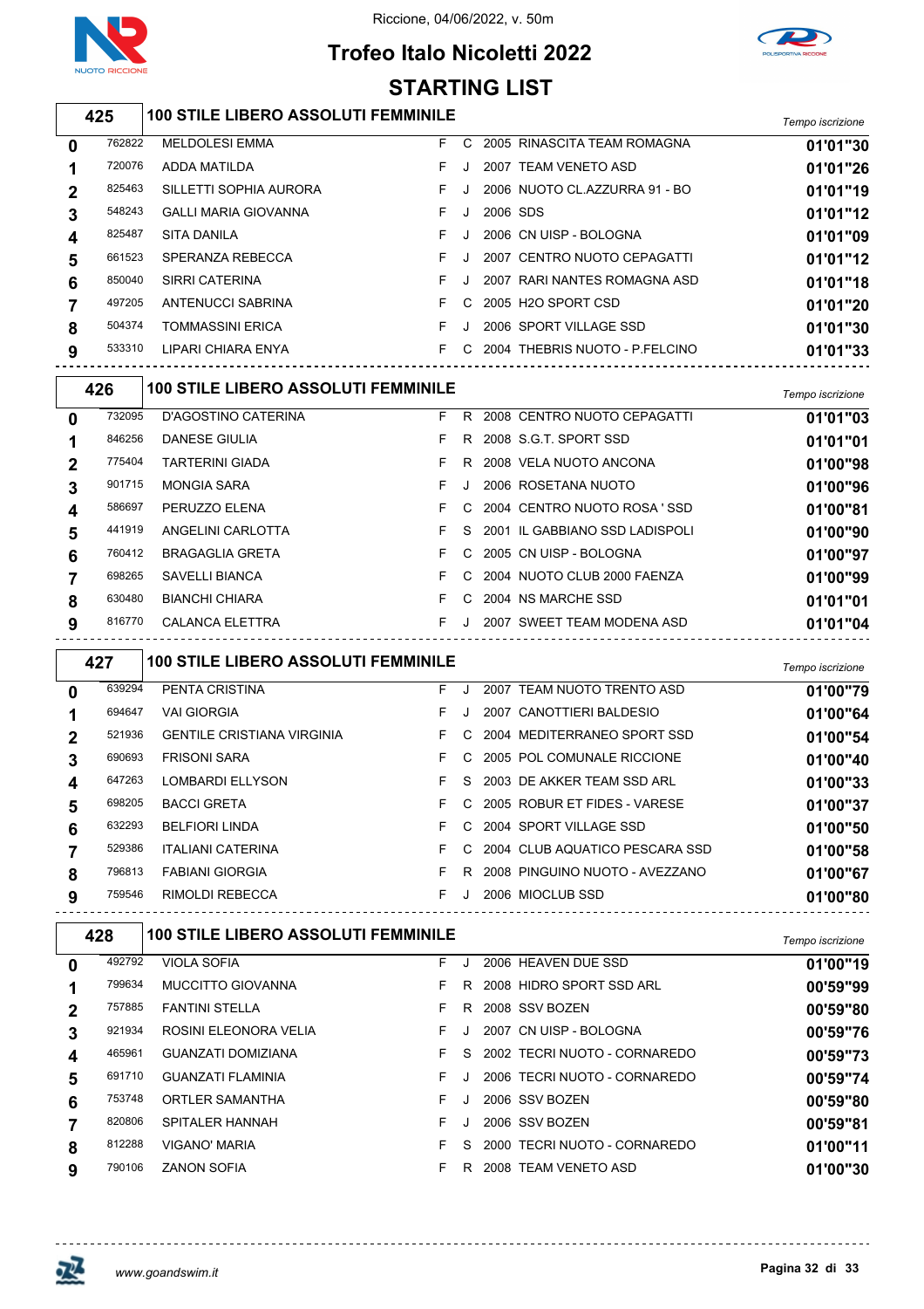

 $\overline{\phantom{a}}$ 

#### Riccione, 04/06/2022, v. 50m





### *Tempo iscrizione* **100 STILE LIBERO ASSOLUTI FEMMINILE**

| 0            | 762822 | <b>MELDOLESI EMMA</b>       | F. | C.           |          | 2005 RINASCITA TEAM ROMAGNA    | 01'01"30 |
|--------------|--------|-----------------------------|----|--------------|----------|--------------------------------|----------|
|              | 720076 | ADDA MATILDA                | F. |              |          | 2007 TEAM VENETO ASD           | 01'01"26 |
| $\mathbf{2}$ | 825463 | SILLETTI SOPHIA AURORA      |    |              |          | 2006 NUOTO CL.AZZURRA 91 - BO  | 01'01"19 |
| 3            | 548243 | <b>GALLI MARIA GIOVANNA</b> | F. | J            | 2006 SDS |                                | 01'01"12 |
| 4            | 825487 | <b>SITA DANILA</b>          |    | J.           |          | 2006 CN UISP - BOLOGNA         | 01'01"09 |
| 5            | 661523 | SPERANZA REBECCA            |    | J.           |          | 2007 CENTRO NUOTO CEPAGATTI    | 01'01"12 |
| 6            | 850040 | SIRRI CATERINA              |    | J.           |          | 2007 RARI NANTES ROMAGNA ASD   | 01'01"18 |
|              | 497205 | ANTENUCCI SABRINA           |    | $\mathsf{C}$ |          | 2005 H2O SPORT CSD             | 01'01"20 |
| 8            | 504374 | <b>TOMMASSINI ERICA</b>     |    | $\cdot$      |          | 2006 SPORT VILLAGE SSD         | 01'01"30 |
| 9            | 533310 | LIPARI CHIARA ENYA          |    | C.           |          | 2004 THEBRIS NUOTO - P.FELCINO | 01'01"33 |
|              |        |                             |    |              |          |                                |          |

|              | 426    | <b>100 STILE LIBERO ASSOLUTI FEMMINILE</b> |    |    |                                  | Tempo iscrizione |
|--------------|--------|--------------------------------------------|----|----|----------------------------------|------------------|
| $\mathbf{0}$ | 732095 | D'AGOSTINO CATERINA                        | F. | R. | 2008 CENTRO NUOTO CEPAGATTI      | 01'01"03         |
|              | 846256 | DANESE GIULIA                              | F. | R. | 2008 S.G.T. SPORT SSD            | 01'01"01         |
| $\mathbf 2$  | 775404 | <b>TARTERINI GIADA</b>                     | F. | R  | 2008 VELA NUOTO ANCONA           | 01'00"98         |
| 3            | 901715 | <b>MONGIA SARA</b>                         | F. |    | 2006 ROSETANA NUOTO              | 01'00"96         |
| 4            | 586697 | PERUZZO ELENA                              | F. | C. | 2004 CENTRO NUOTO ROSA 'SSD      | 01'00"81         |
| 5            | 441919 | ANGELINI CARLOTTA                          | F. |    | S 2001 IL GABBIANO SSD LADISPOLI | 01'00"90         |
| 6            | 760412 | <b>BRAGAGLIA GRETA</b>                     | F. |    | C 2005 CN UISP - BOLOGNA         | 01'00"97         |
|              | 698265 | SAVELLI BIANCA                             | F. | C. | 2004 NUOTO CLUB 2000 FAENZA      | 01'00"99         |
| 8            | 630480 | <b>BIANCHI CHIARA</b>                      | F. | C. | 2004 NS MARCHE SSD               | 01'01"01         |
| 9            | 816770 | CALANCA ELETTRA                            | F. |    | 2007 SWEET TEAM MODENA ASD       | 01'01"04         |
|              |        |                                            |    |    |                                  |                  |

|             | 427    | <b>100 STILE LIBERO ASSOLUTI FEMMINILE</b> |    |    |                                | Tempo iscrizione |
|-------------|--------|--------------------------------------------|----|----|--------------------------------|------------------|
| 0           | 639294 | PENTA CRISTINA                             | F. | J  | 2007 TEAM NUOTO TRENTO ASD     | 01'00"79         |
|             | 694647 | <b>VAI GIORGIA</b>                         | F  | J. | 2007 CANOTTIERI BALDESIO       | 01'00"64         |
| $\mathbf 2$ | 521936 | <b>GENTILE CRISTIANA VIRGINIA</b>          | F. | C. | 2004 MEDITERRANEO SPORT SSD    | 01'00"54         |
| 3           | 690693 | <b>FRISONI SARA</b>                        | F. | C. | 2005 POL COMUNALE RICCIONE     | 01'00"40         |
| 4           | 647263 | <b>LOMBARDI ELLYSON</b>                    | F. | S. | 2003 DE AKKER TEAM SSD ARL     | 01'00"33         |
| 5           | 698205 | <b>BACCI GRETA</b>                         | F. | C. | 2005 ROBUR ET FIDES - VARESE   | 01'00"37         |
| 6           | 632293 | <b>BELFIORI LINDA</b>                      | F. | C. | 2004 SPORT VILLAGE SSD         | 01'00"50         |
|             | 529386 | <b>ITALIANI CATERINA</b>                   | F. | C. | 2004 CLUB AQUATICO PESCARA SSD | 01'00"58         |
| 8           | 796813 | <b>FABIANI GIORGIA</b>                     | F. | R. | 2008 PINGUINO NUOTO - AVEZZANO | 01'00"67         |
| 9           | 759546 | RIMOLDI REBECCA                            | F. | J. | 2006 MIOCLUB SSD               | 01'00"80         |

| 428          |        | <b>100 STILE LIBERO ASSOLUTI FEMMINILE</b> |    |         |                              | Tempo iscrizione |
|--------------|--------|--------------------------------------------|----|---------|------------------------------|------------------|
| 0            | 492792 | <b>VIOLA SOFIA</b>                         | F. | $\cdot$ | 2006 HEAVEN DUE SSD          | 01'00"19         |
|              | 799634 | <b>MUCCITTO GIOVANNA</b>                   |    | R.      | 2008 HIDRO SPORT SSD ARL     | 00'59"99         |
| $\mathbf{2}$ | 757885 | <b>FANTINI STELLA</b>                      | F. | R       | 2008 SSV BOZEN               | 00'59"80         |
| 3            | 921934 | ROSINI ELEONORA VELIA                      | F. |         | 2007 CN UISP - BOLOGNA       | 00'59"76         |
| 4            | 465961 | <b>GUANZATI DOMIZIANA</b>                  | F. | S.      | 2002 TECRI NUOTO - CORNAREDO | 00'59"73         |
| 5            | 691710 | <b>GUANZATI FLAMINIA</b>                   | F. |         | 2006 TECRI NUOTO - CORNAREDO | 00'59"74         |
| 6            | 753748 | ORTLER SAMANTHA                            | F. |         | 2006 SSV BOZEN               | 00'59"80         |
|              | 820806 | SPITALER HANNAH                            | F. |         | 2006 SSV BOZEN               | 00'59"81         |
| 8            | 812288 | <b>VIGANO' MARIA</b>                       | F. | S.      | 2000 TECRI NUOTO - CORNAREDO | 01'00"11         |
| 9            | 790106 | <b>ZANON SOFIA</b>                         | F. | R       | 2008 TEAM VENETO ASD         | 01'00"30         |

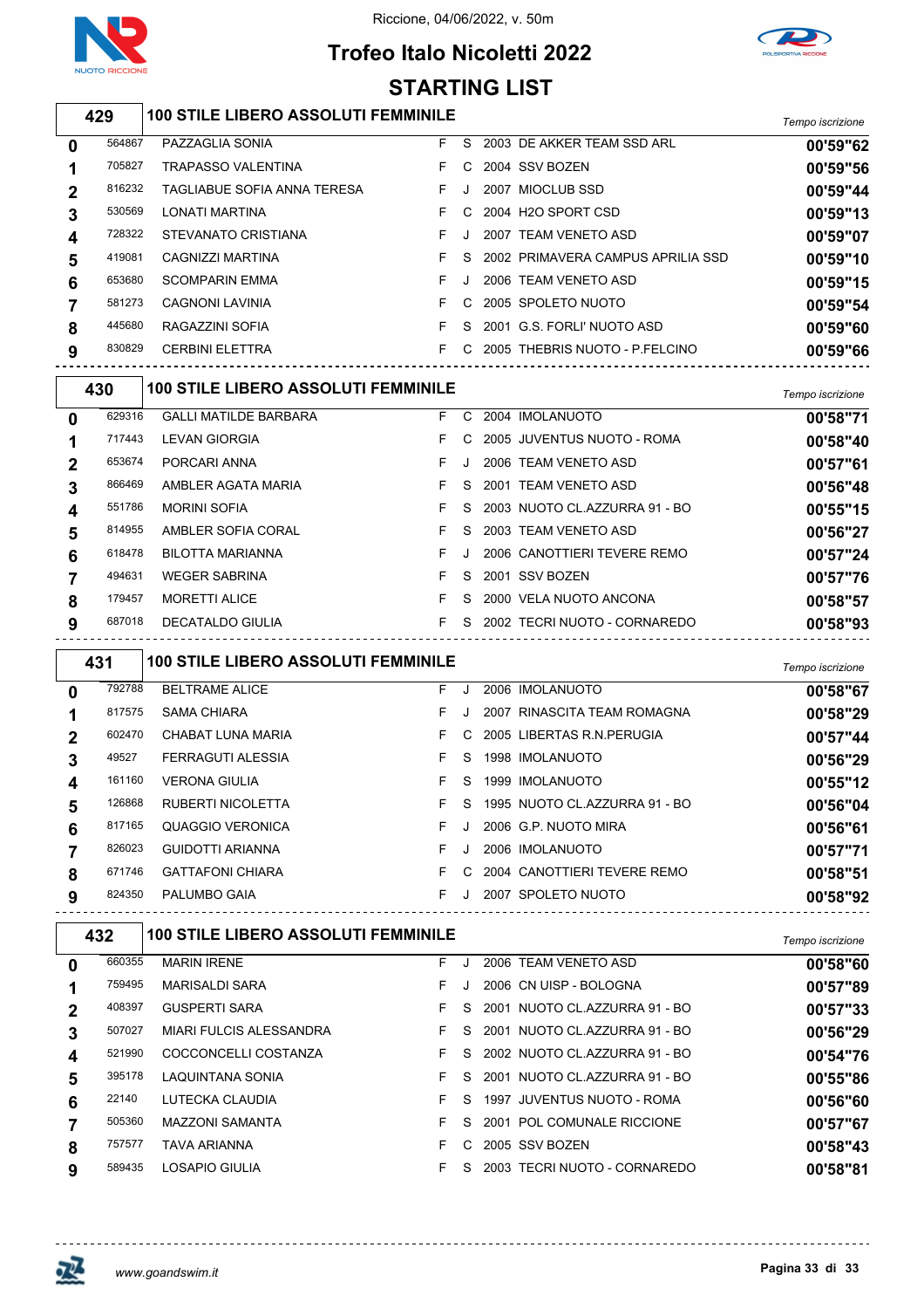

## **Trofeo Italo Nicoletti 2022**



*Tempo iscrizione* **100 STILE LIBERO ASSOLUTI FEMMINILE** PAZZAGLIA SONIA F S 2003 DE AKKER TEAM SSD ARL **00'59"62** TRAPASSO VALENTINA F C 2004 SSV BOZEN **00'59"56** TAGLIABUE SOFIA ANNA TERESA F J 2007 MIOCLUB SSD **00'59"44** LONATI MARTINA F C 2004 H2O SPORT CSD **00'59"13** STEVANATO CRISTIANA F J 2007 TEAM VENETO ASD **00'59"07** CAGNIZZI MARTINA F S 2002 PRIMAVERA CAMPUS APRILIA SSD **00'59"10** SCOMPARIN EMMA F J 2006 TEAM VENETO ASD **00'59"15** CAGNONI LAVINIA F C 2005 SPOLETO NUOTO **00'59"54** RAGAZZINI SOFIA F S 2001 G.S. FORLI' NUOTO ASD **00'59"60** CERBINI ELETTRA F C 2005 THEBRIS NUOTO - P.FELCINO **00'59"66** *Tempo iscrizione* **100 STILE LIBERO ASSOLUTI FEMMINILE** GALLI MATILDE BARBARA F C 2004 IMOLANUOTO **00'58"71** LEVAN GIORGIA F C 2005 JUVENTUS NUOTO - ROMA **00'58"40** PORCARI ANNA F J 2006 TEAM VENETO ASD **00'57"61** 866469 AMBLER AGATA MARIA **F** S 2001 TEAM VENETO ASD **00'56"48**  MORINI SOFIA F S 2003 NUOTO CL.AZZURRA 91 - BO **00'55"15** AMBLER SOFIA CORAL F S 2003 TEAM VENETO ASD **00'56"27** BILOTTA MARIANNA F J 2006 CANOTTIERI TEVERE REMO **00'57"24** WEGER SABRINA F S 2001 SSV BOZEN **00'57"76** MORETTI ALICE F S 2000 VELA NUOTO ANCONA **00'58"57** DECATALDO GIULIA F S 2002 TECRI NUOTO - CORNAREDO **00'58"93 STARTING LIST**

*Tempo iscrizione* **100 STILE LIBERO ASSOLUTI FEMMINILE** BELTRAME ALICE F J 2006 IMOLANUOTO **00'58"67** 817575 SAMA CHIARA **CHIARA F** J 2007 RINASCITA TEAM ROMAGNA **00'58"29**  CHABAT LUNA MARIA F C 2005 LIBERTAS R.N.PERUGIA **00'57"44** FERRAGUTI ALESSIA F S 1998 IMOLANUOTO **00'56"29** VERONA GIULIA F S 1999 IMOLANUOTO **00'55"12** RUBERTI NICOLETTA F S 1995 NUOTO CL.AZZURRA 91 - BO **00'56"04** QUAGGIO VERONICA F J 2006 G.P. NUOTO MIRA **00'56"61** GUIDOTTI ARIANNA F J 2006 IMOLANUOTO **00'57"71** GATTAFONI CHIARA F C 2004 CANOTTIERI TEVERE REMO **00'58"51** PALUMBO GAIA F J 2007 SPOLETO NUOTO **00'58"92**

|              | 432    | <b>100 STILE LIBERO ASSOLUTI FEMMINILE</b> |    |    |                               | Tempo iscrizione |
|--------------|--------|--------------------------------------------|----|----|-------------------------------|------------------|
| $\mathbf{0}$ | 660355 | <b>MARIN IRENE</b>                         | F  |    | 2006 TEAM VENETO ASD          | 00'58"60         |
|              | 759495 | <b>MARISALDI SARA</b>                      | F. |    | 2006 CN UISP - BOLOGNA        | 00'57"89         |
|              | 408397 | <b>GUSPERTI SARA</b>                       | F. | S. | 2001 NUOTO CL.AZZURRA 91 - BO | 00'57"33         |
| 3            | 507027 | MIARI FULCIS ALESSANDRA                    | F. | S. | 2001 NUOTO CL.AZZURRA 91 - BO | 00'56"29         |
| 4            | 521990 | COCCONCELLI COSTANZA                       | F  | S. | 2002 NUOTO CL.AZZURRA 91 - BO | 00'54"76         |
| 5            | 395178 | LAQUINTANA SONIA                           | F. | S. | 2001 NUOTO CL.AZZURRA 91 - BO | 00'55"86         |
| 6            | 22140  | LUTECKA CLAUDIA                            | F. | S. | 1997 JUVENTUS NUOTO - ROMA    | 00'56"60         |
|              | 505360 | <b>MAZZONI SAMANTA</b>                     | F. | S. | 2001 POL COMUNALE RICCIONE    | 00'57"67         |
| 8            | 757577 | <b>TAVA ARIANNA</b>                        | F. | C. | 2005 SSV BOZEN                | 00'58"43         |
| 9            | 589435 | LOSAPIO GIULIA                             | F  | S. | 2003 TECRI NUOTO - CORNAREDO  | 00'58"81         |